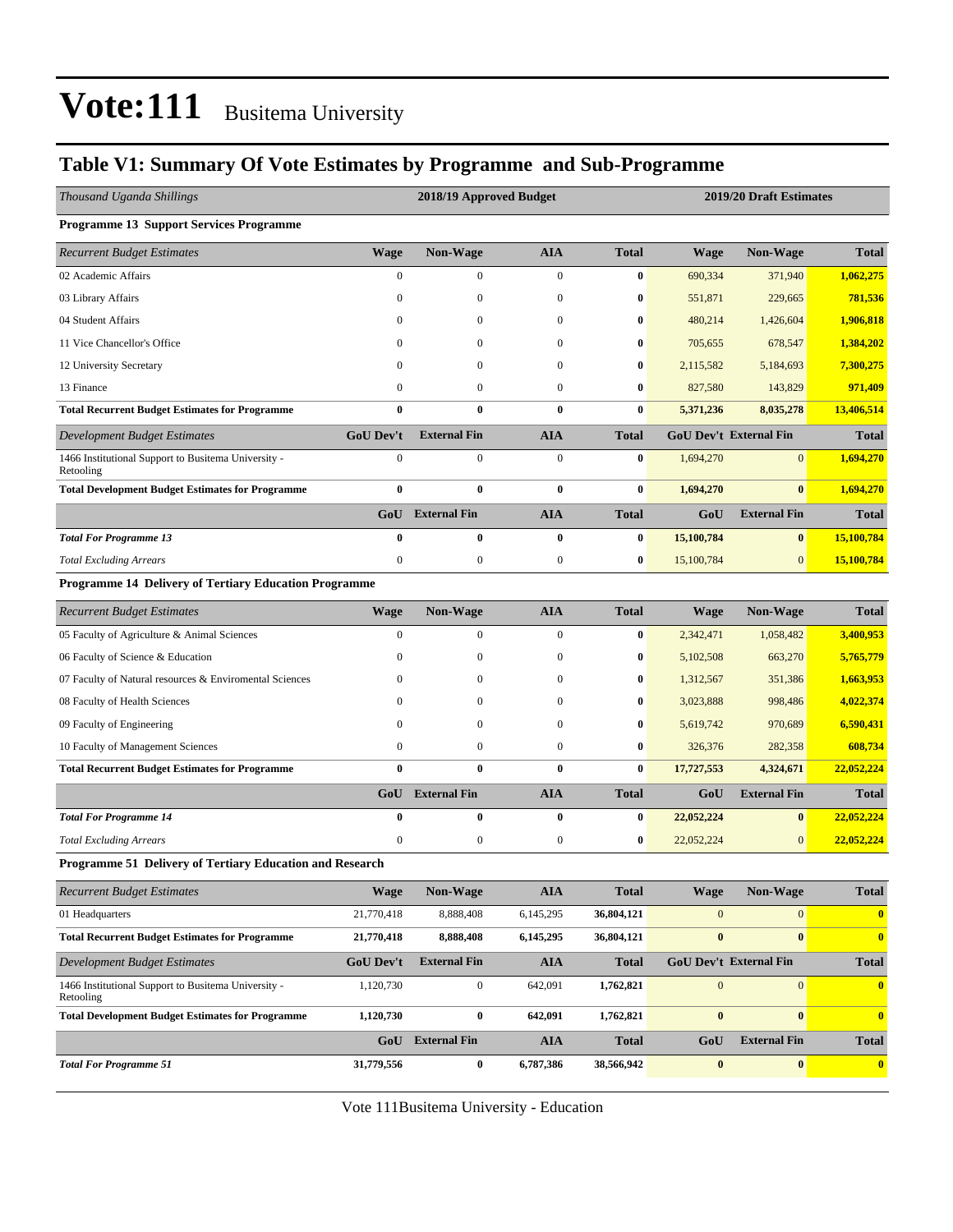### **Table V1: Summary Of Vote Estimates by Programme and Sub-Programme**

| Thousand Uganda Shillings                                        |                  | 2018/19 Approved Budget |                  |                  | 2019/20 Draft Estimates |                               |              |  |
|------------------------------------------------------------------|------------------|-------------------------|------------------|------------------|-------------------------|-------------------------------|--------------|--|
| <b>Programme 13 Support Services Programme</b>                   |                  |                         |                  |                  |                         |                               |              |  |
| <b>Recurrent Budget Estimates</b>                                | <b>Wage</b>      | <b>Non-Wage</b>         | <b>AIA</b>       | <b>Total</b>     | Wage                    | <b>Non-Wage</b>               | <b>Total</b> |  |
| 02 Academic Affairs                                              | $\overline{0}$   | $\mathbf{0}$            | $\mathbf{0}$     | $\bf{0}$         | 690,334                 | 371,940                       | 1,062,275    |  |
| 03 Library Affairs                                               | $\boldsymbol{0}$ | $\boldsymbol{0}$        | $\boldsymbol{0}$ | 0                | 551,871                 | 229,665                       | 781,536      |  |
| 04 Student Affairs                                               | $\mathbf{0}$     | $\mathbf{0}$            | $\boldsymbol{0}$ | 0                | 480,214                 | 1,426,604                     | 1,906,818    |  |
| 11 Vice Chancellor's Office                                      | $\theta$         | $\mathbf{0}$            | $\boldsymbol{0}$ | 0                | 705,655                 | 678,547                       | 1,384,202    |  |
| 12 University Secretary                                          | $\overline{0}$   | $\mathbf{0}$            | $\mathbf{0}$     | $\bf{0}$         | 2,115,582               | 5,184,693                     | 7,300,275    |  |
| 13 Finance                                                       | $\overline{0}$   | $\boldsymbol{0}$        | $\boldsymbol{0}$ | 0                | 827,580                 | 143,829                       | 971,409      |  |
| <b>Total Recurrent Budget Estimates for Programme</b>            | $\bf{0}$         | $\bf{0}$                | $\bf{0}$         | $\bf{0}$         | 5,371,236               | 8,035,278                     | 13,406,514   |  |
| Development Budget Estimates                                     | <b>GoU Dev't</b> | <b>External Fin</b>     | <b>AIA</b>       | <b>Total</b>     |                         | <b>GoU Dev't External Fin</b> | <b>Total</b> |  |
| 1466 Institutional Support to Busitema University -<br>Retooling | $\overline{0}$   | $\boldsymbol{0}$        | $\boldsymbol{0}$ | $\bf{0}$         | 1,694,270               | $\overline{0}$                | 1,694,270    |  |
| <b>Total Development Budget Estimates for Programme</b>          | $\bf{0}$         | $\bf{0}$                | $\bf{0}$         | $\pmb{0}$        | 1,694,270               | $\bf{0}$                      | 1,694,270    |  |
|                                                                  |                  | <b>GoU</b> External Fin | <b>AIA</b>       | <b>Total</b>     | GoU                     | <b>External Fin</b>           | <b>Total</b> |  |
| <b>Total For Programme 13</b>                                    | $\bf{0}$         | $\bf{0}$                | $\bf{0}$         | $\bf{0}$         | 15,100,784              | $\bf{0}$                      | 15,100,784   |  |
| <b>Total Excluding Arrears</b>                                   | $\boldsymbol{0}$ | $\boldsymbol{0}$        | $\boldsymbol{0}$ | $\boldsymbol{0}$ | 15,100,784              | $\boldsymbol{0}$              | 15,100,784   |  |
| Programme 14 Delivery of Tertiary Education Programme            |                  |                         |                  |                  |                         |                               |              |  |
| <b>Recurrent Budget Estimates</b>                                | <b>Wage</b>      | Non-Wage                | <b>AIA</b>       | <b>Total</b>     | <b>Wage</b>             | Non-Wage                      | <b>Total</b> |  |
| 05 Faculty of Agriculture & Animal Sciences                      | $\boldsymbol{0}$ | $\boldsymbol{0}$        | $\boldsymbol{0}$ | $\bf{0}$         | 2,342,471               | 1,058,482                     | 3,400,953    |  |
| 06 Faculty of Science & Education                                | $\mathbf{0}$     | $\boldsymbol{0}$        | $\boldsymbol{0}$ | $\boldsymbol{0}$ | 5,102,508               | 663,270                       | 5,765,779    |  |
| 07 Faculty of Natural resources & Enviromental Sciences          | 0                | 0                       | $\boldsymbol{0}$ | $\bf{0}$         | 1,312,567               | 351,386                       | 1,663,953    |  |
| 08 Faculty of Health Sciences                                    | 0                | $\mathbf{0}$            | $\mathbf{0}$     | $\bf{0}$         | 3,023,888               | 998,486                       | 4,022,374    |  |
| 09 Faculty of Engineering                                        | $\theta$         | $\mathbf{0}$            | $\boldsymbol{0}$ | $\bf{0}$         | 5,619,742               | 970,689                       | 6,590,431    |  |
| 10 Faculty of Management Sciences                                | $\boldsymbol{0}$ | $\boldsymbol{0}$        | $\boldsymbol{0}$ | $\bf{0}$         | 326,376                 | 282,358                       | 608,734      |  |
| <b>Total Recurrent Budget Estimates for Programme</b>            | $\bf{0}$         | $\bf{0}$                | $\bf{0}$         | $\bf{0}$         | 17,727,553              | 4,324,671                     | 22,052,224   |  |
|                                                                  |                  | GoU External Fin        | <b>AIA</b>       | <b>Total</b>     | GoU                     | <b>External Fin</b>           | <b>Total</b> |  |
| <b>Total For Programme 14</b>                                    | $\bf{0}$         | $\bf{0}$                | $\bf{0}$         | $\bf{0}$         | 22,052,224              | $\bf{0}$                      | 22,052,224   |  |
| <b>Total Excluding Arrears</b>                                   | $\boldsymbol{0}$ | $\boldsymbol{0}$        | $\boldsymbol{0}$ | $\boldsymbol{0}$ | 22,052,224              | $\mathbf{0}$                  | 22,052,224   |  |
| Programme 51 Delivery of Tertiary Education and Research         |                  |                         |                  |                  |                         |                               |              |  |
| <b>Recurrent Budget Estimates</b>                                | <b>Wage</b>      | Non-Wage                | ${\bf A I A}$    | <b>Total</b>     | <b>Wage</b>             | Non-Wage                      | <b>Total</b> |  |
| 01 Headquarters                                                  | 21,770,418       | 8,888,408               | 6,145,295        | 36,804,121       | $\mathbf{0}$            | $\mathbf{0}$                  | $\bf{0}$     |  |
| <b>Total Recurrent Budget Estimates for Programme</b>            | 21,770,418       | 8,888,408               | 6,145,295        | 36,804,121       | $\bf{0}$                | $\bf{0}$                      | $\bf{0}$     |  |
| Development Budget Estimates                                     | <b>GoU Dev't</b> | <b>External Fin</b>     | <b>AIA</b>       | <b>Total</b>     |                         | GoU Dev't External Fin        | <b>Total</b> |  |
| 1466 Institutional Support to Busitema University -<br>Retooling | 1,120,730        | $\boldsymbol{0}$        | 642,091          | 1,762,821        | $\mathbf{0}$            | 0                             | $\bf{0}$     |  |
| <b>Total Development Budget Estimates for Programme</b>          | 1,120,730        | $\bf{0}$                | 642,091          | 1,762,821        | $\pmb{0}$               | $\boldsymbol{0}$              | $\bf{0}$     |  |
|                                                                  | GoU              | <b>External Fin</b>     | <b>AIA</b>       | <b>Total</b>     | GoU                     | <b>External Fin</b>           | <b>Total</b> |  |
| <b>Total For Programme 51</b>                                    | 31,779,556       | $\bf{0}$                | 6,787,386        | 38,566,942       | $\bf{0}$                | $\boldsymbol{0}$              | $\bf{0}$     |  |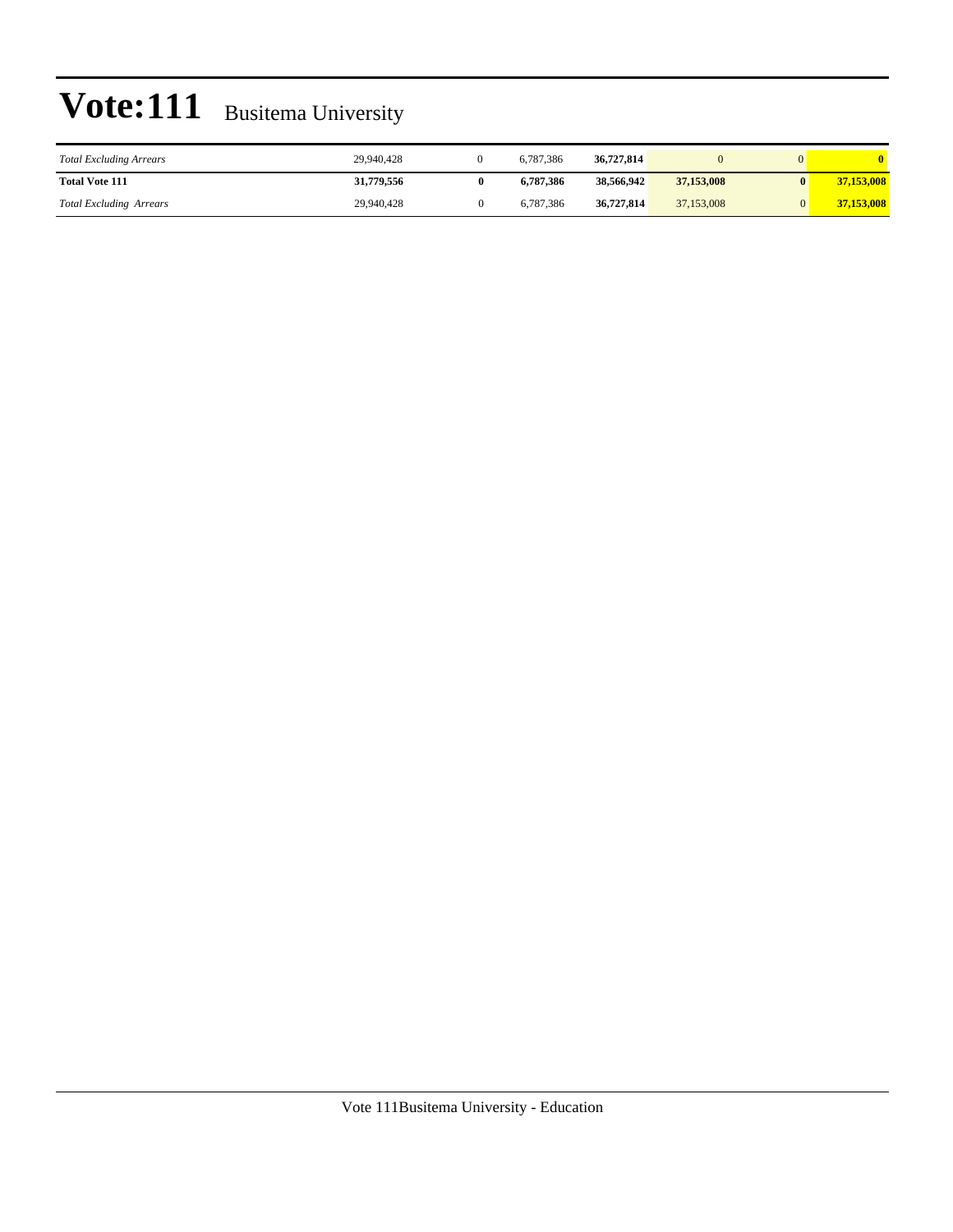| <b>Total Excluding Arrears</b> | 29,940,428 | 6.787.386 | 36,727,814 |            |            |
|--------------------------------|------------|-----------|------------|------------|------------|
| <b>Total Vote 111</b>          | 31,779,556 | 6.787.386 | 38.566.942 | 37,153,008 | 37,153,008 |
| <b>Total Excluding Arrears</b> | 29,940,428 | 6,787,386 | 36,727,814 | 37,153,008 | 37,153,008 |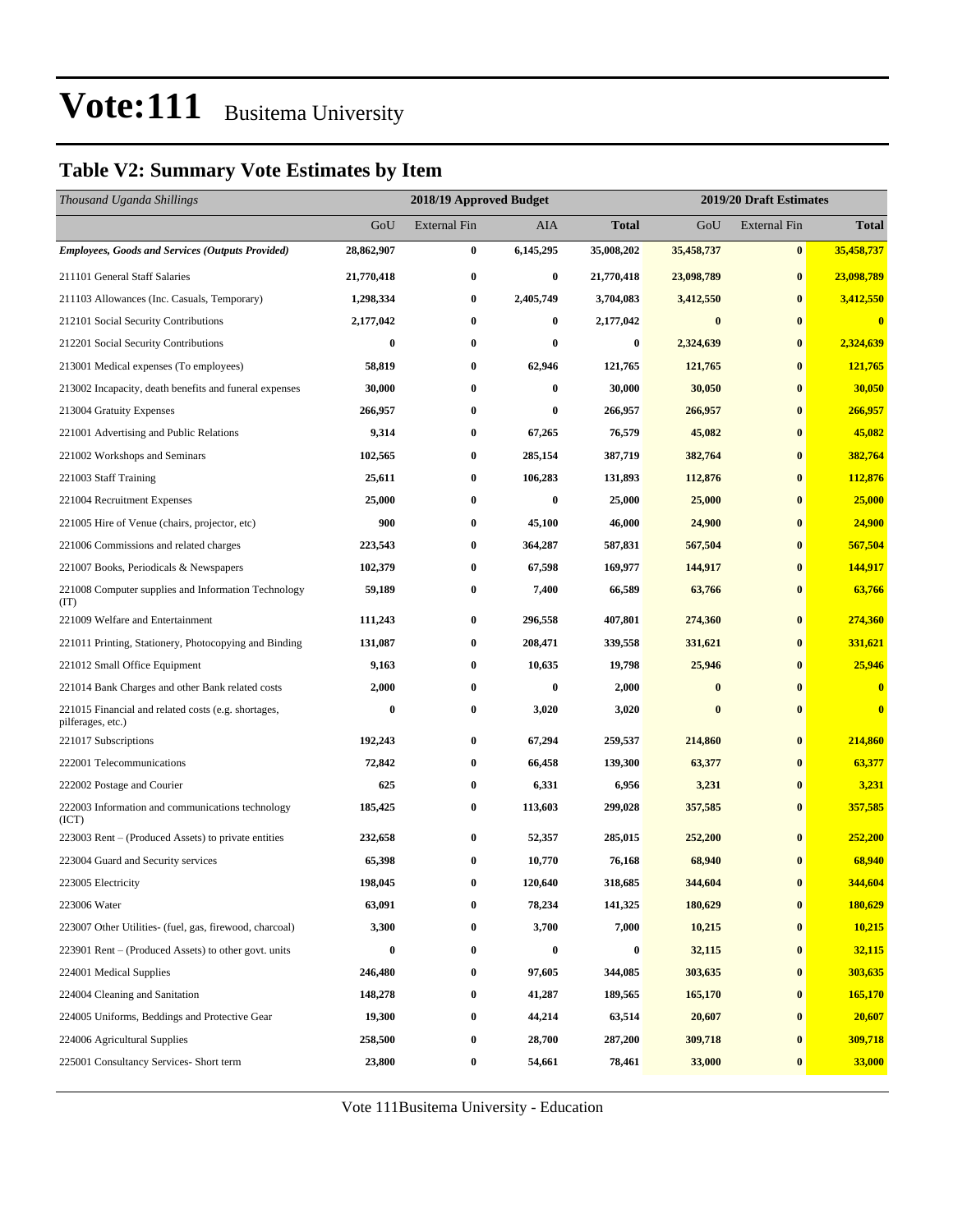### **Table V2: Summary Vote Estimates by Item**

| Thousand Uganda Shillings                                                |            | 2018/19 Approved Budget |           | 2019/20 Draft Estimates |            |                     |              |  |
|--------------------------------------------------------------------------|------------|-------------------------|-----------|-------------------------|------------|---------------------|--------------|--|
|                                                                          | GoU        | <b>External Fin</b>     | AIA       | <b>Total</b>            | GoU        | <b>External Fin</b> | <b>Total</b> |  |
| <b>Employees, Goods and Services (Outputs Provided)</b>                  | 28,862,907 | $\bf{0}$                | 6,145,295 | 35,008,202              | 35,458,737 | $\bf{0}$            | 35,458,737   |  |
| 211101 General Staff Salaries                                            | 21,770,418 | $\bf{0}$                | 0         | 21,770,418              | 23,098,789 | $\bf{0}$            | 23,098,789   |  |
| 211103 Allowances (Inc. Casuals, Temporary)                              | 1,298,334  | $\bf{0}$                | 2,405,749 | 3,704,083               | 3,412,550  | $\bf{0}$            | 3,412,550    |  |
| 212101 Social Security Contributions                                     | 2,177,042  | $\bf{0}$                | $\bf{0}$  | 2,177,042               | $\bf{0}$   | $\bf{0}$            | $\bf{0}$     |  |
| 212201 Social Security Contributions                                     | $\bf{0}$   | $\bf{0}$                | 0         | 0                       | 2,324,639  | $\bf{0}$            | 2,324,639    |  |
| 213001 Medical expenses (To employees)                                   | 58,819     | $\bf{0}$                | 62,946    | 121,765                 | 121,765    | $\bf{0}$            | 121,765      |  |
| 213002 Incapacity, death benefits and funeral expenses                   | 30,000     | $\bf{0}$                | 0         | 30,000                  | 30,050     | $\bf{0}$            | 30,050       |  |
| 213004 Gratuity Expenses                                                 | 266,957    | $\bf{0}$                | 0         | 266,957                 | 266,957    | $\bf{0}$            | 266,957      |  |
| 221001 Advertising and Public Relations                                  | 9,314      | $\bf{0}$                | 67,265    | 76,579                  | 45,082     | $\bf{0}$            | 45,082       |  |
| 221002 Workshops and Seminars                                            | 102,565    | $\bf{0}$                | 285,154   | 387,719                 | 382,764    | $\bf{0}$            | 382,764      |  |
| 221003 Staff Training                                                    | 25,611     | $\bf{0}$                | 106,283   | 131,893                 | 112,876    | $\bf{0}$            | 112,876      |  |
| 221004 Recruitment Expenses                                              | 25,000     | $\bf{0}$                | 0         | 25,000                  | 25,000     | $\bf{0}$            | 25,000       |  |
| 221005 Hire of Venue (chairs, projector, etc)                            | 900        | $\bf{0}$                | 45,100    | 46,000                  | 24,900     | $\bf{0}$            | 24,900       |  |
| 221006 Commissions and related charges                                   | 223,543    | $\bf{0}$                | 364,287   | 587,831                 | 567,504    | $\bf{0}$            | 567,504      |  |
| 221007 Books, Periodicals & Newspapers                                   | 102,379    | $\bf{0}$                | 67,598    | 169,977                 | 144,917    | $\bf{0}$            | 144,917      |  |
| 221008 Computer supplies and Information Technology<br>(TT)              | 59,189     | $\bf{0}$                | 7,400     | 66,589                  | 63,766     | $\bf{0}$            | 63,766       |  |
| 221009 Welfare and Entertainment                                         | 111,243    | $\bf{0}$                | 296,558   | 407,801                 | 274,360    | $\bf{0}$            | 274,360      |  |
| 221011 Printing, Stationery, Photocopying and Binding                    | 131,087    | $\bf{0}$                | 208,471   | 339,558                 | 331,621    | $\bf{0}$            | 331,621      |  |
| 221012 Small Office Equipment                                            | 9,163      | $\bf{0}$                | 10,635    | 19,798                  | 25,946     | $\bf{0}$            | 25,946       |  |
| 221014 Bank Charges and other Bank related costs                         | 2,000      | 0                       | 0         | 2,000                   | $\bf{0}$   | $\bf{0}$            | $\bf{0}$     |  |
| 221015 Financial and related costs (e.g. shortages,<br>pilferages, etc.) | $\bf{0}$   | $\bf{0}$                | 3,020     | 3,020                   | $\bf{0}$   | $\bf{0}$            | $\bf{0}$     |  |
| 221017 Subscriptions                                                     | 192,243    | $\bf{0}$                | 67,294    | 259,537                 | 214,860    | $\bf{0}$            | 214,860      |  |
| 222001 Telecommunications                                                | 72,842     | $\bf{0}$                | 66,458    | 139,300                 | 63,377     | $\bf{0}$            | 63,377       |  |
| 222002 Postage and Courier                                               | 625        | $\bf{0}$                | 6,331     | 6,956                   | 3,231      | $\bf{0}$            | 3,231        |  |
| 222003 Information and communications technology<br>(ICT)                | 185,425    | $\bf{0}$                | 113,603   | 299,028                 | 357,585    | $\bf{0}$            | 357,585      |  |
| 223003 Rent – (Produced Assets) to private entities                      | 232,658    | $\bf{0}$                | 52,357    | 285,015                 | 252,200    | $\bf{0}$            | 252,200      |  |
| 223004 Guard and Security services                                       | 65,398     | $\bf{0}$                | 10,770    | 76,168                  | 68,940     | $\bf{0}$            | 68,940       |  |
| 223005 Electricity                                                       | 198,045    | 0                       | 120,640   | 318,685                 | 344,604    | $\bf{0}$            | 344,604      |  |
| 223006 Water                                                             | 63,091     | $\bf{0}$                | 78,234    | 141,325                 | 180,629    | $\bf{0}$            | 180,629      |  |
| 223007 Other Utilities- (fuel, gas, firewood, charcoal)                  | 3,300      | $\bf{0}$                | 3,700     | 7,000                   | 10,215     | $\bf{0}$            | 10,215       |  |
| 223901 Rent – (Produced Assets) to other govt. units                     | $\bf{0}$   | $\boldsymbol{0}$        | $\bf{0}$  | 0                       | 32,115     | $\bf{0}$            | 32,115       |  |
| 224001 Medical Supplies                                                  | 246,480    | $\bf{0}$                | 97,605    | 344,085                 | 303,635    | $\bf{0}$            | 303,635      |  |
| 224004 Cleaning and Sanitation                                           | 148,278    | $\boldsymbol{0}$        | 41,287    | 189,565                 | 165,170    | $\bf{0}$            | 165,170      |  |
| 224005 Uniforms, Beddings and Protective Gear                            | 19,300     | $\bf{0}$                | 44,214    | 63,514                  | 20,607     | $\bf{0}$            | 20,607       |  |
| 224006 Agricultural Supplies                                             | 258,500    | $\boldsymbol{0}$        | 28,700    | 287,200                 | 309,718    | $\bf{0}$            | 309,718      |  |
| 225001 Consultancy Services- Short term                                  | 23,800     | $\boldsymbol{0}$        | 54,661    | 78,461                  | 33,000     | $\bf{0}$            | 33,000       |  |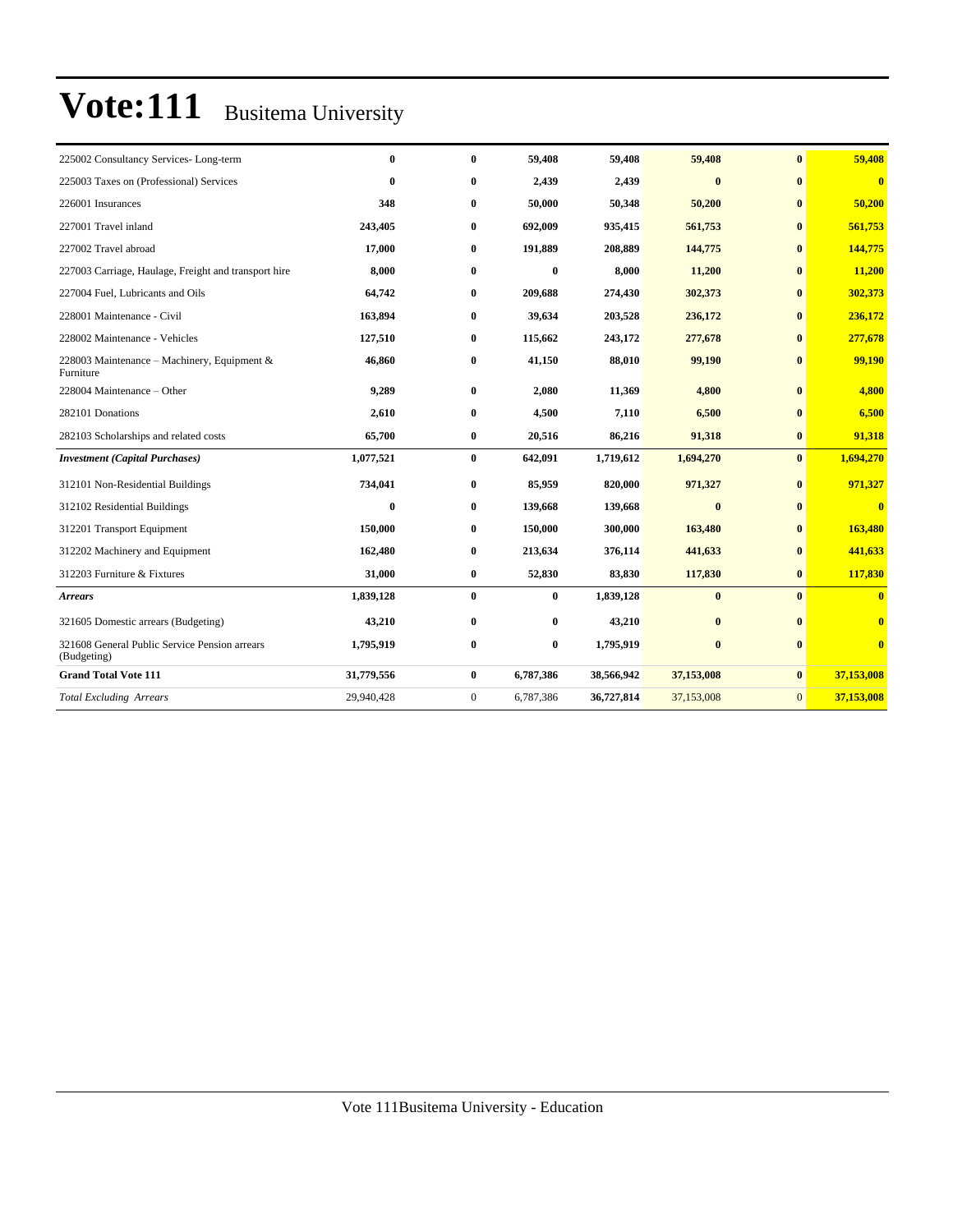| 225002 Consultancy Services-Long-term                        | 0          | $\mathbf{0}$ | 59,408       | 59,408     | 59,408     | $\bf{0}$     | 59,408                  |
|--------------------------------------------------------------|------------|--------------|--------------|------------|------------|--------------|-------------------------|
| 225003 Taxes on (Professional) Services                      | $\bf{0}$   | $\bf{0}$     | 2,439        | 2,439      | $\bf{0}$   | $\bf{0}$     | $\mathbf{0}$            |
| 226001 Insurances                                            | 348        | $\bf{0}$     | 50,000       | 50,348     | 50,200     | $\bf{0}$     | 50,200                  |
| 227001 Travel inland                                         | 243,405    | $\bf{0}$     | 692,009      | 935,415    | 561,753    | $\bf{0}$     | 561,753                 |
| 227002 Travel abroad                                         | 17,000     | $\bf{0}$     | 191,889      | 208,889    | 144,775    | $\bf{0}$     | 144,775                 |
| 227003 Carriage, Haulage, Freight and transport hire         | 8,000      | $\bf{0}$     | $\bf{0}$     | 8,000      | 11,200     | $\mathbf{0}$ | 11,200                  |
| 227004 Fuel, Lubricants and Oils                             | 64,742     | $\bf{0}$     | 209,688      | 274,430    | 302,373    | $\bf{0}$     | 302,373                 |
| 228001 Maintenance - Civil                                   | 163,894    | $\bf{0}$     | 39,634       | 203,528    | 236,172    | $\bf{0}$     | 236,172                 |
| 228002 Maintenance - Vehicles                                | 127,510    | $\bf{0}$     | 115,662      | 243,172    | 277,678    | $\bf{0}$     | 277,678                 |
| 228003 Maintenance - Machinery, Equipment &<br>Furniture     | 46,860     | $\bf{0}$     | 41,150       | 88,010     | 99,190     | $\bf{0}$     | 99,190                  |
| 228004 Maintenance - Other                                   | 9,289      | $\bf{0}$     | 2,080        | 11,369     | 4,800      | $\bf{0}$     | 4,800                   |
| 282101 Donations                                             | 2,610      | $\bf{0}$     | 4,500        | 7,110      | 6,500      | $\bf{0}$     | 6,500                   |
| 282103 Scholarships and related costs                        | 65,700     | $\bf{0}$     | 20,516       | 86,216     | 91,318     | $\bf{0}$     | 91,318                  |
| <b>Investment</b> (Capital Purchases)                        | 1,077,521  | $\bf{0}$     | 642,091      | 1,719,612  | 1,694,270  | $\mathbf{0}$ | 1,694,270               |
| 312101 Non-Residential Buildings                             | 734,041    | $\bf{0}$     | 85,959       | 820,000    | 971,327    | $\bf{0}$     | 971,327                 |
| 312102 Residential Buildings                                 | $\bf{0}$   | $\bf{0}$     | 139,668      | 139,668    | $\bf{0}$   | $\bf{0}$     | $\overline{\mathbf{0}}$ |
| 312201 Transport Equipment                                   | 150,000    | $\bf{0}$     | 150,000      | 300,000    | 163,480    | $\bf{0}$     | 163,480                 |
| 312202 Machinery and Equipment                               | 162,480    | $\bf{0}$     | 213,634      | 376,114    | 441,633    | $\bf{0}$     | 441,633                 |
| 312203 Furniture & Fixtures                                  | 31,000     | $\bf{0}$     | 52,830       | 83,830     | 117,830    | $\bf{0}$     | 117,830                 |
| <b>Arrears</b>                                               | 1,839,128  | $\bf{0}$     | $\mathbf{0}$ | 1,839,128  | $\bf{0}$   | $\mathbf{0}$ | $\overline{0}$          |
| 321605 Domestic arrears (Budgeting)                          | 43,210     | $\bf{0}$     | $\bf{0}$     | 43,210     | $\bf{0}$   | $\mathbf{0}$ | $\overline{\mathbf{0}}$ |
| 321608 General Public Service Pension arrears<br>(Budgeting) | 1,795,919  | $\bf{0}$     | $\bf{0}$     | 1,795,919  | $\bf{0}$   | $\mathbf{0}$ | $\bf{0}$                |
| <b>Grand Total Vote 111</b>                                  | 31,779,556 | $\bf{0}$     | 6,787,386    | 38,566,942 | 37,153,008 | $\bf{0}$     | 37,153,008              |
| <b>Total Excluding Arrears</b>                               | 29,940,428 | $\mathbf{0}$ | 6,787,386    | 36,727,814 | 37,153,008 | $\mathbf{0}$ | 37,153,008              |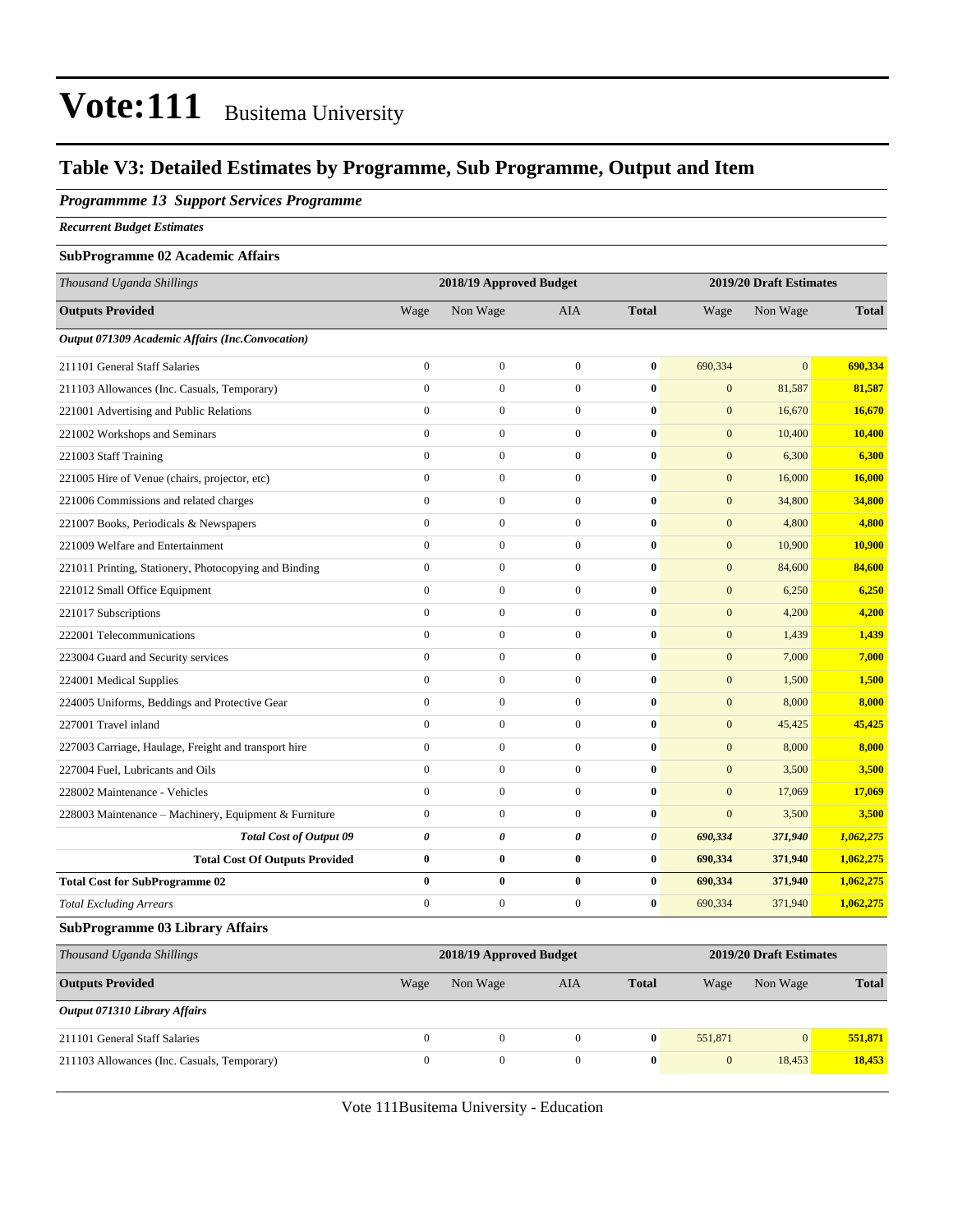### **Table V3: Detailed Estimates by Programme, Sub Programme, Output and Item**

#### *Programmme 13 Support Services Programme*

*Recurrent Budget Estimates*

#### **SubProgramme 02 Academic Affairs**

| Thousand Uganda Shillings                               |                  | 2018/19 Approved Budget |                  |                       |                | 2019/20 Draft Estimates |              |
|---------------------------------------------------------|------------------|-------------------------|------------------|-----------------------|----------------|-------------------------|--------------|
| <b>Outputs Provided</b>                                 | Wage             | Non Wage                | <b>AIA</b>       | <b>Total</b>          | Wage           | Non Wage                | <b>Total</b> |
| <b>Output 071309 Academic Affairs (Inc.Convocation)</b> |                  |                         |                  |                       |                |                         |              |
| 211101 General Staff Salaries                           | $\boldsymbol{0}$ | $\boldsymbol{0}$        | $\boldsymbol{0}$ | $\bf{0}$              | 690,334        | $\mathbf{0}$            | 690,334      |
| 211103 Allowances (Inc. Casuals, Temporary)             | $\boldsymbol{0}$ | $\overline{0}$          | $\boldsymbol{0}$ | $\bf{0}$              | $\mathbf{0}$   | 81,587                  | 81,587       |
| 221001 Advertising and Public Relations                 | $\boldsymbol{0}$ | $\boldsymbol{0}$        | $\boldsymbol{0}$ | $\bf{0}$              | $\mathbf{0}$   | 16,670                  | 16,670       |
| 221002 Workshops and Seminars                           | $\theta$         | $\mathbf{0}$            | $\mathbf{0}$     | $\bf{0}$              | $\mathbf{0}$   | 10,400                  | 10,400       |
| 221003 Staff Training                                   | $\theta$         | $\boldsymbol{0}$        | $\boldsymbol{0}$ | $\mathbf{0}$          | $\mathbf{0}$   | 6,300                   | 6,300        |
| 221005 Hire of Venue (chairs, projector, etc)           | $\overline{0}$   | $\mathbf{0}$            | $\mathbf{0}$     | $\bf{0}$              | $\overline{0}$ | 16,000                  | 16,000       |
| 221006 Commissions and related charges                  | $\overline{0}$   | $\mathbf{0}$            | $\mathbf{0}$     | $\bf{0}$              | $\mathbf{0}$   | 34,800                  | 34,800       |
| 221007 Books, Periodicals & Newspapers                  | $\overline{0}$   | $\boldsymbol{0}$        | $\mathbf{0}$     | $\bf{0}$              | $\mathbf{0}$   | 4,800                   | 4,800        |
| 221009 Welfare and Entertainment                        | $\overline{0}$   | $\overline{0}$          | $\mathbf{0}$     | $\bf{0}$              | $\mathbf{0}$   | 10,900                  | 10,900       |
| 221011 Printing, Stationery, Photocopying and Binding   | $\overline{0}$   | $\overline{0}$          | $\mathbf{0}$     | $\bf{0}$              | $\mathbf{0}$   | 84,600                  | 84,600       |
| 221012 Small Office Equipment                           | $\overline{0}$   | $\overline{0}$          | $\mathbf{0}$     | $\bf{0}$              | $\mathbf{0}$   | 6,250                   | 6,250        |
| 221017 Subscriptions                                    | $\overline{0}$   | $\overline{0}$          | $\mathbf{0}$     | $\bf{0}$              | $\overline{0}$ | 4,200                   | 4,200        |
| 222001 Telecommunications                               | $\overline{0}$   | $\boldsymbol{0}$        | $\boldsymbol{0}$ | $\bf{0}$              | $\overline{0}$ | 1,439                   | 1,439        |
| 223004 Guard and Security services                      | $\overline{0}$   | $\boldsymbol{0}$        | $\boldsymbol{0}$ | $\bf{0}$              | $\mathbf{0}$   | 7,000                   | 7,000        |
| 224001 Medical Supplies                                 | $\overline{0}$   | $\boldsymbol{0}$        | $\boldsymbol{0}$ | $\bf{0}$              | $\mathbf{0}$   | 1,500                   | 1,500        |
| 224005 Uniforms, Beddings and Protective Gear           | $\overline{0}$   | $\overline{0}$          | $\boldsymbol{0}$ | $\bf{0}$              | $\mathbf{0}$   | 8,000                   | 8,000        |
| 227001 Travel inland                                    | $\boldsymbol{0}$ | $\boldsymbol{0}$        | $\boldsymbol{0}$ | $\bf{0}$              | $\mathbf{0}$   | 45,425                  | 45,425       |
| 227003 Carriage, Haulage, Freight and transport hire    | $\overline{0}$   | $\overline{0}$          | $\boldsymbol{0}$ | $\bf{0}$              | $\mathbf{0}$   | 8,000                   | 8,000        |
| 227004 Fuel, Lubricants and Oils                        | $\overline{0}$   | $\boldsymbol{0}$        | $\boldsymbol{0}$ | $\bf{0}$              | $\mathbf{0}$   | 3,500                   | 3,500        |
| 228002 Maintenance - Vehicles                           | $\overline{0}$   | $\overline{0}$          | $\boldsymbol{0}$ | $\bf{0}$              | $\mathbf{0}$   | 17,069                  | 17,069       |
| 228003 Maintenance - Machinery, Equipment & Furniture   | $\boldsymbol{0}$ | $\boldsymbol{0}$        | $\boldsymbol{0}$ | $\bf{0}$              | $\mathbf{0}$   | 3,500                   | 3,500        |
| <b>Total Cost of Output 09</b>                          | 0                | 0                       | 0                | $\boldsymbol{\theta}$ | 690,334        | 371,940                 | 1,062,275    |
| <b>Total Cost Of Outputs Provided</b>                   | $\bf{0}$         | $\bf{0}$                | $\bf{0}$         | $\bf{0}$              | 690,334        | 371,940                 | 1,062,275    |
| <b>Total Cost for SubProgramme 02</b>                   | $\bf{0}$         | $\bf{0}$                | $\bf{0}$         | $\bf{0}$              | 690,334        | 371,940                 | 1,062,275    |
| <b>Total Excluding Arrears</b>                          | $\overline{0}$   | $\mathbf{0}$            | $\mathbf{0}$     | $\mathbf{0}$          | 690,334        | 371,940                 | 1,062,275    |
| <b>SubProgramme 03 Library Affairs</b>                  |                  |                         |                  |                       |                |                         |              |
| Thousand Uganda Shillings                               |                  | 2018/19 Approved Budget |                  |                       |                | 2019/20 Draft Estimates |              |
| <b>Outputs Provided</b>                                 | Wage             | Non Wage                | AIA              | <b>Total</b>          | Wage           | Non Wage                | <b>Total</b> |

| Output 071310 Library Affairs               |  |  |         |        |         |
|---------------------------------------------|--|--|---------|--------|---------|
| 211101 General Staff Salaries               |  |  | 551.871 |        | 551.871 |
| 211103 Allowances (Inc. Casuals, Temporary) |  |  |         | 18.453 | 18,453  |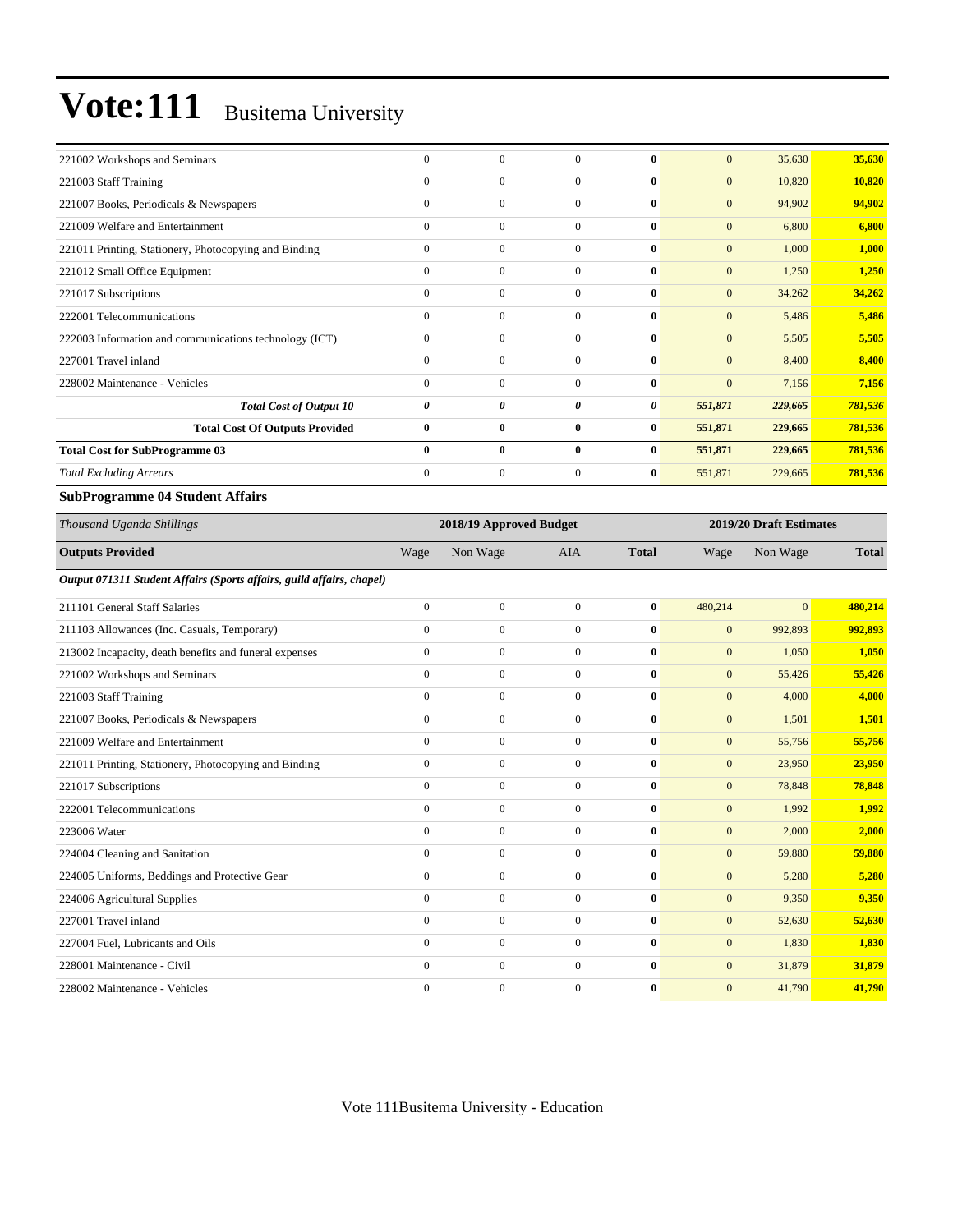| 221002 Workshops and Seminars                          | $\Omega$       | $\mathbf{0}$     | $\Omega$     | $\mathbf{0}$ | $\mathbf{0}$     | 35,630  | 35,630  |
|--------------------------------------------------------|----------------|------------------|--------------|--------------|------------------|---------|---------|
| 221003 Staff Training                                  | $\overline{0}$ | $\mathbf{0}$     | $\mathbf{0}$ | $\bf{0}$     | $\mathbf{0}$     | 10,820  | 10,820  |
| 221007 Books, Periodicals & Newspapers                 | $\Omega$       | $\mathbf{0}$     | $\Omega$     | $\mathbf{0}$ | $\overline{0}$   | 94,902  | 94,902  |
| 221009 Welfare and Entertainment                       | $\mathbf{0}$   | $\mathbf{0}$     | $\mathbf{0}$ | $\mathbf{0}$ | $\boldsymbol{0}$ | 6,800   | 6,800   |
| 221011 Printing, Stationery, Photocopying and Binding  | $\Omega$       | $\mathbf{0}$     | $\mathbf{0}$ | $\bf{0}$     | $\mathbf{0}$     | 1,000   | 1,000   |
| 221012 Small Office Equipment                          | $\mathbf{0}$   | $\mathbf{0}$     | $\Omega$     | $\mathbf{0}$ | $\overline{0}$   | 1,250   | 1,250   |
| 221017 Subscriptions                                   | $\overline{0}$ | $\mathbf{0}$     | $\mathbf{0}$ | $\bf{0}$     | $\mathbf{0}$     | 34,262  | 34,262  |
| 222001 Telecommunications                              | $\mathbf{0}$   | $\mathbf{0}$     | $\Omega$     | $\bf{0}$     | $\overline{0}$   | 5,486   | 5,486   |
| 222003 Information and communications technology (ICT) | $\mathbf{0}$   | $\boldsymbol{0}$ | $\mathbf{0}$ | $\bf{0}$     | $\mathbf{0}$     | 5,505   | 5,505   |
| 227001 Travel inland                                   | $\Omega$       | $\mathbf{0}$     | $\Omega$     | $\mathbf{0}$ | $\overline{0}$   | 8,400   | 8,400   |
| 228002 Maintenance - Vehicles                          | $\Omega$       | $\mathbf{0}$     | $\Omega$     | $\mathbf{0}$ | $\overline{0}$   | 7,156   | 7,156   |
| <b>Total Cost of Output 10</b>                         | 0              | 0                | 0            | 0            | 551,871          | 229,665 | 781,536 |
| <b>Total Cost Of Outputs Provided</b>                  | $\bf{0}$       | $\bf{0}$         | $\bf{0}$     | $\bf{0}$     | 551,871          | 229,665 | 781,536 |
| <b>Total Cost for SubProgramme 03</b>                  | $\bf{0}$       | $\bf{0}$         | $\bf{0}$     | $\bf{0}$     | 551,871          | 229,665 | 781,536 |
| <b>Total Excluding Arrears</b>                         | $\Omega$       | $\mathbf{0}$     | $\mathbf{0}$ | $\bf{0}$     | 551,871          | 229,665 | 781,536 |
|                                                        |                |                  |              |              |                  |         |         |

#### **SubProgramme 04 Student Affairs**

| Thousand Uganda Shillings                                             |                | 2018/19 Approved Budget |                  |              | 2019/20 Draft Estimates |                |              |
|-----------------------------------------------------------------------|----------------|-------------------------|------------------|--------------|-------------------------|----------------|--------------|
| <b>Outputs Provided</b>                                               | Wage           | Non Wage                | <b>AIA</b>       | <b>Total</b> | Wage                    | Non Wage       | <b>Total</b> |
| Output 071311 Student Affairs (Sports affairs, guild affairs, chapel) |                |                         |                  |              |                         |                |              |
| 211101 General Staff Salaries                                         | $\overline{0}$ | $\overline{0}$          | $\overline{0}$   | $\bf{0}$     | 480,214                 | $\overline{0}$ | 480,214      |
| 211103 Allowances (Inc. Casuals, Temporary)                           | $\mathbf{0}$   | $\mathbf{0}$            | $\overline{0}$   | $\bf{0}$     | $\mathbf{0}$            | 992,893        | 992,893      |
| 213002 Incapacity, death benefits and funeral expenses                | $\overline{0}$ | $\mathbf{0}$            | $\overline{0}$   | $\bf{0}$     | $\mathbf{0}$            | 1,050          | 1,050        |
| 221002 Workshops and Seminars                                         | $\mathbf{0}$   | $\mathbf{0}$            | $\overline{0}$   | $\bf{0}$     | $\mathbf{0}$            | 55,426         | 55,426       |
| 221003 Staff Training                                                 | $\mathbf{0}$   | $\boldsymbol{0}$        | $\overline{0}$   | $\bf{0}$     | $\mathbf{0}$            | 4,000          | 4,000        |
| 221007 Books, Periodicals & Newspapers                                | $\mathbf{0}$   | $\boldsymbol{0}$        | $\overline{0}$   | $\bf{0}$     | $\mathbf{0}$            | 1,501          | 1,501        |
| 221009 Welfare and Entertainment                                      | $\overline{0}$ | $\mathbf{0}$            | $\overline{0}$   | $\bf{0}$     | $\mathbf{0}$            | 55,756         | 55,756       |
| 221011 Printing, Stationery, Photocopying and Binding                 | $\mathbf{0}$   | $\mathbf{0}$            | $\overline{0}$   | $\bf{0}$     | $\mathbf{0}$            | 23,950         | 23,950       |
| 221017 Subscriptions                                                  | $\mathbf{0}$   | $\mathbf{0}$            | $\overline{0}$   | $\bf{0}$     | $\mathbf{0}$            | 78,848         | 78,848       |
| 222001 Telecommunications                                             | $\Omega$       | $\mathbf{0}$            | $\overline{0}$   | $\bf{0}$     | $\mathbf{0}$            | 1,992          | 1,992        |
| 223006 Water                                                          | $\Omega$       | $\mathbf{0}$            | $\Omega$         | $\bf{0}$     | $\mathbf{0}$            | 2,000          | 2,000        |
| 224004 Cleaning and Sanitation                                        | $\Omega$       | $\mathbf{0}$            | $\Omega$         | $\bf{0}$     | $\mathbf{0}$            | 59,880         | 59,880       |
| 224005 Uniforms, Beddings and Protective Gear                         | $\mathbf{0}$   | $\mathbf{0}$            | $\overline{0}$   | $\bf{0}$     | $\mathbf{0}$            | 5,280          | 5,280        |
| 224006 Agricultural Supplies                                          | $\mathbf{0}$   | $\boldsymbol{0}$        | $\boldsymbol{0}$ | $\bf{0}$     | $\mathbf{0}$            | 9,350          | 9,350        |
| 227001 Travel inland                                                  | $\mathbf{0}$   | $\mathbf{0}$            | $\overline{0}$   | $\bf{0}$     | $\mathbf{0}$            | 52,630         | 52,630       |
| 227004 Fuel, Lubricants and Oils                                      | $\mathbf{0}$   | $\mathbf{0}$            | $\overline{0}$   | $\bf{0}$     | $\mathbf{0}$            | 1,830          | 1,830        |
| 228001 Maintenance - Civil                                            | $\mathbf{0}$   | $\boldsymbol{0}$        | $\overline{0}$   | $\bf{0}$     | $\mathbf{0}$            | 31,879         | 31,879       |
| 228002 Maintenance - Vehicles                                         | $\mathbf{0}$   | $\boldsymbol{0}$        | $\Omega$         | $\bf{0}$     | $\boldsymbol{0}$        | 41,790         | 41,790       |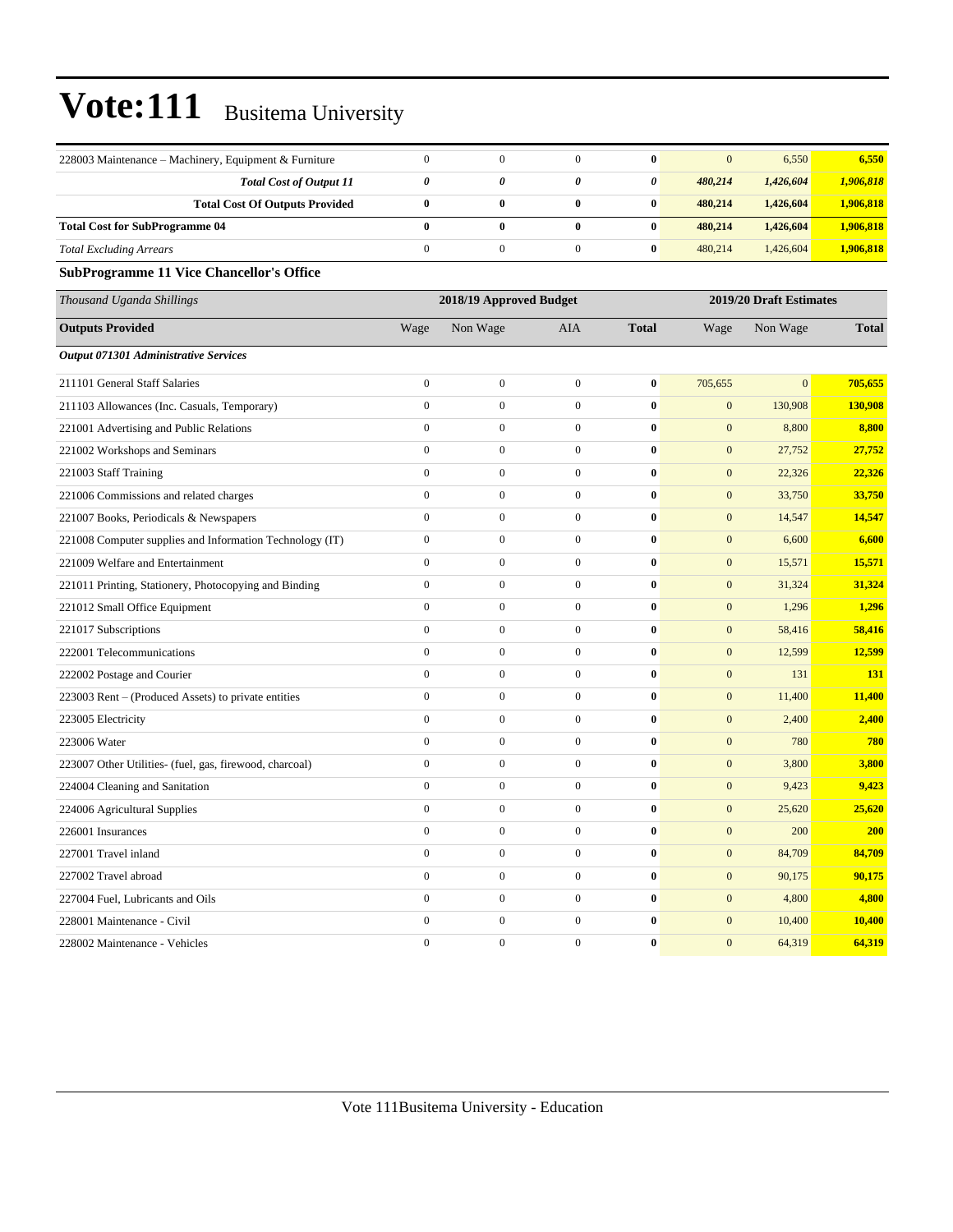| 228003 Maintenance - Machinery, Equipment & Furniture    | $\mathbf{0}$          | $\mathbf{0}$            | $\overline{0}$   | $\bf{0}$              | $\overline{0}$   | 6,550                   | 6,550        |
|----------------------------------------------------------|-----------------------|-------------------------|------------------|-----------------------|------------------|-------------------------|--------------|
| <b>Total Cost of Output 11</b>                           | $\boldsymbol{\theta}$ | 0                       | 0                | $\boldsymbol{\theta}$ | 480,214          | 1,426,604               | 1,906,818    |
| <b>Total Cost Of Outputs Provided</b>                    | $\bf{0}$              | $\bf{0}$                | $\bf{0}$         | $\bf{0}$              | 480,214          | 1,426,604               | 1,906,818    |
| <b>Total Cost for SubProgramme 04</b>                    | $\bf{0}$              | $\bf{0}$                | $\bf{0}$         | $\bf{0}$              | 480,214          | 1,426,604               | 1,906,818    |
| <b>Total Excluding Arrears</b>                           | $\boldsymbol{0}$      | $\boldsymbol{0}$        | $\boldsymbol{0}$ | $\boldsymbol{0}$      | 480,214          | 1,426,604               | 1,906,818    |
| <b>SubProgramme 11 Vice Chancellor's Office</b>          |                       |                         |                  |                       |                  |                         |              |
| Thousand Uganda Shillings                                |                       | 2018/19 Approved Budget |                  |                       |                  | 2019/20 Draft Estimates |              |
| <b>Outputs Provided</b>                                  | Wage                  | Non Wage                | AIA              | <b>Total</b>          | Wage             | Non Wage                | <b>Total</b> |
| Output 071301 Administrative Services                    |                       |                         |                  |                       |                  |                         |              |
| 211101 General Staff Salaries                            | $\boldsymbol{0}$      | $\boldsymbol{0}$        | $\boldsymbol{0}$ | $\bf{0}$              | 705,655          | $\mathbf{0}$            | 705,655      |
| 211103 Allowances (Inc. Casuals, Temporary)              | $\mathbf{0}$          | $\boldsymbol{0}$        | $\overline{0}$   | $\bf{0}$              | $\mathbf{0}$     | 130,908                 | 130,908      |
| 221001 Advertising and Public Relations                  | $\mathbf{0}$          | $\overline{0}$          | $\overline{0}$   | $\bf{0}$              | $\boldsymbol{0}$ | 8,800                   | 8,800        |
| 221002 Workshops and Seminars                            | $\boldsymbol{0}$      | $\boldsymbol{0}$        | $\boldsymbol{0}$ | $\bf{0}$              | $\mathbf{0}$     | 27,752                  | 27,752       |
| 221003 Staff Training                                    | $\boldsymbol{0}$      | $\boldsymbol{0}$        | $\boldsymbol{0}$ | $\bf{0}$              | $\mathbf{0}$     | 22,326                  | 22,326       |
| 221006 Commissions and related charges                   | $\boldsymbol{0}$      | $\boldsymbol{0}$        | $\boldsymbol{0}$ | $\bf{0}$              | $\mathbf{0}$     | 33,750                  | 33,750       |
| 221007 Books, Periodicals & Newspapers                   | $\mathbf{0}$          | $\overline{0}$          | $\overline{0}$   | $\bf{0}$              | $\boldsymbol{0}$ | 14,547                  | 14,547       |
| 221008 Computer supplies and Information Technology (IT) | $\boldsymbol{0}$      | $\boldsymbol{0}$        | $\boldsymbol{0}$ | $\bf{0}$              | $\boldsymbol{0}$ | 6,600                   | 6,600        |
| 221009 Welfare and Entertainment                         | $\boldsymbol{0}$      | $\boldsymbol{0}$        | $\boldsymbol{0}$ | $\bf{0}$              | $\boldsymbol{0}$ | 15,571                  | 15,571       |
| 221011 Printing, Stationery, Photocopying and Binding    | $\mathbf{0}$          | $\boldsymbol{0}$        | $\boldsymbol{0}$ | $\bf{0}$              | $\mathbf{0}$     | 31,324                  | 31,324       |
| 221012 Small Office Equipment                            | $\mathbf{0}$          | $\overline{0}$          | $\overline{0}$   | $\bf{0}$              | $\boldsymbol{0}$ | 1,296                   | 1,296        |
| 221017 Subscriptions                                     | $\boldsymbol{0}$      | $\boldsymbol{0}$        | $\mathbf{0}$     | $\bf{0}$              | $\mathbf{0}$     | 58,416                  | 58,416       |
| 222001 Telecommunications                                | $\boldsymbol{0}$      | $\boldsymbol{0}$        | $\boldsymbol{0}$ | $\bf{0}$              | $\boldsymbol{0}$ | 12,599                  | 12,599       |
| 222002 Postage and Courier                               | $\mathbf{0}$          | $\boldsymbol{0}$        | $\boldsymbol{0}$ | $\bf{0}$              | $\mathbf{0}$     | 131                     | 131          |
| 223003 Rent – (Produced Assets) to private entities      | $\mathbf{0}$          | $\mathbf{0}$            | $\boldsymbol{0}$ | $\boldsymbol{0}$      | $\boldsymbol{0}$ | 11,400                  | 11,400       |
| 223005 Electricity                                       | $\boldsymbol{0}$      | $\boldsymbol{0}$        | $\boldsymbol{0}$ | $\bf{0}$              | $\mathbf{0}$     | 2,400                   | 2,400        |
| 223006 Water                                             | $\mathbf{0}$          | $\mathbf{0}$            | $\mathbf{0}$     | $\bf{0}$              | $\mathbf{0}$     | 780                     | 780          |
| 223007 Other Utilities- (fuel, gas, firewood, charcoal)  | $\mathbf{0}$          | $\mathbf{0}$            | $\overline{0}$   | $\bf{0}$              | $\mathbf{0}$     | 3,800                   | 3,800        |
| 224004 Cleaning and Sanitation                           | $\mathbf{0}$          | $\mathbf{0}$            | $\boldsymbol{0}$ | $\bf{0}$              | $\boldsymbol{0}$ | 9,423                   | 9,423        |
| 224006 Agricultural Supplies                             | $\boldsymbol{0}$      | $\boldsymbol{0}$        | $\boldsymbol{0}$ | $\bf{0}$              | $\boldsymbol{0}$ | 25,620                  | 25,620       |
| 226001 Insurances                                        | $\boldsymbol{0}$      | $\boldsymbol{0}$        | $\overline{0}$   | $\bf{0}$              | $\mathbf{0}$     | 200                     | <b>200</b>   |
| 227001 Travel inland                                     | $\boldsymbol{0}$      | $\boldsymbol{0}$        | $\boldsymbol{0}$ | $\bf{0}$              | $\mathbf{0}$     | 84,709                  | 84,709       |
| 227002 Travel abroad                                     | $\mathbf{0}$          | $\boldsymbol{0}$        | $\boldsymbol{0}$ | $\bf{0}$              | $\boldsymbol{0}$ | 90,175                  | 90,175       |
| 227004 Fuel, Lubricants and Oils                         | $\boldsymbol{0}$      | $\boldsymbol{0}$        | $\boldsymbol{0}$ | $\bf{0}$              | $\boldsymbol{0}$ | 4,800                   | 4,800        |
| 228001 Maintenance - Civil                               | $\mathbf{0}$          | $\boldsymbol{0}$        | $\boldsymbol{0}$ | $\bf{0}$              | $\mathbf{0}$     | 10,400                  | 10,400       |
| 228002 Maintenance - Vehicles                            | $\mathbf{0}$          | $\mathbf{0}$            | $\mathbf{0}$     | $\bf{0}$              | $\mathbf{0}$     | 64,319                  | 64,319       |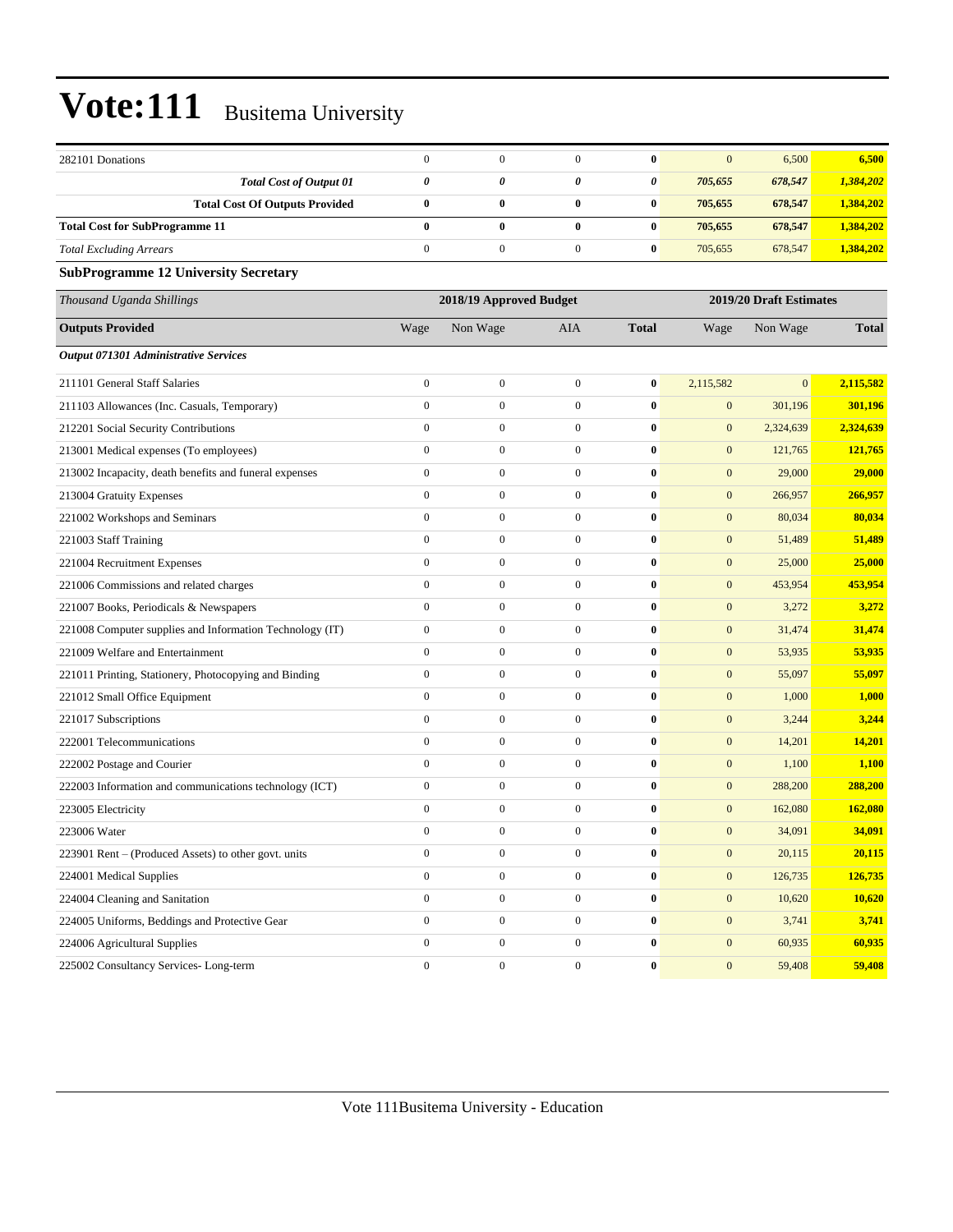| 282101 Donations                                         | $\boldsymbol{0}$ | $\mathbf{0}$            | $\mathbf{0}$     | $\bf{0}$     | $\mathbf{0}$     | 6,500                   | 6,500        |  |  |
|----------------------------------------------------------|------------------|-------------------------|------------------|--------------|------------------|-------------------------|--------------|--|--|
| <b>Total Cost of Output 01</b>                           | $\pmb{\theta}$   | 0                       | 0                | 0            | 705,655          | 678,547                 | 1,384,202    |  |  |
| <b>Total Cost Of Outputs Provided</b>                    | $\bf{0}$         | $\bf{0}$                | $\bf{0}$         | $\bf{0}$     | 705,655          | 678,547                 | 1,384,202    |  |  |
| <b>Total Cost for SubProgramme 11</b>                    | $\bf{0}$         | $\bf{0}$                | $\bf{0}$         | $\bf{0}$     | 705,655          | 678,547                 | 1,384,202    |  |  |
| <b>Total Excluding Arrears</b>                           | $\boldsymbol{0}$ | $\mathbf{0}$            | $\mathbf{0}$     | $\bf{0}$     | 705,655          | 678,547                 | 1,384,202    |  |  |
| <b>SubProgramme 12 University Secretary</b>              |                  |                         |                  |              |                  |                         |              |  |  |
| Thousand Uganda Shillings                                |                  | 2018/19 Approved Budget |                  |              |                  | 2019/20 Draft Estimates |              |  |  |
| <b>Outputs Provided</b>                                  | Wage             | Non Wage                | AIA              | <b>Total</b> | Wage             | Non Wage                | <b>Total</b> |  |  |
| Output 071301 Administrative Services                    |                  |                         |                  |              |                  |                         |              |  |  |
| 211101 General Staff Salaries                            | $\boldsymbol{0}$ | $\boldsymbol{0}$        | $\mathbf{0}$     | $\bf{0}$     | 2,115,582        | $\mathbf{0}$            | 2,115,582    |  |  |
| 211103 Allowances (Inc. Casuals, Temporary)              | $\boldsymbol{0}$ | $\boldsymbol{0}$        | $\mathbf{0}$     | $\bf{0}$     | $\mathbf{0}$     | 301,196                 | 301,196      |  |  |
| 212201 Social Security Contributions                     | $\boldsymbol{0}$ | $\boldsymbol{0}$        | $\boldsymbol{0}$ | $\bf{0}$     | $\boldsymbol{0}$ | 2,324,639               | 2,324,639    |  |  |
| 213001 Medical expenses (To employees)                   | $\boldsymbol{0}$ | $\mathbf{0}$            | $\mathbf{0}$     | $\bf{0}$     | $\mathbf{0}$     | 121,765                 | 121,765      |  |  |
| 213002 Incapacity, death benefits and funeral expenses   | $\boldsymbol{0}$ | $\mathbf{0}$            | $\mathbf{0}$     | $\bf{0}$     | $\mathbf{0}$     | 29,000                  | 29,000       |  |  |
| 213004 Gratuity Expenses                                 | $\mathbf{0}$     | $\mathbf{0}$            | $\mathbf{0}$     | $\bf{0}$     | $\mathbf{0}$     | 266,957                 | 266,957      |  |  |
| 221002 Workshops and Seminars                            | $\boldsymbol{0}$ | $\mathbf{0}$            | $\boldsymbol{0}$ | $\bf{0}$     | $\mathbf{0}$     | 80,034                  | 80,034       |  |  |
| 221003 Staff Training                                    | $\boldsymbol{0}$ | $\boldsymbol{0}$        | $\boldsymbol{0}$ | $\bf{0}$     | $\boldsymbol{0}$ | 51,489                  | 51,489       |  |  |
| 221004 Recruitment Expenses                              | $\boldsymbol{0}$ | $\mathbf{0}$            | $\mathbf{0}$     | $\bf{0}$     | $\mathbf{0}$     | 25,000                  | 25,000       |  |  |
| 221006 Commissions and related charges                   | $\boldsymbol{0}$ | $\mathbf{0}$            | $\mathbf{0}$     | $\bf{0}$     | $\mathbf{0}$     | 453,954                 | 453,954      |  |  |
| 221007 Books, Periodicals & Newspapers                   | $\mathbf{0}$     | $\mathbf{0}$            | $\mathbf{0}$     | $\bf{0}$     | $\mathbf{0}$     | 3,272                   | 3,272        |  |  |
| 221008 Computer supplies and Information Technology (IT) | $\boldsymbol{0}$ | $\mathbf{0}$            | $\boldsymbol{0}$ | $\bf{0}$     | $\mathbf{0}$     | 31,474                  | 31,474       |  |  |
| 221009 Welfare and Entertainment                         | $\boldsymbol{0}$ | $\boldsymbol{0}$        | $\boldsymbol{0}$ | $\bf{0}$     | $\boldsymbol{0}$ | 53,935                  | 53,935       |  |  |
| 221011 Printing, Stationery, Photocopying and Binding    | $\boldsymbol{0}$ | $\mathbf{0}$            | $\mathbf{0}$     | $\bf{0}$     | $\mathbf{0}$     | 55,097                  | 55,097       |  |  |
| 221012 Small Office Equipment                            | $\boldsymbol{0}$ | $\mathbf{0}$            | $\mathbf{0}$     | $\bf{0}$     | $\mathbf{0}$     | 1,000                   | 1,000        |  |  |
| 221017 Subscriptions                                     | $\mathbf{0}$     | $\mathbf{0}$            | $\mathbf{0}$     | $\bf{0}$     | $\mathbf{0}$     | 3,244                   | 3,244        |  |  |
| 222001 Telecommunications                                | $\boldsymbol{0}$ | $\mathbf{0}$            | $\mathbf{0}$     | $\bf{0}$     | $\mathbf{0}$     | 14,201                  | 14,201       |  |  |
| 222002 Postage and Courier                               | $\boldsymbol{0}$ | $\boldsymbol{0}$        | $\boldsymbol{0}$ | $\bf{0}$     | $\boldsymbol{0}$ | 1,100                   | 1,100        |  |  |
| 222003 Information and communications technology (ICT)   | $\boldsymbol{0}$ | $\mathbf{0}$            | $\mathbf{0}$     | $\bf{0}$     | $\mathbf{0}$     | 288,200                 | 288,200      |  |  |
| 223005 Electricity                                       | $\boldsymbol{0}$ | $\overline{0}$          | $\mathbf{0}$     | $\bf{0}$     | $\mathbf{0}$     | 162,080                 | 162,080      |  |  |
| 223006 Water                                             | $\mathbf{0}$     | $\mathbf{0}$            | $\mathbf{0}$     | $\bf{0}$     | $\mathbf{0}$     | 34,091                  | 34,091       |  |  |
| 223901 Rent - (Produced Assets) to other govt. units     | $\boldsymbol{0}$ | $\boldsymbol{0}$        | $\boldsymbol{0}$ | $\bf{0}$     | $\mathbf{0}$     | 20,115                  | 20,115       |  |  |
| 224001 Medical Supplies                                  | $\boldsymbol{0}$ | $\boldsymbol{0}$        | $\boldsymbol{0}$ | $\pmb{0}$    | $\boldsymbol{0}$ | 126,735                 | 126,735      |  |  |
| 224004 Cleaning and Sanitation                           | $\boldsymbol{0}$ | $\boldsymbol{0}$        | $\boldsymbol{0}$ | $\pmb{0}$    | $\boldsymbol{0}$ | 10,620                  | 10,620       |  |  |
| 224005 Uniforms, Beddings and Protective Gear            | $\boldsymbol{0}$ | $\boldsymbol{0}$        | $\boldsymbol{0}$ | $\bf{0}$     | $\mathbf{0}$     | 3,741                   | 3,741        |  |  |
| 224006 Agricultural Supplies                             | $\boldsymbol{0}$ | $\boldsymbol{0}$        | $\boldsymbol{0}$ | $\pmb{0}$    | $\boldsymbol{0}$ | 60,935                  | 60,935       |  |  |
| 225002 Consultancy Services-Long-term                    | $\boldsymbol{0}$ | $\boldsymbol{0}$        | $\boldsymbol{0}$ | $\pmb{0}$    | $\boldsymbol{0}$ | 59,408                  | 59,408       |  |  |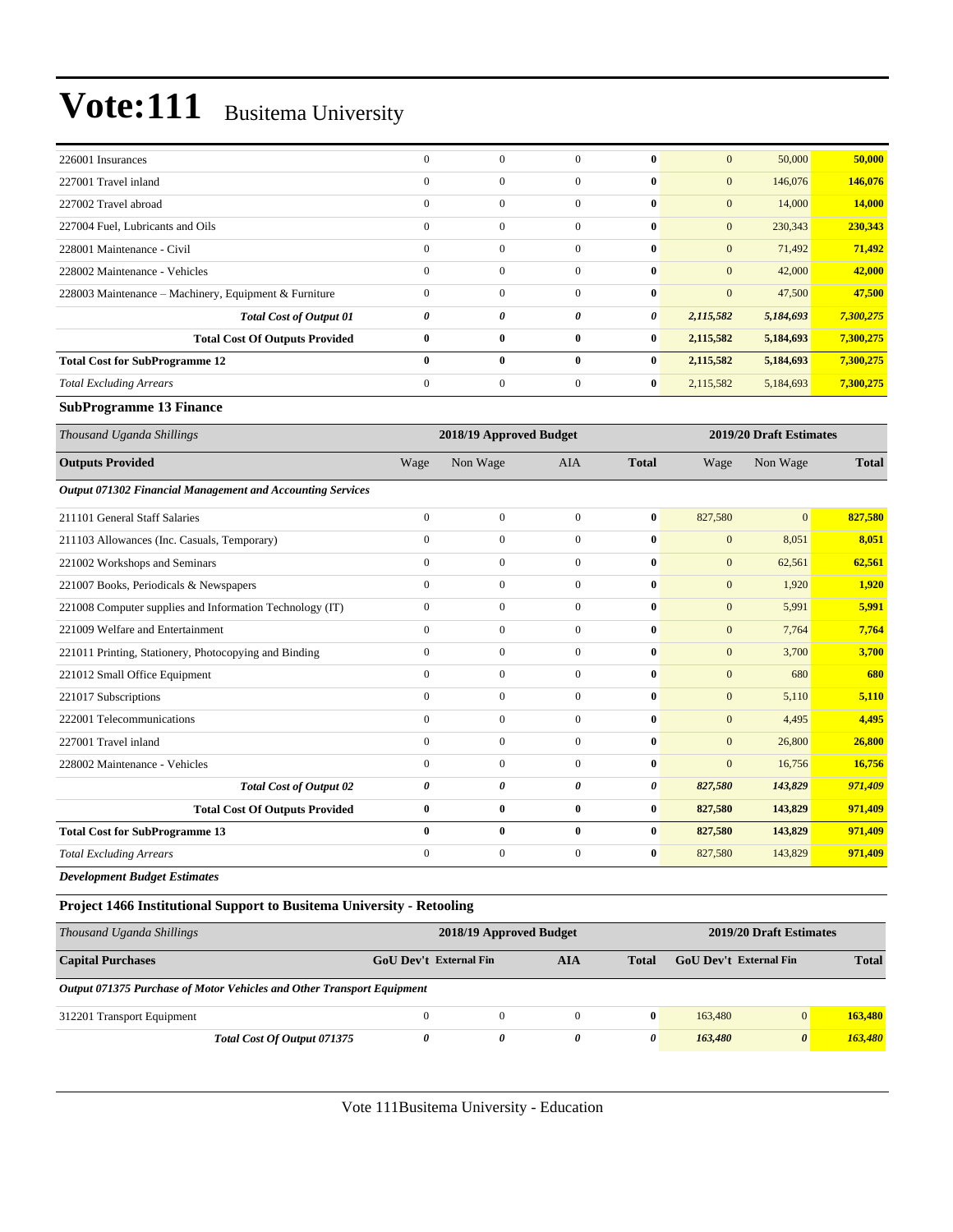| 226001 Insurances                                     | $\Omega$       | $\mathbf{0}$ | $\Omega$     | $\mathbf{0}$ | $\overline{0}$ | 50,000    | 50,000    |
|-------------------------------------------------------|----------------|--------------|--------------|--------------|----------------|-----------|-----------|
| 227001 Travel inland                                  | $\mathbf{0}$   | $\mathbf{0}$ | $\Omega$     | $\mathbf{0}$ | $\mathbf{0}$   | 146,076   | 146,076   |
| 227002 Travel abroad                                  | $\overline{0}$ | $\mathbf{0}$ | $\mathbf{0}$ | $\mathbf{0}$ | $\overline{0}$ | 14,000    | 14,000    |
| 227004 Fuel, Lubricants and Oils                      | $\mathbf{0}$   | $\mathbf{0}$ | $\Omega$     | $\bf{0}$     | $\mathbf{0}$   | 230,343   | 230,343   |
| 228001 Maintenance - Civil                            | $\overline{0}$ | $\mathbf{0}$ | $\Omega$     | $\bf{0}$     | $\overline{0}$ | 71,492    | 71,492    |
| 228002 Maintenance - Vehicles                         | $\mathbf{0}$   | $\mathbf{0}$ | $\mathbf{0}$ | $\bf{0}$     | $\mathbf{0}$   | 42,000    | 42,000    |
| 228003 Maintenance – Machinery, Equipment & Furniture | $\overline{0}$ | $\mathbf{0}$ | $\mathbf{0}$ | $\mathbf{0}$ | $\mathbf{0}$   | 47,500    | 47,500    |
| <b>Total Cost of Output 01</b>                        | 0              | 0            | 0            | $\theta$     | 2,115,582      | 5,184,693 | 7,300,275 |
| <b>Total Cost Of Outputs Provided</b>                 | $\bf{0}$       | $\bf{0}$     | $\bf{0}$     | $\bf{0}$     | 2,115,582      | 5,184,693 | 7,300,275 |
| <b>Total Cost for SubProgramme 12</b>                 | $\mathbf{0}$   | $\bf{0}$     | $\mathbf{0}$ | $\bf{0}$     | 2,115,582      | 5,184,693 | 7,300,275 |
| <b>Total Excluding Arrears</b>                        | $\overline{0}$ | $\mathbf{0}$ | $\mathbf{0}$ | $\bf{0}$     | 2,115,582      | 5,184,693 | 7,300,275 |

#### **SubProgramme 13 Finance**

| Thousand Uganda Shillings                                         |              | 2018/19 Approved Budget |              |              |              | 2019/20 Draft Estimates |              |
|-------------------------------------------------------------------|--------------|-------------------------|--------------|--------------|--------------|-------------------------|--------------|
| <b>Outputs Provided</b>                                           | Wage         | Non Wage                | <b>AIA</b>   | <b>Total</b> | Wage         | Non Wage                | <b>Total</b> |
| <b>Output 071302 Financial Management and Accounting Services</b> |              |                         |              |              |              |                         |              |
| 211101 General Staff Salaries                                     | $\mathbf{0}$ | $\boldsymbol{0}$        | $\mathbf{0}$ | $\bf{0}$     | 827,580      | $\mathbf{0}$            | 827,580      |
| 211103 Allowances (Inc. Casuals, Temporary)                       | $\mathbf{0}$ | $\mathbf{0}$            | $\mathbf{0}$ | $\bf{0}$     | $\mathbf{0}$ | 8,051                   | 8,051        |
| 221002 Workshops and Seminars                                     | $\Omega$     | $\mathbf{0}$            | $\theta$     | 0            | $\mathbf{0}$ | 62,561                  | 62,561       |
| 221007 Books, Periodicals & Newspapers                            | $\Omega$     | $\mathbf{0}$            | $\Omega$     | 0            | $\mathbf{0}$ | 1,920                   | 1,920        |
| 221008 Computer supplies and Information Technology (IT)          | $\mathbf{0}$ | $\mathbf{0}$            | $\mathbf{0}$ | 0            | $\mathbf{0}$ | 5,991                   | 5,991        |
| 221009 Welfare and Entertainment                                  | $\mathbf{0}$ | $\mathbf{0}$            | $\mathbf{0}$ | 0            | $\mathbf{0}$ | 7,764                   | 7,764        |
| 221011 Printing, Stationery, Photocopying and Binding             | $\Omega$     | $\mathbf{0}$            | $\Omega$     | 0            | $\mathbf{0}$ | 3,700                   | 3,700        |
| 221012 Small Office Equipment                                     | $\mathbf{0}$ | $\mathbf{0}$            | $\Omega$     | 0            | $\mathbf{0}$ | 680                     | 680          |
| 221017 Subscriptions                                              | $\mathbf{0}$ | $\mathbf{0}$            | $\mathbf{0}$ | $\bf{0}$     | $\mathbf{0}$ | 5,110                   | 5,110        |
| 222001 Telecommunications                                         | $\mathbf{0}$ | $\boldsymbol{0}$        | $\mathbf{0}$ | $\bf{0}$     | $\mathbf{0}$ | 4,495                   | 4,495        |
| 227001 Travel inland                                              | $\mathbf{0}$ | $\mathbf{0}$            | $\mathbf{0}$ | 0            | $\mathbf{0}$ | 26,800                  | 26,800       |
| 228002 Maintenance - Vehicles                                     | $\mathbf{0}$ | $\mathbf{0}$            | $\mathbf{0}$ | 0            | $\mathbf{0}$ | 16,756                  | 16,756       |
| <b>Total Cost of Output 02</b>                                    | 0            | 0                       | 0            | 0            | 827,580      | 143,829                 | 971,409      |
| <b>Total Cost Of Outputs Provided</b>                             | $\bf{0}$     | $\bf{0}$                | $\mathbf{0}$ | $\bf{0}$     | 827,580      | 143,829                 | 971,409      |
| <b>Total Cost for SubProgramme 13</b>                             | $\bf{0}$     | $\bf{0}$                | $\bf{0}$     | $\bf{0}$     | 827,580      | 143,829                 | 971,409      |
| <b>Total Excluding Arrears</b>                                    | $\mathbf{0}$ | $\boldsymbol{0}$        | $\mathbf{0}$ | $\bf{0}$     | 827,580      | 143,829                 | 971,409      |
| <b>Development Budget Estimates</b>                               |              |                         |              |              |              |                         |              |

#### **Project 1466 Institutional Support to Busitema University - Retooling**

| Thousand Uganda Shillings                                              | 2018/19 Approved Budget |   |          |              |                               | 2019/20 Draft Estimates |              |  |
|------------------------------------------------------------------------|-------------------------|---|----------|--------------|-------------------------------|-------------------------|--------------|--|
| <b>Capital Purchases</b>                                               | GoU Dev't External Fin  |   | AIA      | <b>Total</b> | <b>GoU</b> Dev't External Fin |                         | <b>Total</b> |  |
| Output 071375 Purchase of Motor Vehicles and Other Transport Equipment |                         |   |          |              |                               |                         |              |  |
| 312201 Transport Equipment                                             |                         | 0 | $\Omega$ | $\mathbf{0}$ | 163,480                       | $\overline{0}$          | 163,480      |  |
| Total Cost Of Output 071375                                            |                         | 0 | 0        | 0            | 163,480                       | $\boldsymbol{\theta}$   | 163,480      |  |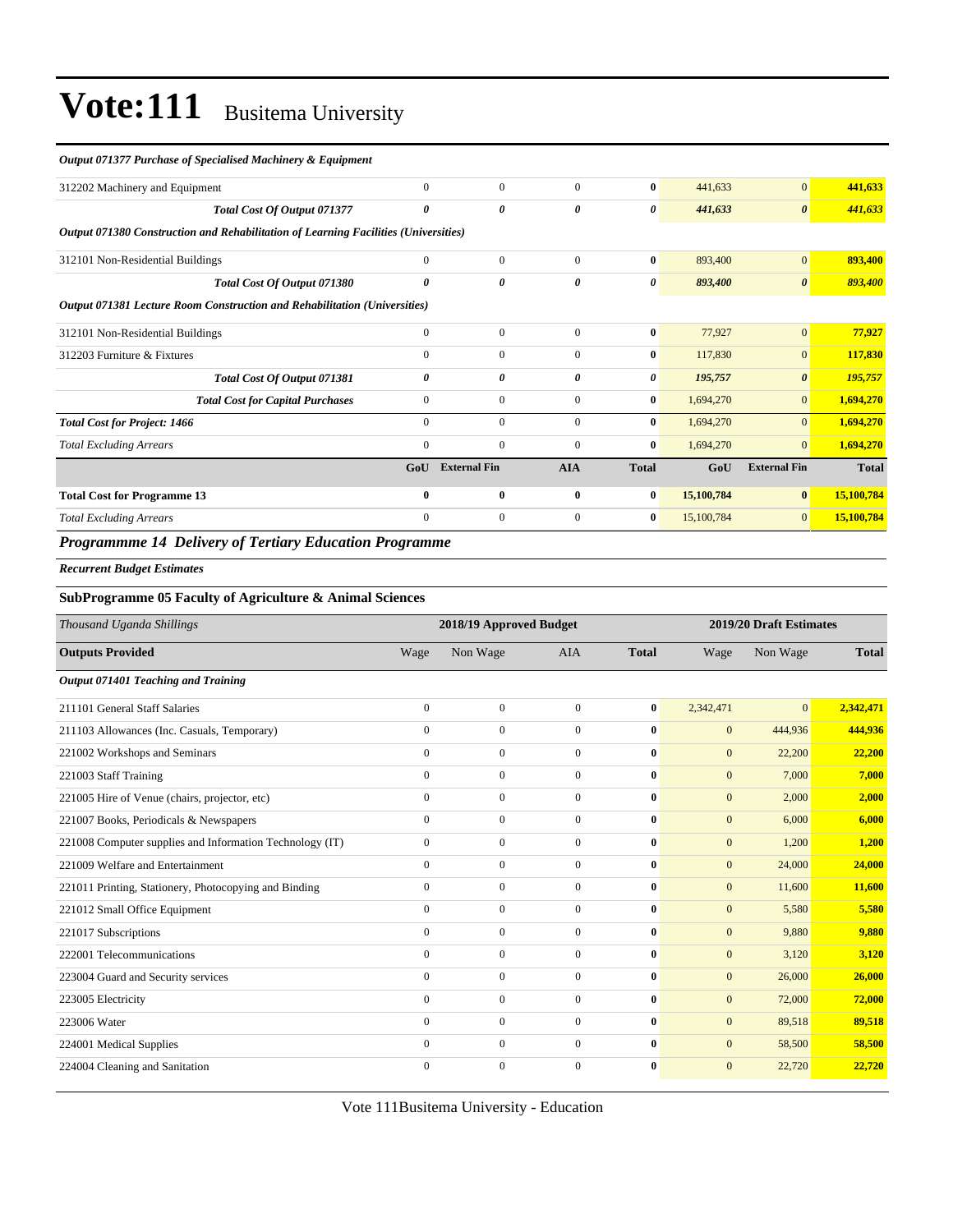#### *Output 071377 Purchase of Specialised Machinery & Equipment*

| <b>Total Excluding Arrears</b>                                                      | $\mathbf{0}$          | $\mathbf{0}$        | $\Omega$     | $\bf{0}$     | 15,100,784 | $\overline{0}$        | 15,100,784   |
|-------------------------------------------------------------------------------------|-----------------------|---------------------|--------------|--------------|------------|-----------------------|--------------|
| <b>Total Cost for Programme 13</b>                                                  | $\mathbf{0}$          | $\mathbf{0}$        | $\mathbf{0}$ | $\bf{0}$     | 15,100,784 | $\bf{0}$              | 15,100,784   |
|                                                                                     | GoU                   | <b>External Fin</b> | <b>AIA</b>   | <b>Total</b> | GoU        | <b>External Fin</b>   | <b>Total</b> |
| <b>Total Excluding Arrears</b>                                                      | $\mathbf{0}$          | $\mathbf{0}$        | $\mathbf{0}$ | $\bf{0}$     | 1,694,270  | $\overline{0}$        | 1,694,270    |
| <b>Total Cost for Project: 1466</b>                                                 | $\mathbf{0}$          | $\mathbf{0}$        | $\mathbf{0}$ | $\bf{0}$     | 1,694,270  | $\overline{0}$        | 1,694,270    |
| <b>Total Cost for Capital Purchases</b>                                             | $\mathbf{0}$          | $\mathbf{0}$        | $\Omega$     | $\bf{0}$     | 1,694,270  | $\overline{0}$        | 1,694,270    |
| Total Cost Of Output 071381                                                         | 0                     | 0                   | $\theta$     | 0            | 195,757    | $\boldsymbol{\theta}$ | 195,757      |
| 312203 Furniture & Fixtures                                                         | $\Omega$              | $\Omega$            | $\Omega$     | $\bf{0}$     | 117,830    | $\mathbf{0}$          | 117,830      |
| 312101 Non-Residential Buildings                                                    | $\mathbf{0}$          | $\mathbf{0}$        | $\Omega$     | $\bf{0}$     | 77,927     | $\mathbf{0}$          | 77,927       |
| Output 071381 Lecture Room Construction and Rehabilitation (Universities)           |                       |                     |              |              |            |                       |              |
| Total Cost Of Output 071380                                                         | $\boldsymbol{\theta}$ | 0                   | $\theta$     | $\theta$     | 893,400    | $\boldsymbol{\theta}$ | 893,400      |
| 312101 Non-Residential Buildings                                                    | $\Omega$              | $\Omega$            | $\Omega$     | $\mathbf{0}$ | 893,400    | $\mathbf{0}$          | 893,400      |
| Output 071380 Construction and Rehabilitation of Learning Facilities (Universities) |                       |                     |              |              |            |                       |              |
| Total Cost Of Output 071377                                                         | 0                     | 0                   | 0            | $\theta$     | 441,633    | $\boldsymbol{\theta}$ | 441,633      |
| 312202 Machinery and Equipment                                                      | $\Omega$              | $\Omega$            | $\Omega$     | $\mathbf{0}$ | 441,633    | $\mathbf{0}$          | 441,633      |

#### *Programmme 14 Delivery of Tertiary Education Programme*

*Recurrent Budget Estimates*

#### **SubProgramme 05 Faculty of Agriculture & Animal Sciences**

| Thousand Uganda Shillings                                | 2018/19 Approved Budget |                  |                |              | 2019/20 Draft Estimates |              |              |  |
|----------------------------------------------------------|-------------------------|------------------|----------------|--------------|-------------------------|--------------|--------------|--|
| <b>Outputs Provided</b>                                  | Wage                    | Non Wage         | <b>AIA</b>     | <b>Total</b> | Wage                    | Non Wage     | <b>Total</b> |  |
| Output 071401 Teaching and Training                      |                         |                  |                |              |                         |              |              |  |
| 211101 General Staff Salaries                            | $\mathbf{0}$            | $\boldsymbol{0}$ | $\Omega$       | $\bf{0}$     | 2,342,471               | $\mathbf{0}$ | 2,342,471    |  |
| 211103 Allowances (Inc. Casuals, Temporary)              | $\Omega$                | $\mathbf{0}$     | $\Omega$       | $\bf{0}$     | $\mathbf{0}$            | 444,936      | 444,936      |  |
| 221002 Workshops and Seminars                            | $\mathbf{0}$            | $\boldsymbol{0}$ | $\Omega$       | $\bf{0}$     | $\mathbf{0}$            | 22,200       | 22,200       |  |
| 221003 Staff Training                                    | $\overline{0}$          | $\boldsymbol{0}$ | $\mathbf{0}$   | 0            | $\mathbf{0}$            | 7,000        | 7,000        |  |
| 221005 Hire of Venue (chairs, projector, etc)            | $\mathbf{0}$            | $\mathbf{0}$     | $\mathbf{0}$   | $\bf{0}$     | $\mathbf{0}$            | 2,000        | 2,000        |  |
| 221007 Books, Periodicals & Newspapers                   | $\mathbf{0}$            | $\mathbf{0}$     | $\mathbf{0}$   | $\bf{0}$     | $\mathbf{0}$            | 6,000        | 6,000        |  |
| 221008 Computer supplies and Information Technology (IT) | $\mathbf{0}$            | $\boldsymbol{0}$ | $\Omega$       | $\bf{0}$     | $\mathbf{0}$            | 1,200        | 1,200        |  |
| 221009 Welfare and Entertainment                         | $\mathbf{0}$            | $\mathbf{0}$     | $\mathbf{0}$   | $\bf{0}$     | $\mathbf{0}$            | 24,000       | 24,000       |  |
| 221011 Printing, Stationery, Photocopying and Binding    | $\mathbf{0}$            | $\mathbf{0}$     | $\mathbf{0}$   | $\bf{0}$     | $\overline{0}$          | 11,600       | 11,600       |  |
| 221012 Small Office Equipment                            | $\mathbf{0}$            | $\boldsymbol{0}$ | $\mathbf{0}$   | $\bf{0}$     | $\mathbf{0}$            | 5,580        | 5,580        |  |
| 221017 Subscriptions                                     | $\mathbf{0}$            | $\mathbf{0}$     | $\overline{0}$ | $\bf{0}$     | $\mathbf{0}$            | 9,880        | 9,880        |  |
| 222001 Telecommunications                                | $\mathbf{0}$            | $\mathbf{0}$     | $\mathbf{0}$   | $\bf{0}$     | $\mathbf{0}$            | 3,120        | 3,120        |  |
| 223004 Guard and Security services                       | $\mathbf{0}$            | $\mathbf{0}$     | $\mathbf{0}$   | 0            | $\mathbf{0}$            | 26,000       | 26,000       |  |
| 223005 Electricity                                       | $\mathbf{0}$            | $\mathbf{0}$     | $\mathbf{0}$   | 0            | $\mathbf{0}$            | 72,000       | 72,000       |  |
| 223006 Water                                             | $\mathbf{0}$            | $\mathbf{0}$     | $\Omega$       | 0            | $\mathbf{0}$            | 89,518       | 89,518       |  |
| 224001 Medical Supplies                                  | $\mathbf{0}$            | $\boldsymbol{0}$ | $\Omega$       | $\bf{0}$     | $\mathbf{0}$            | 58,500       | 58,500       |  |
| 224004 Cleaning and Sanitation                           | $\Omega$                | $\mathbf{0}$     | $\Omega$       | 0            | $\mathbf{0}$            | 22,720       | 22,720       |  |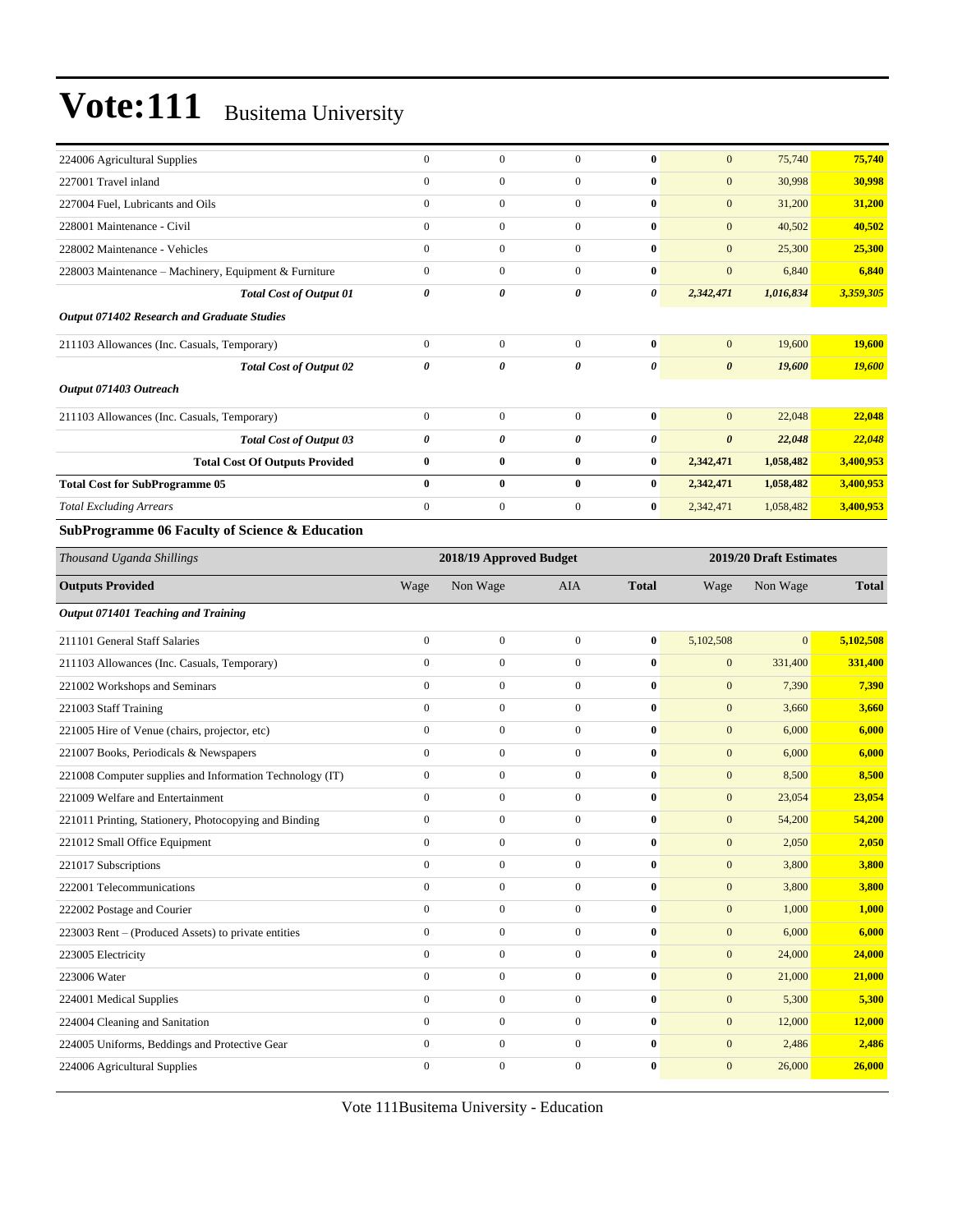| 224006 Agricultural Supplies                          | $\mathbf{0}$ | $\Omega$       | $\Omega$       | $\bf{0}$              | $\mathbf{0}$          | 75,740    | 75,740    |
|-------------------------------------------------------|--------------|----------------|----------------|-----------------------|-----------------------|-----------|-----------|
| 227001 Travel inland                                  | $\mathbf{0}$ | $\mathbf{0}$   | $\Omega$       | $\bf{0}$              | $\mathbf{0}$          | 30,998    | 30,998    |
| 227004 Fuel, Lubricants and Oils                      | $\mathbf{0}$ | $\mathbf{0}$   | $\Omega$       | $\bf{0}$              | $\mathbf{0}$          | 31,200    | 31,200    |
| 228001 Maintenance - Civil                            | $\mathbf{0}$ | $\overline{0}$ | $\overline{0}$ | $\bf{0}$              | $\mathbf{0}$          | 40,502    | 40,502    |
| 228002 Maintenance - Vehicles                         | $\mathbf{0}$ | $\mathbf{0}$   | $\overline{0}$ | $\bf{0}$              | $\mathbf{0}$          | 25,300    | 25,300    |
| 228003 Maintenance – Machinery, Equipment & Furniture | $\mathbf{0}$ | $\mathbf{0}$   | $\overline{0}$ | $\bf{0}$              | $\mathbf{0}$          | 6,840     | 6,840     |
| <b>Total Cost of Output 01</b>                        | 0            | 0              | 0              | 0                     | 2,342,471             | 1,016,834 | 3,359,305 |
| <b>Output 071402 Research and Graduate Studies</b>    |              |                |                |                       |                       |           |           |
| 211103 Allowances (Inc. Casuals, Temporary)           | $\mathbf{0}$ | $\mathbf{0}$   | $\Omega$       | $\bf{0}$              | $\mathbf{0}$          | 19,600    | 19,600    |
| <b>Total Cost of Output 02</b>                        | 0            | 0              | 0              | $\boldsymbol{\theta}$ | $\boldsymbol{\theta}$ | 19,600    | 19,600    |
| Output 071403 Outreach                                |              |                |                |                       |                       |           |           |
| 211103 Allowances (Inc. Casuals, Temporary)           | $\mathbf{0}$ | $\Omega$       | $\Omega$       | $\bf{0}$              | $\mathbf{0}$          | 22,048    | 22,048    |
| <b>Total Cost of Output 03</b>                        | 0            | 0              | 0              | $\boldsymbol{\theta}$ | $\boldsymbol{\theta}$ | 22,048    | 22,048    |
| <b>Total Cost Of Outputs Provided</b>                 | $\bf{0}$     | $\bf{0}$       | 0              | $\bf{0}$              | 2,342,471             | 1,058,482 | 3,400,953 |
| <b>Total Cost for SubProgramme 05</b>                 | $\bf{0}$     | $\bf{0}$       | $\bf{0}$       | $\bf{0}$              | 2,342,471             | 1,058,482 | 3,400,953 |
| <b>Total Excluding Arrears</b>                        | $\mathbf{0}$ | $\mathbf{0}$   | $\overline{0}$ | $\bf{0}$              | 2,342,471             | 1,058,482 | 3,400,953 |
| SubProgramme 06 Faculty of Science & Education        |              |                |                |                       |                       |           |           |

### **SubProgramme 06 Faculty of Science & Education**

| Thousand Uganda Shillings                                |              | 2018/19 Approved Budget |                |              | 2019/20 Draft Estimates |              |              |
|----------------------------------------------------------|--------------|-------------------------|----------------|--------------|-------------------------|--------------|--------------|
| <b>Outputs Provided</b>                                  | Wage         | Non Wage                | <b>AIA</b>     | <b>Total</b> | Wage                    | Non Wage     | <b>Total</b> |
| Output 071401 Teaching and Training                      |              |                         |                |              |                         |              |              |
| 211101 General Staff Salaries                            | $\mathbf{0}$ | $\mathbf{0}$            | $\overline{0}$ | $\bf{0}$     | 5,102,508               | $\mathbf{0}$ | 5,102,508    |
| 211103 Allowances (Inc. Casuals, Temporary)              | $\mathbf{0}$ | $\mathbf{0}$            | $\overline{0}$ | $\bf{0}$     | $\mathbf{0}$            | 331,400      | 331,400      |
| 221002 Workshops and Seminars                            | $\Omega$     | $\overline{0}$          | $\overline{0}$ | $\bf{0}$     | $\mathbf{0}$            | 7,390        | 7,390        |
| 221003 Staff Training                                    | $\mathbf{0}$ | $\overline{0}$          | $\overline{0}$ | $\bf{0}$     | $\mathbf{0}$            | 3,660        | 3,660        |
| 221005 Hire of Venue (chairs, projector, etc)            | $\Omega$     | $\mathbf{0}$            | $\overline{0}$ | $\mathbf{0}$ | $\overline{0}$          | 6,000        | 6,000        |
| 221007 Books, Periodicals & Newspapers                   | $\mathbf{0}$ | $\boldsymbol{0}$        | $\overline{0}$ | $\bf{0}$     | $\mathbf{0}$            | 6,000        | 6,000        |
| 221008 Computer supplies and Information Technology (IT) | $\mathbf{0}$ | $\boldsymbol{0}$        | $\overline{0}$ | $\mathbf{0}$ | $\mathbf{0}$            | 8,500        | 8,500        |
| 221009 Welfare and Entertainment                         | $\Omega$     | $\mathbf{0}$            | $\Omega$       | $\bf{0}$     | $\mathbf{0}$            | 23,054       | 23,054       |
| 221011 Printing, Stationery, Photocopying and Binding    | $\mathbf{0}$ | $\boldsymbol{0}$        | $\overline{0}$ | $\bf{0}$     | $\mathbf{0}$            | 54,200       | 54,200       |
| 221012 Small Office Equipment                            | $\Omega$     | $\overline{0}$          | $\overline{0}$ | $\bf{0}$     | $\mathbf{0}$            | 2,050        | 2,050        |
| 221017 Subscriptions                                     | $\mathbf{0}$ | $\boldsymbol{0}$        | $\overline{0}$ | $\bf{0}$     | $\mathbf{0}$            | 3,800        | 3,800        |
| 222001 Telecommunications                                | $\mathbf{0}$ | $\overline{0}$          | $\overline{0}$ | $\bf{0}$     | $\mathbf{0}$            | 3,800        | 3,800        |
| 222002 Postage and Courier                               | $\mathbf{0}$ | $\overline{0}$          | $\overline{0}$ | $\bf{0}$     | $\mathbf{0}$            | 1,000        | 1,000        |
| 223003 Rent – (Produced Assets) to private entities      | $\mathbf{0}$ | $\mathbf{0}$            | $\overline{0}$ | $\bf{0}$     | $\mathbf{0}$            | 6,000        | 6,000        |
| 223005 Electricity                                       | $\mathbf{0}$ | $\mathbf{0}$            | $\overline{0}$ | $\bf{0}$     | $\mathbf{0}$            | 24,000       | 24,000       |
| 223006 Water                                             | $\mathbf{0}$ | $\overline{0}$          | $\overline{0}$ | $\bf{0}$     | $\mathbf{0}$            | 21,000       | 21,000       |
| 224001 Medical Supplies                                  | $\mathbf{0}$ | $\overline{0}$          | $\overline{0}$ | $\bf{0}$     | $\mathbf{0}$            | 5,300        | 5,300        |
| 224004 Cleaning and Sanitation                           | $\mathbf{0}$ | $\mathbf{0}$            | $\Omega$       | $\mathbf{0}$ | $\mathbf{0}$            | 12,000       | 12,000       |
| 224005 Uniforms, Beddings and Protective Gear            | $\mathbf{0}$ | $\overline{0}$          | $\overline{0}$ | $\mathbf{0}$ | $\mathbf{0}$            | 2,486        | 2,486        |
| 224006 Agricultural Supplies                             | $\Omega$     | $\Omega$                | $\Omega$       | $\mathbf{0}$ | $\mathbf{0}$            | 26,000       | 26,000       |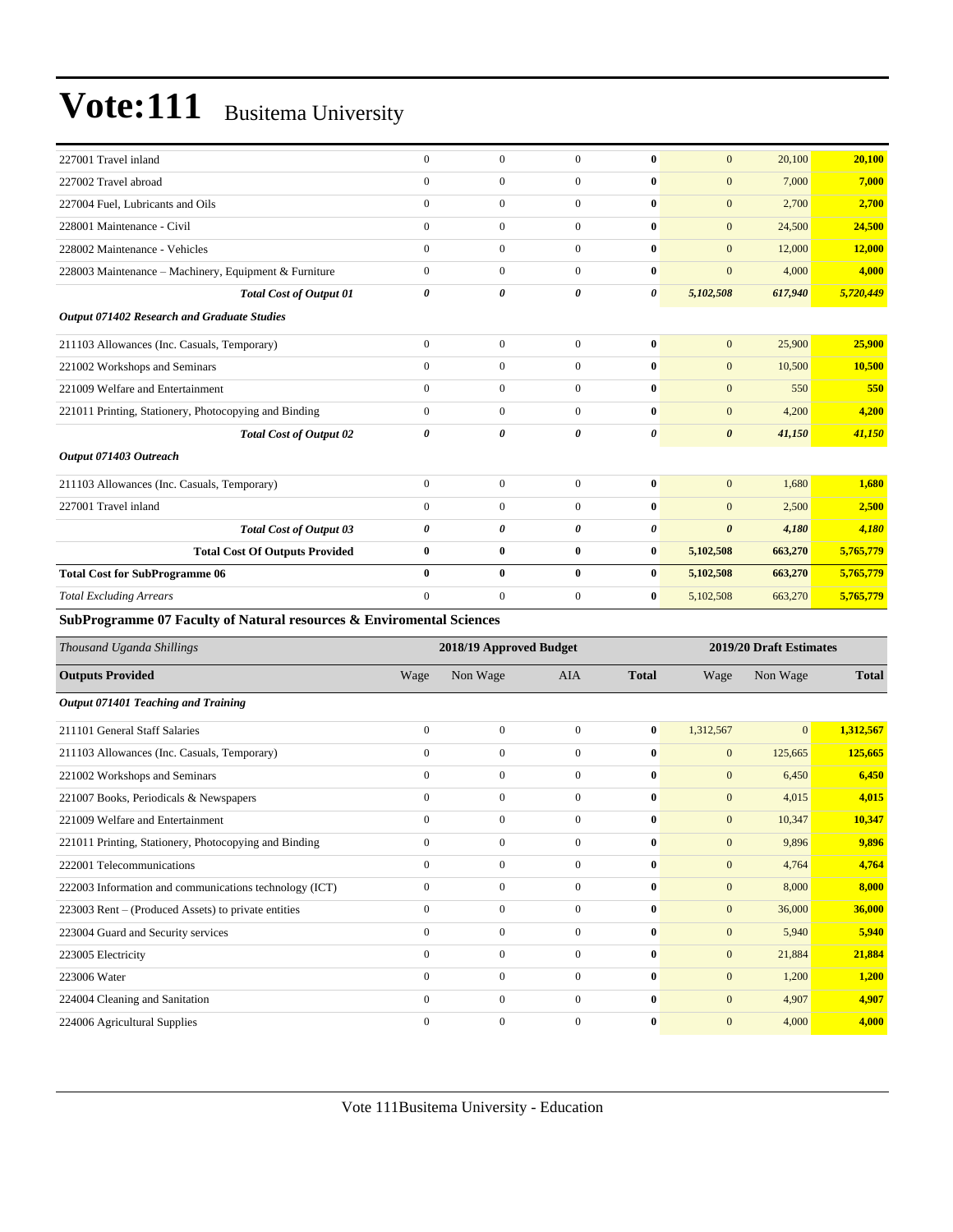| 227001 Travel inland                                                            | $\mathbf{0}$ | $\Omega$     | $\Omega$       | $\mathbf{0}$          | $\mathbf{0}$          | 20,100  | 20,100    |
|---------------------------------------------------------------------------------|--------------|--------------|----------------|-----------------------|-----------------------|---------|-----------|
| 227002 Travel abroad                                                            | $\mathbf{0}$ | $\mathbf{0}$ | $\overline{0}$ | $\bf{0}$              | $\mathbf{0}$          | 7,000   | 7,000     |
| 227004 Fuel, Lubricants and Oils                                                | $\mathbf{0}$ | $\mathbf{0}$ | $\overline{0}$ | $\bf{0}$              | $\mathbf{0}$          | 2,700   | 2,700     |
| 228001 Maintenance - Civil                                                      | $\mathbf{0}$ | $\mathbf{0}$ | $\overline{0}$ | $\mathbf{0}$          | $\mathbf{0}$          | 24,500  | 24,500    |
| 228002 Maintenance - Vehicles                                                   | $\mathbf{0}$ | $\mathbf{0}$ | $\overline{0}$ | $\bf{0}$              | $\overline{0}$        | 12,000  | 12,000    |
| 228003 Maintenance - Machinery, Equipment & Furniture                           | $\mathbf{0}$ | $\mathbf{0}$ | $\overline{0}$ | $\mathbf{0}$          | $\mathbf{0}$          | 4,000   | 4,000     |
| <b>Total Cost of Output 01</b>                                                  | 0            | $\theta$     | 0              | $\boldsymbol{\theta}$ | 5,102,508             | 617,940 | 5,720,449 |
| Output 071402 Research and Graduate Studies                                     |              |              |                |                       |                       |         |           |
| 211103 Allowances (Inc. Casuals, Temporary)                                     | $\mathbf{0}$ | $\mathbf{0}$ | $\Omega$       | $\bf{0}$              | $\mathbf{0}$          | 25,900  | 25,900    |
| 221002 Workshops and Seminars                                                   | $\mathbf{0}$ | $\mathbf{0}$ | $\overline{0}$ | $\bf{0}$              | $\mathbf{0}$          | 10,500  | 10,500    |
| 221009 Welfare and Entertainment                                                | $\mathbf{0}$ | $\mathbf{0}$ | $\overline{0}$ | $\bf{0}$              | $\mathbf{0}$          | 550     | 550       |
| 221011 Printing, Stationery, Photocopying and Binding                           | $\mathbf{0}$ | $\mathbf{0}$ | $\overline{0}$ | $\bf{0}$              | $\mathbf{0}$          | 4,200   | 4,200     |
| <b>Total Cost of Output 02</b>                                                  | 0            | 0            | 0              | $\theta$              | $\boldsymbol{\theta}$ | 41,150  | 41,150    |
| Output 071403 Outreach                                                          |              |              |                |                       |                       |         |           |
| 211103 Allowances (Inc. Casuals, Temporary)                                     | $\mathbf{0}$ | $\mathbf{0}$ | $\overline{0}$ | $\bf{0}$              | $\mathbf{0}$          | 1.680   | 1.680     |
| 227001 Travel inland                                                            | $\mathbf{0}$ | $\mathbf{0}$ | $\overline{0}$ | $\bf{0}$              | $\mathbf{0}$          | 2,500   | 2,500     |
| <b>Total Cost of Output 03</b>                                                  | 0            | 0            | 0              | $\boldsymbol{\theta}$ | $\boldsymbol{\theta}$ | 4,180   | 4,180     |
| <b>Total Cost Of Outputs Provided</b>                                           | $\bf{0}$     | $\bf{0}$     | $\bf{0}$       | $\bf{0}$              | 5,102,508             | 663,270 | 5,765,779 |
| <b>Total Cost for SubProgramme 06</b>                                           | $\bf{0}$     | $\bf{0}$     | $\bf{0}$       | $\bf{0}$              | 5,102,508             | 663,270 | 5,765,779 |
| <b>Total Excluding Arrears</b>                                                  | $\mathbf{0}$ | $\mathbf{0}$ | $\overline{0}$ | $\bf{0}$              | 5,102,508             | 663,270 | 5,765,779 |
| <b>SubProgramme 07 Faculty of Natural resources &amp; Enviromental Sciences</b> |              |              |                |                       |                       |         |           |

| Thousand Uganda Shillings                              |                | 2018/19 Approved Budget |              |              | 2019/20 Draft Estimates |                |              |
|--------------------------------------------------------|----------------|-------------------------|--------------|--------------|-------------------------|----------------|--------------|
| <b>Outputs Provided</b>                                | Wage           | Non Wage                | <b>AIA</b>   | <b>Total</b> | Wage                    | Non Wage       | <b>Total</b> |
| Output 071401 Teaching and Training                    |                |                         |              |              |                         |                |              |
| 211101 General Staff Salaries                          | $\mathbf{0}$   | $\boldsymbol{0}$        | $\mathbf{0}$ | $\bf{0}$     | 1,312,567               | $\overline{0}$ | 1,312,567    |
| 211103 Allowances (Inc. Casuals, Temporary)            | $\mathbf{0}$   | $\mathbf{0}$            | $\mathbf{0}$ | $\bf{0}$     | $\mathbf{0}$            | 125,665        | 125,665      |
| 221002 Workshops and Seminars                          | $\mathbf{0}$   | $\mathbf{0}$            | $\mathbf{0}$ | $\bf{0}$     | $\mathbf{0}$            | 6,450          | 6,450        |
| 221007 Books, Periodicals & Newspapers                 | $\mathbf{0}$   | $\overline{0}$          | $\Omega$     | $\bf{0}$     | $\mathbf{0}$            | 4,015          | 4,015        |
| 221009 Welfare and Entertainment                       | $\mathbf{0}$   | $\boldsymbol{0}$        | $\mathbf{0}$ | $\bf{0}$     | $\mathbf{0}$            | 10,347         | 10,347       |
| 221011 Printing, Stationery, Photocopying and Binding  | $\overline{0}$ | $\mathbf{0}$            | $\mathbf{0}$ | $\bf{0}$     | $\boldsymbol{0}$        | 9,896          | 9,896        |
| 222001 Telecommunications                              | $\mathbf{0}$   | $\mathbf{0}$            | $\mathbf{0}$ | $\bf{0}$     | $\mathbf{0}$            | 4,764          | 4,764        |
| 222003 Information and communications technology (ICT) | $\overline{0}$ | $\mathbf{0}$            | $\mathbf{0}$ | $\bf{0}$     | $\mathbf{0}$            | 8,000          | 8,000        |
| 223003 Rent – (Produced Assets) to private entities    | $\overline{0}$ | $\mathbf{0}$            | $\mathbf{0}$ | $\bf{0}$     | $\overline{0}$          | 36,000         | 36,000       |
| 223004 Guard and Security services                     | $\overline{0}$ | $\mathbf{0}$            | $\mathbf{0}$ | $\bf{0}$     | $\overline{0}$          | 5,940          | 5,940        |
| 223005 Electricity                                     | $\mathbf{0}$   | $\mathbf{0}$            | $\mathbf{0}$ | $\bf{0}$     | $\mathbf{0}$            | 21,884         | 21,884       |
| 223006 Water                                           | $\mathbf{0}$   | $\overline{0}$          | $\Omega$     | $\bf{0}$     | $\overline{0}$          | 1,200          | 1,200        |
| 224004 Cleaning and Sanitation                         | $\overline{0}$ | $\mathbf{0}$            | $\Omega$     | $\bf{0}$     | $\overline{0}$          | 4,907          | 4,907        |
| 224006 Agricultural Supplies                           | $\mathbf{0}$   | $\mathbf{0}$            | $\mathbf{0}$ | $\bf{0}$     | $\overline{0}$          | 4,000          | 4,000        |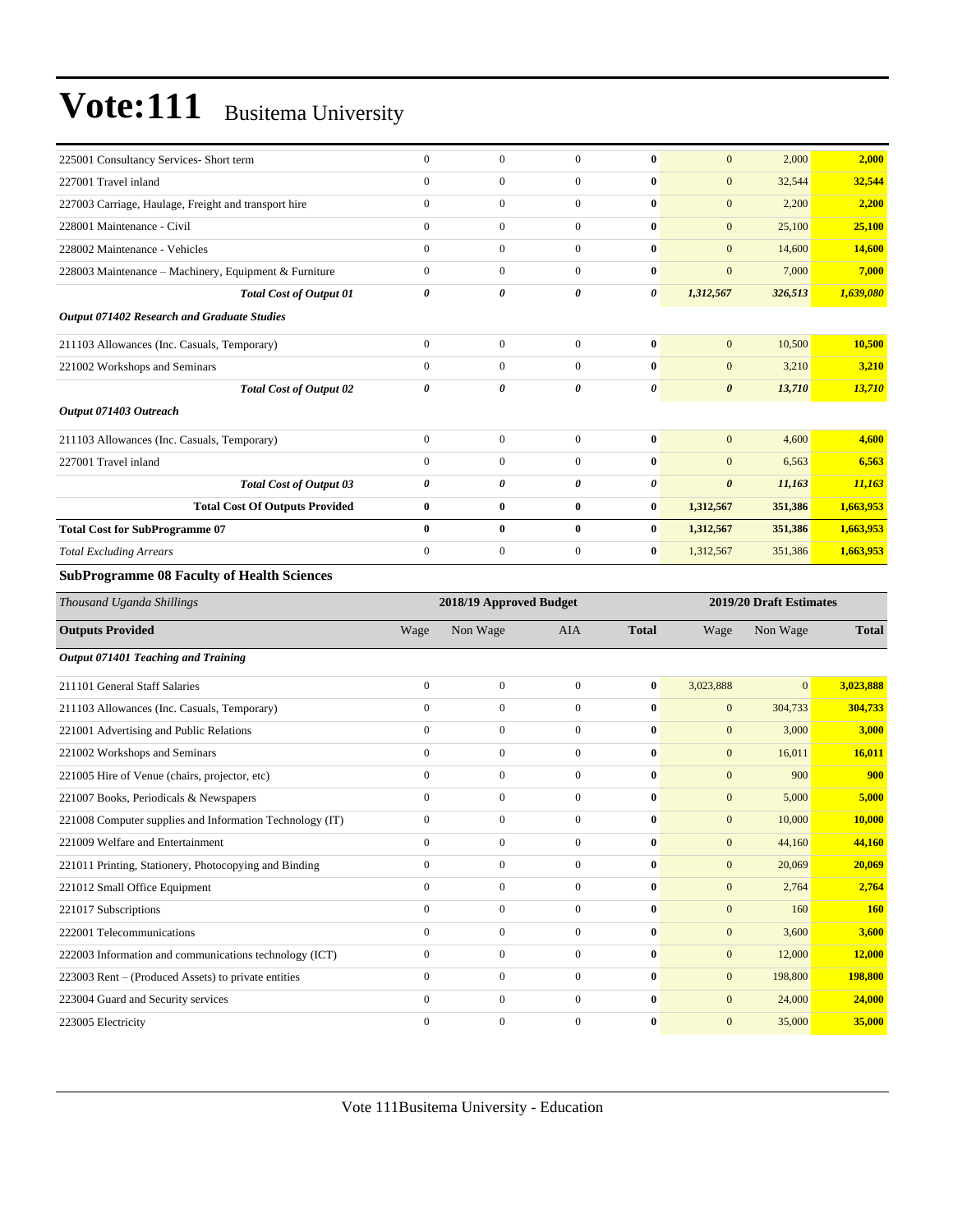| 225001 Consultancy Services- Short term                  | $\boldsymbol{0}$                 | $\boldsymbol{0}$                     | $\mathbf{0}$                         | $\bf{0}$              | $\mathbf{0}$                 | 2,000                   | 2,000            |
|----------------------------------------------------------|----------------------------------|--------------------------------------|--------------------------------------|-----------------------|------------------------------|-------------------------|------------------|
| 227001 Travel inland                                     | $\mathbf{0}$                     | $\boldsymbol{0}$                     | $\overline{0}$                       | $\bf{0}$              | $\boldsymbol{0}$             | 32,544                  | 32,544           |
| 227003 Carriage, Haulage, Freight and transport hire     | $\mathbf{0}$                     | $\mathbf{0}$                         | $\overline{0}$                       | $\bf{0}$              | $\boldsymbol{0}$             | 2,200                   | 2,200            |
| 228001 Maintenance - Civil                               | $\mathbf{0}$                     | $\boldsymbol{0}$                     | $\boldsymbol{0}$                     | $\bf{0}$              | $\mathbf{0}$                 | 25,100                  | 25,100           |
| 228002 Maintenance - Vehicles                            | $\mathbf{0}$                     | $\overline{0}$                       | $\overline{0}$                       | $\bf{0}$              | $\mathbf{0}$                 | 14,600                  | 14,600           |
| 228003 Maintenance - Machinery, Equipment & Furniture    | $\mathbf{0}$                     | $\mathbf{0}$                         | $\overline{0}$                       | $\bf{0}$              | $\mathbf{0}$                 | 7,000                   | 7,000            |
| <b>Total Cost of Output 01</b>                           | $\boldsymbol{\theta}$            | 0                                    | 0                                    | 0                     | 1,312,567                    | 326,513                 | 1,639,080        |
| Output 071402 Research and Graduate Studies              |                                  |                                      |                                      |                       |                              |                         |                  |
| 211103 Allowances (Inc. Casuals, Temporary)              | $\boldsymbol{0}$                 | $\boldsymbol{0}$                     | $\overline{0}$                       | $\bf{0}$              | $\mathbf{0}$                 | 10,500                  | 10,500           |
| 221002 Workshops and Seminars                            | $\mathbf{0}$                     | $\boldsymbol{0}$                     | $\overline{0}$                       | $\bf{0}$              | $\mathbf{0}$                 | 3,210                   | 3,210            |
| <b>Total Cost of Output 02</b>                           | $\boldsymbol{\theta}$            | 0                                    | 0                                    | 0                     | $\boldsymbol{\theta}$        | 13,710                  | 13,710           |
| Output 071403 Outreach                                   |                                  |                                      |                                      |                       |                              |                         |                  |
| 211103 Allowances (Inc. Casuals, Temporary)              | $\boldsymbol{0}$                 | $\boldsymbol{0}$                     | $\boldsymbol{0}$                     | $\bf{0}$              | $\mathbf{0}$                 | 4,600                   | 4,600            |
| 227001 Travel inland                                     | $\mathbf{0}$                     | $\boldsymbol{0}$                     | $\mathbf{0}$                         | $\bf{0}$              | $\boldsymbol{0}$             | 6,563                   | 6,563            |
| <b>Total Cost of Output 03</b>                           | 0                                | 0                                    | 0                                    | 0                     | $\boldsymbol{\theta}$        | 11,163                  | 11,163           |
| <b>Total Cost Of Outputs Provided</b>                    | $\bf{0}$                         | $\bf{0}$                             | $\bf{0}$                             | $\bf{0}$              | 1,312,567                    | 351,386                 | 1,663,953        |
| <b>Total Cost for SubProgramme 07</b>                    | $\bf{0}$                         | $\bf{0}$                             | $\bf{0}$                             | $\bf{0}$              | 1,312,567                    | 351,386                 | 1,663,953        |
| <b>Total Excluding Arrears</b>                           | $\mathbf{0}$                     | $\boldsymbol{0}$                     | $\mathbf{0}$                         | $\bf{0}$              | 1,312,567                    | 351,386                 | 1,663,953        |
| <b>SubProgramme 08 Faculty of Health Sciences</b>        |                                  |                                      |                                      |                       |                              |                         |                  |
|                                                          |                                  |                                      |                                      |                       |                              |                         |                  |
| Thousand Uganda Shillings                                |                                  | 2018/19 Approved Budget              |                                      |                       |                              | 2019/20 Draft Estimates |                  |
| <b>Outputs Provided</b>                                  | Wage                             | Non Wage                             | AIA                                  | <b>Total</b>          | Wage                         | Non Wage                | <b>Total</b>     |
|                                                          |                                  |                                      |                                      |                       |                              |                         |                  |
| Output 071401 Teaching and Training                      |                                  |                                      |                                      |                       |                              |                         |                  |
| 211101 General Staff Salaries                            | $\mathbf{0}$                     | $\boldsymbol{0}$                     | $\mathbf{0}$                         | $\bf{0}$              | 3,023,888                    | $\mathbf{0}$            | 3,023,888        |
| 211103 Allowances (Inc. Casuals, Temporary)              | $\boldsymbol{0}$                 | $\boldsymbol{0}$                     | $\overline{0}$                       | $\bf{0}$              | $\boldsymbol{0}$             | 304,733                 | 304,733          |
| 221001 Advertising and Public Relations                  | $\mathbf{0}$                     | $\boldsymbol{0}$                     | $\boldsymbol{0}$                     | $\bf{0}$              | $\boldsymbol{0}$             | 3,000                   | 3,000            |
| 221002 Workshops and Seminars                            | $\mathbf{0}$                     | $\overline{0}$                       | $\overline{0}$                       | $\bf{0}$              | $\boldsymbol{0}$             | 16,011                  | 16,011           |
| 221005 Hire of Venue (chairs, projector, etc)            | $\mathbf{0}$                     | $\mathbf{0}$                         | $\overline{0}$                       | $\bf{0}$              | $\mathbf{0}$                 | 900                     | 900              |
| 221007 Books, Periodicals & Newspapers                   | $\mathbf{0}$                     | $\mathbf{0}$                         | $\mathbf{0}$                         | $\bf{0}$              | $\boldsymbol{0}$             | 5,000                   | 5,000            |
| 221008 Computer supplies and Information Technology (IT) | $\boldsymbol{0}$                 | $\mathbf{0}$                         | $\mathbf{0}$                         | $\bf{0}$              | $\mathbf{0}$                 | 10,000                  | 10,000           |
| 221009 Welfare and Entertainment                         | $\boldsymbol{0}$                 | 0                                    | $\boldsymbol{0}$                     | $\bf{0}$              | $\mathbf{0}$                 | 44,160                  | 44,160           |
| 221011 Printing, Stationery, Photocopying and Binding    | $\boldsymbol{0}$                 | $\boldsymbol{0}$                     | $\boldsymbol{0}$                     | 0                     | $\boldsymbol{0}$             | 20,069                  | 20,069           |
| 221012 Small Office Equipment                            | $\mathbf{0}$                     | $\boldsymbol{0}$                     | $\boldsymbol{0}$                     | $\bf{0}$              | $\boldsymbol{0}$             | 2,764                   | 2,764            |
| 221017 Subscriptions                                     | $\mathbf{0}$                     | $\boldsymbol{0}$                     | $\boldsymbol{0}$                     | $\boldsymbol{0}$      | $\boldsymbol{0}$             | 160                     | <b>160</b>       |
| 222001 Telecommunications                                | $\mathbf{0}$                     | $\boldsymbol{0}$                     | $\boldsymbol{0}$                     | $\bf{0}$              | $\boldsymbol{0}$             | 3,600                   | 3,600            |
| 222003 Information and communications technology (ICT)   | $\boldsymbol{0}$                 | $\boldsymbol{0}$                     | $\overline{0}$                       | $\bf{0}$              | $\boldsymbol{0}$             | 12,000                  | 12,000           |
| 223003 Rent – (Produced Assets) to private entities      | $\mathbf{0}$                     | $\mathbf{0}$                         | $\boldsymbol{0}$                     | $\bf{0}$              | $\mathbf{0}$                 | 198,800                 | <b>198,800</b>   |
| 223004 Guard and Security services<br>223005 Electricity | $\mathbf{0}$<br>$\boldsymbol{0}$ | $\boldsymbol{0}$<br>$\boldsymbol{0}$ | $\boldsymbol{0}$<br>$\boldsymbol{0}$ | 0<br>$\boldsymbol{0}$ | $\mathbf{0}$<br>$\mathbf{0}$ | 24,000<br>35,000        | 24,000<br>35,000 |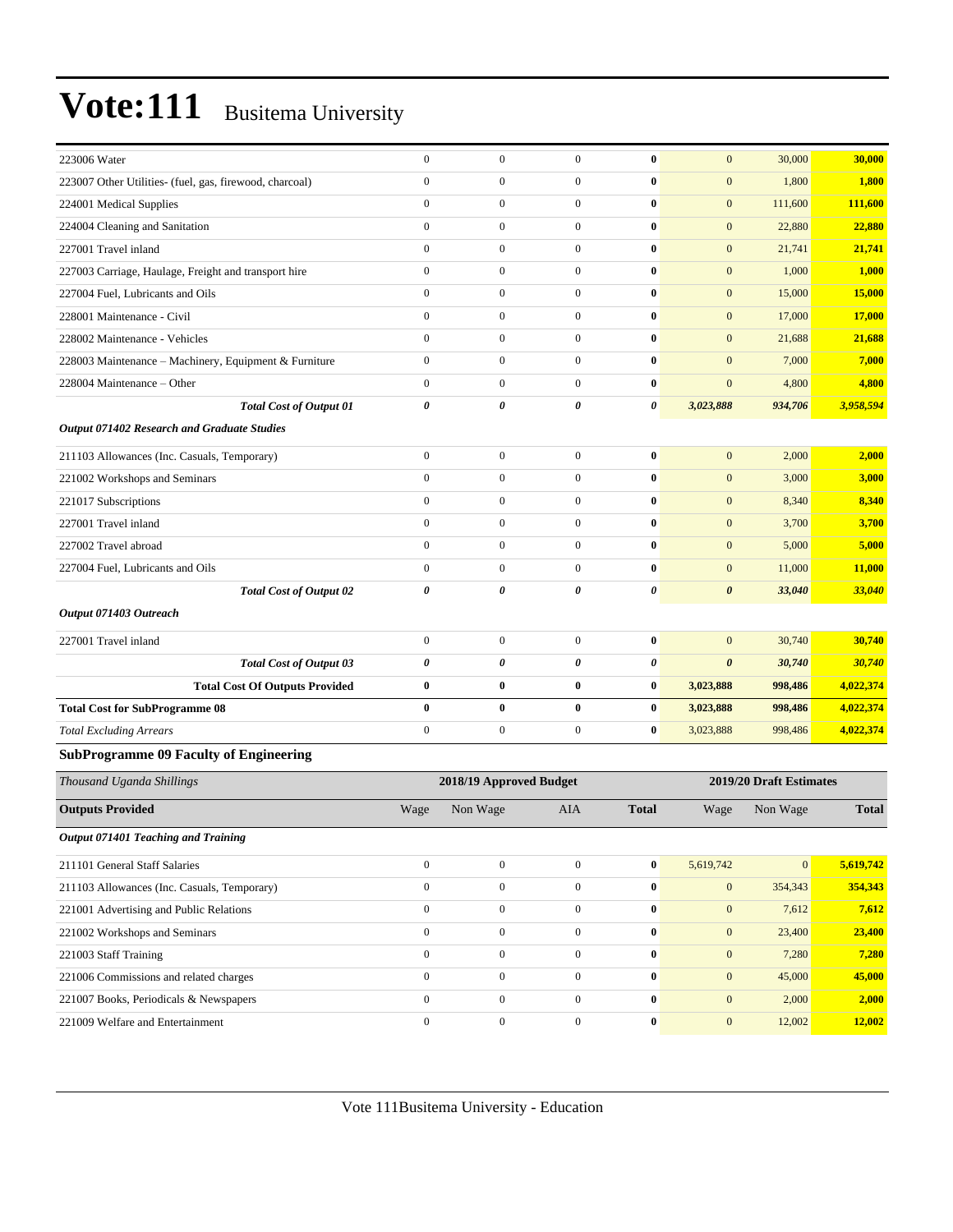| 223006 Water                                            | $\boldsymbol{0}$ | $\boldsymbol{0}$        | $\boldsymbol{0}$ | $\bf{0}$       | $\mathbf{0}$          | 30,000                  | 30,000       |
|---------------------------------------------------------|------------------|-------------------------|------------------|----------------|-----------------------|-------------------------|--------------|
| 223007 Other Utilities- (fuel, gas, firewood, charcoal) | $\boldsymbol{0}$ | $\boldsymbol{0}$        | $\boldsymbol{0}$ | $\bf{0}$       | $\mathbf{0}$          | 1,800                   | 1,800        |
| 224001 Medical Supplies                                 | $\boldsymbol{0}$ | $\boldsymbol{0}$        | $\mathbf{0}$     | $\bf{0}$       | $\mathbf{0}$          | 111,600                 | 111,600      |
| 224004 Cleaning and Sanitation                          | $\mathbf{0}$     | $\boldsymbol{0}$        | $\boldsymbol{0}$ | $\bf{0}$       | $\mathbf{0}$          | 22,880                  | 22,880       |
| 227001 Travel inland                                    | $\mathbf{0}$     | $\boldsymbol{0}$        | $\boldsymbol{0}$ | $\bf{0}$       | $\mathbf{0}$          | 21,741                  | 21,741       |
| 227003 Carriage, Haulage, Freight and transport hire    | $\boldsymbol{0}$ | $\boldsymbol{0}$        | $\boldsymbol{0}$ | $\bf{0}$       | $\mathbf{0}$          | 1,000                   | 1,000        |
| 227004 Fuel, Lubricants and Oils                        | $\mathbf{0}$     | $\boldsymbol{0}$        | $\mathbf{0}$     | $\bf{0}$       | $\mathbf{0}$          | 15,000                  | 15,000       |
| 228001 Maintenance - Civil                              | $\boldsymbol{0}$ | $\boldsymbol{0}$        | $\mathbf{0}$     | $\bf{0}$       | $\mathbf{0}$          | 17,000                  | 17,000       |
| 228002 Maintenance - Vehicles                           | $\mathbf{0}$     | $\boldsymbol{0}$        | $\boldsymbol{0}$ | $\bf{0}$       | $\mathbf{0}$          | 21,688                  | 21,688       |
| 228003 Maintenance - Machinery, Equipment & Furniture   | $\boldsymbol{0}$ | $\boldsymbol{0}$        | $\boldsymbol{0}$ | $\bf{0}$       | $\mathbf{0}$          | 7,000                   | 7,000        |
| 228004 Maintenance – Other                              | $\boldsymbol{0}$ | $\boldsymbol{0}$        | $\boldsymbol{0}$ | $\bf{0}$       | $\mathbf{0}$          | 4,800                   | 4,800        |
| <b>Total Cost of Output 01</b>                          | $\pmb{\theta}$   | 0                       | 0                | $\pmb{\theta}$ | 3,023,888             | 934,706                 | 3,958,594    |
| Output 071402 Research and Graduate Studies             |                  |                         |                  |                |                       |                         |              |
| 211103 Allowances (Inc. Casuals, Temporary)             | $\boldsymbol{0}$ | $\boldsymbol{0}$        | $\mathbf{0}$     | $\bf{0}$       | $\mathbf{0}$          | 2,000                   | 2,000        |
| 221002 Workshops and Seminars                           | $\mathbf{0}$     | $\boldsymbol{0}$        | $\boldsymbol{0}$ | $\bf{0}$       | $\mathbf{0}$          | 3,000                   | 3,000        |
| 221017 Subscriptions                                    | $\mathbf{0}$     | $\boldsymbol{0}$        | $\boldsymbol{0}$ | $\bf{0}$       | $\mathbf{0}$          | 8,340                   | 8,340        |
| 227001 Travel inland                                    | $\boldsymbol{0}$ | $\boldsymbol{0}$        | $\boldsymbol{0}$ | $\bf{0}$       | $\mathbf{0}$          | 3,700                   | 3,700        |
| 227002 Travel abroad                                    | $\mathbf{0}$     | $\boldsymbol{0}$        | $\mathbf{0}$     | $\bf{0}$       | $\mathbf{0}$          | 5,000                   | 5,000        |
| 227004 Fuel, Lubricants and Oils                        | $\boldsymbol{0}$ | $\boldsymbol{0}$        | $\boldsymbol{0}$ | $\bf{0}$       | $\mathbf{0}$          | 11,000                  | 11,000       |
| <b>Total Cost of Output 02</b>                          | $\pmb{\theta}$   | 0                       | 0                | $\pmb{\theta}$ | $\boldsymbol{\theta}$ | 33,040                  | 33,040       |
| Output 071403 Outreach                                  |                  |                         |                  |                |                       |                         |              |
| 227001 Travel inland                                    | $\boldsymbol{0}$ | $\boldsymbol{0}$        | $\boldsymbol{0}$ | $\bf{0}$       | $\mathbf{0}$          | 30,740                  | 30,740       |
| <b>Total Cost of Output 03</b>                          | $\pmb{\theta}$   | 0                       | 0                | $\pmb{\theta}$ | $\boldsymbol{\theta}$ | 30,740                  | 30,740       |
| <b>Total Cost Of Outputs Provided</b>                   | $\bf{0}$         | $\bf{0}$                | $\bf{0}$         | $\bf{0}$       | 3,023,888             | 998,486                 | 4,022,374    |
| <b>Total Cost for SubProgramme 08</b>                   | $\bf{0}$         | 0                       | 0                | $\bf{0}$       | 3,023,888             | 998,486                 | 4,022,374    |
| <b>Total Excluding Arrears</b>                          | $\boldsymbol{0}$ | $\boldsymbol{0}$        | $\boldsymbol{0}$ | $\bf{0}$       | 3,023,888             | 998,486                 | 4,022,374    |
| <b>SubProgramme 09 Faculty of Engineering</b>           |                  |                         |                  |                |                       |                         |              |
| Thousand Uganda Shillings                               |                  | 2018/19 Approved Budget |                  |                |                       | 2019/20 Draft Estimates |              |
|                                                         |                  |                         |                  |                |                       |                         |              |
| <b>Outputs Provided</b>                                 | Wage             | Non Wage                | AIA              | <b>Total</b>   | Wage                  | Non Wage                | <b>Total</b> |
| <b>Output 071401 Teaching and Training</b>              |                  |                         |                  |                |                       |                         |              |
| 211101 General Staff Salaries                           | $\boldsymbol{0}$ | $\boldsymbol{0}$        | $\mathbf{0}$     | $\bf{0}$       | 5,619,742             | $\vert 0 \vert$         | 5,619,742    |
| 211103 Allowances (Inc. Casuals, Temporary)             | $\boldsymbol{0}$ | $\boldsymbol{0}$        | $\mathbf{0}$     | $\pmb{0}$      | $\boldsymbol{0}$      | 354,343                 | 354,343      |
| 221001 Advertising and Public Relations                 | $\boldsymbol{0}$ | $\boldsymbol{0}$        | $\boldsymbol{0}$ | $\pmb{0}$      | $\boldsymbol{0}$      | 7,612                   | 7,612        |
| 221002 Workshops and Seminars                           | $\boldsymbol{0}$ | $\boldsymbol{0}$        | $\boldsymbol{0}$ | $\bf{0}$       | $\mathbf{0}$          | 23,400                  | 23,400       |
| 221003 Staff Training                                   | $\boldsymbol{0}$ | $\boldsymbol{0}$        | $\boldsymbol{0}$ | $\pmb{0}$      | $\boldsymbol{0}$      | 7,280                   | 7,280        |

221006 Commissions and related charges 0 0 0 **0** 0 45,000 **45,000** 221007 Books, Periodicals & Newspapers 0 0 0 **0** 0 2,000 **2,000** 221009 Welfare and Entertainment 0 0 0 **0** 0 12,002 **12,002**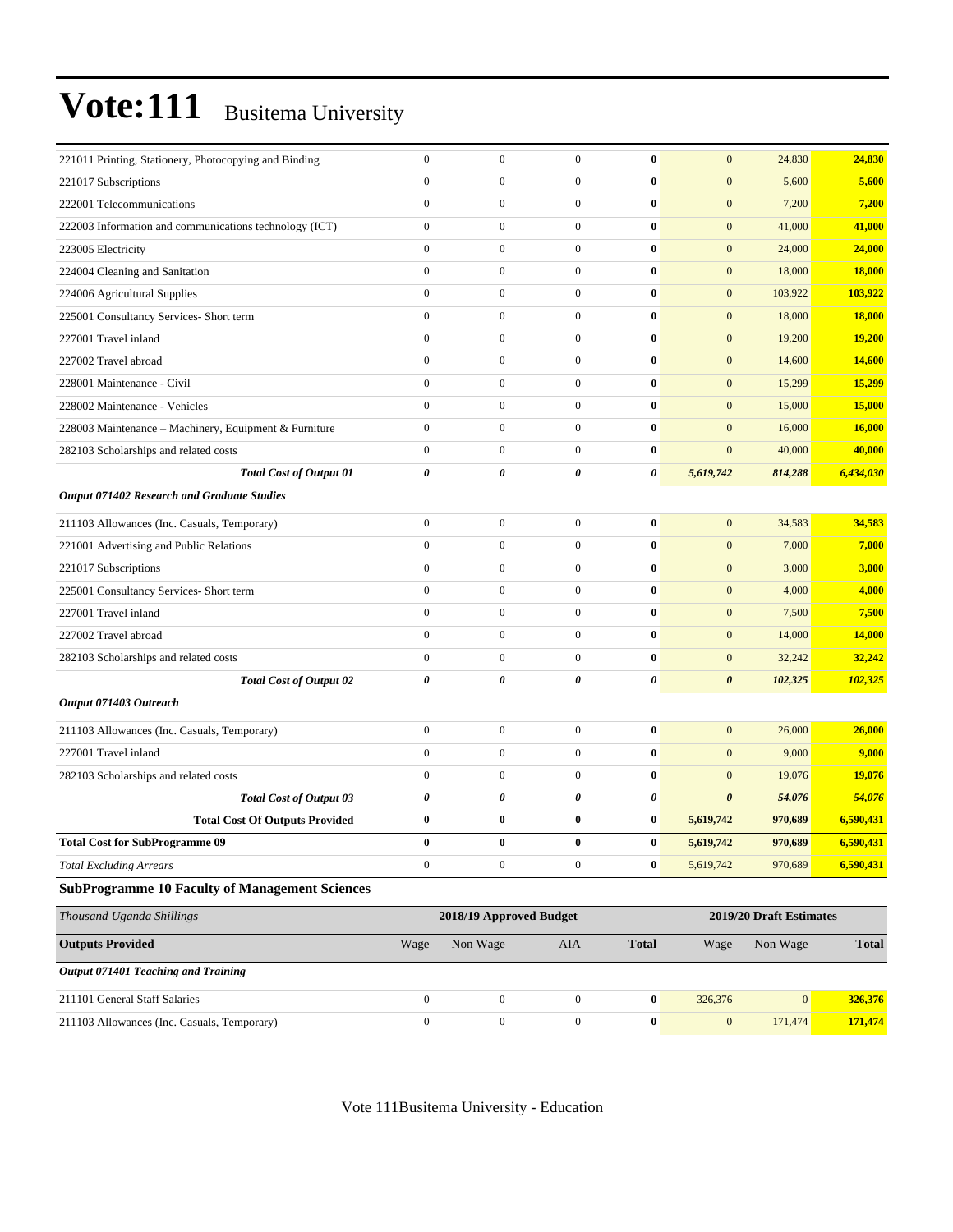| 221011 Printing, Stationery, Photocopying and Binding  | $\boldsymbol{0}$ | $\boldsymbol{0}$        | $\mathbf{0}$     | $\bf{0}$              | $\mathbf{0}$          | 24,830                  | 24,830        |
|--------------------------------------------------------|------------------|-------------------------|------------------|-----------------------|-----------------------|-------------------------|---------------|
| 221017 Subscriptions                                   | $\mathbf{0}$     | $\boldsymbol{0}$        | $\mathbf{0}$     | $\bf{0}$              | $\mathbf{0}$          | 5,600                   | 5,600         |
| 222001 Telecommunications                              | $\mathbf{0}$     | $\mathbf{0}$            | $\boldsymbol{0}$ | $\bf{0}$              | $\boldsymbol{0}$      | 7,200                   | 7,200         |
| 222003 Information and communications technology (ICT) | $\boldsymbol{0}$ | $\mathbf{0}$            | $\boldsymbol{0}$ | $\bf{0}$              | $\boldsymbol{0}$      | 41,000                  | 41,000        |
| 223005 Electricity                                     | $\boldsymbol{0}$ | $\mathbf{0}$            | $\boldsymbol{0}$ | $\bf{0}$              | $\boldsymbol{0}$      | 24,000                  | 24,000        |
| 224004 Cleaning and Sanitation                         | $\boldsymbol{0}$ | $\boldsymbol{0}$        | $\overline{0}$   | $\bf{0}$              | $\boldsymbol{0}$      | 18,000                  | 18,000        |
| 224006 Agricultural Supplies                           | $\mathbf{0}$     | $\mathbf{0}$            | $\boldsymbol{0}$ | $\bf{0}$              | $\mathbf{0}$          | 103,922                 | 103,922       |
| 225001 Consultancy Services- Short term                | $\boldsymbol{0}$ | $\mathbf{0}$            | $\boldsymbol{0}$ | $\bf{0}$              | $\boldsymbol{0}$      | 18,000                  | 18,000        |
| 227001 Travel inland                                   | $\boldsymbol{0}$ | $\mathbf{0}$            | $\boldsymbol{0}$ | $\bf{0}$              | $\boldsymbol{0}$      | 19,200                  | 19,200        |
| 227002 Travel abroad                                   | $\boldsymbol{0}$ | $\mathbf{0}$            | $\boldsymbol{0}$ | $\bf{0}$              | $\boldsymbol{0}$      | 14,600                  | 14,600        |
| 228001 Maintenance - Civil                             | $\boldsymbol{0}$ | $\boldsymbol{0}$        | $\overline{0}$   | $\bf{0}$              | $\boldsymbol{0}$      | 15,299                  | 15,299        |
| 228002 Maintenance - Vehicles                          | $\mathbf{0}$     | $\boldsymbol{0}$        | $\boldsymbol{0}$ | $\bf{0}$              | $\mathbf{0}$          | 15,000                  | <b>15,000</b> |
| 228003 Maintenance - Machinery, Equipment & Furniture  | $\boldsymbol{0}$ | $\boldsymbol{0}$        | $\boldsymbol{0}$ | $\bf{0}$              | $\mathbf{0}$          | 16,000                  | 16,000        |
| 282103 Scholarships and related costs                  | $\boldsymbol{0}$ | $\mathbf{0}$            | $\boldsymbol{0}$ | $\bf{0}$              | $\mathbf{0}$          | 40,000                  | 40,000        |
| <b>Total Cost of Output 01</b>                         | 0                | 0                       | 0                | 0                     | 5,619,742             | 814,288                 | 6,434,030     |
| Output 071402 Research and Graduate Studies            |                  |                         |                  |                       |                       |                         |               |
| 211103 Allowances (Inc. Casuals, Temporary)            | $\boldsymbol{0}$ | $\boldsymbol{0}$        | $\overline{0}$   | $\bf{0}$              | $\boldsymbol{0}$      | 34,583                  | 34,583        |
| 221001 Advertising and Public Relations                | $\mathbf{0}$     | $\boldsymbol{0}$        | $\mathbf{0}$     | $\bf{0}$              | $\mathbf{0}$          | 7,000                   | 7,000         |
| 221017 Subscriptions                                   | $\mathbf{0}$     | $\boldsymbol{0}$        | $\boldsymbol{0}$ | $\bf{0}$              | $\boldsymbol{0}$      | 3,000                   | 3,000         |
| 225001 Consultancy Services- Short term                | $\boldsymbol{0}$ | $\mathbf{0}$            | $\boldsymbol{0}$ | $\bf{0}$              | $\mathbf{0}$          | 4,000                   | 4,000         |
| 227001 Travel inland                                   | $\boldsymbol{0}$ | $\mathbf{0}$            | $\boldsymbol{0}$ | $\bf{0}$              | $\boldsymbol{0}$      | 7,500                   | 7,500         |
| 227002 Travel abroad                                   | $\boldsymbol{0}$ | $\boldsymbol{0}$        | $\overline{0}$   | $\bf{0}$              | $\boldsymbol{0}$      | 14,000                  | 14,000        |
| 282103 Scholarships and related costs                  | $\boldsymbol{0}$ | $\boldsymbol{0}$        | $\boldsymbol{0}$ | $\bf{0}$              | $\boldsymbol{0}$      | 32,242                  | 32,242        |
| <b>Total Cost of Output 02</b>                         | $\pmb{\theta}$   | 0                       | 0                | $\boldsymbol{\theta}$ | $\boldsymbol{\theta}$ | 102,325                 | 102,325       |
| Output 071403 Outreach                                 |                  |                         |                  |                       |                       |                         |               |
| 211103 Allowances (Inc. Casuals, Temporary)            | $\boldsymbol{0}$ | $\boldsymbol{0}$        | $\boldsymbol{0}$ | $\bf{0}$              | $\mathbf{0}$          | 26,000                  | 26,000        |
| 227001 Travel inland                                   | $\boldsymbol{0}$ | $\mathbf{0}$            | $\boldsymbol{0}$ | $\bf{0}$              | $\mathbf{0}$          | 9,000                   | 9,000         |
| 282103 Scholarships and related costs                  | $\boldsymbol{0}$ | $\mathbf{0}$            | $\overline{0}$   | $\bf{0}$              | $\mathbf{0}$          | 19,076                  | 19,076        |
| <b>Total Cost of Output 03</b>                         | $\pmb{\theta}$   | 0                       | $\theta$         | 0                     | $\boldsymbol{\theta}$ | 54,076                  | 54,076        |
| <b>Total Cost Of Outputs Provided</b>                  | $\bf{0}$         | $\bf{0}$                | $\bf{0}$         | $\bf{0}$              | 5,619,742             | 970,689                 | 6,590,431     |
| <b>Total Cost for SubProgramme 09</b>                  | $\bf{0}$         | $\bf{0}$                | $\bf{0}$         | $\bf{0}$              | 5,619,742             | 970,689                 | 6.590.431     |
| <b>Total Excluding Arrears</b>                         | $\boldsymbol{0}$ | $\boldsymbol{0}$        | $\boldsymbol{0}$ | $\bf{0}$              | 5,619,742             | 970,689                 | 6,590,431     |
| <b>SubProgramme 10 Faculty of Management Sciences</b>  |                  |                         |                  |                       |                       |                         |               |
| Thousand Uganda Shillings                              |                  | 2018/19 Approved Budget |                  |                       |                       | 2019/20 Draft Estimates |               |
| <b>Outputs Provided</b>                                | Wage             | Non Wage                | AIA              | <b>Total</b>          | Wage                  | Non Wage                | <b>Total</b>  |
| Output 071401 Teaching and Training                    |                  |                         |                  |                       |                       |                         |               |
| 211101 General Staff Salaries                          | $\boldsymbol{0}$ | $\boldsymbol{0}$        | $\mathbf{0}$     | $\bf{0}$              | 326,376               | $\boldsymbol{0}$        | 326,376       |
| 211103 Allowances (Inc. Casuals, Temporary)            | $\overline{0}$   | $\boldsymbol{0}$        | $\overline{0}$   | $\pmb{0}$             | $\boldsymbol{0}$      | 171,474                 | 171,474       |
|                                                        |                  |                         |                  |                       |                       |                         |               |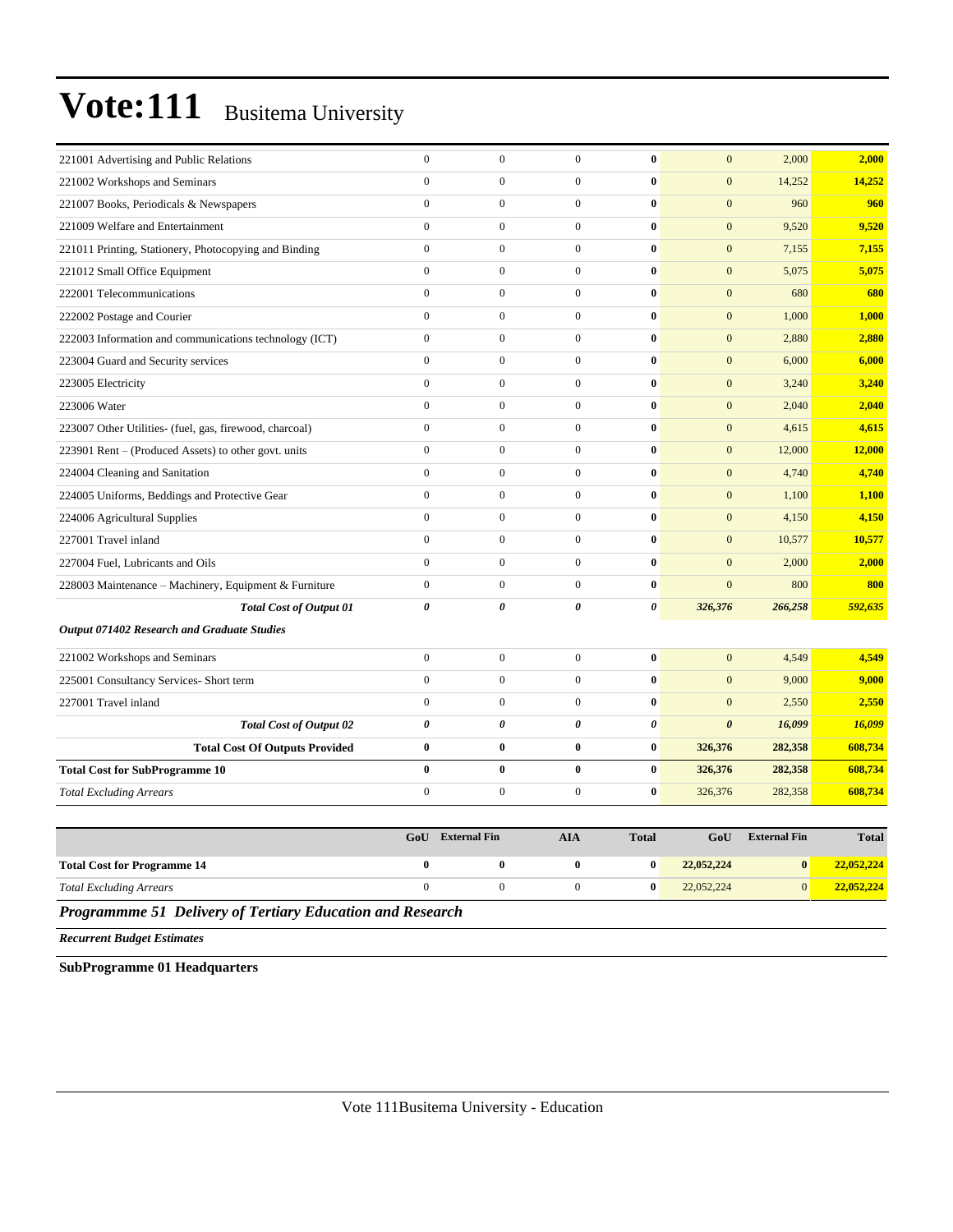| 221001 Advertising and Public Relations                 | $\overline{0}$        | $\overline{0}$        | $\mathbf{0}$     | $\bf{0}$              | $\mathbf{0}$          | 2,000               | 2,000        |
|---------------------------------------------------------|-----------------------|-----------------------|------------------|-----------------------|-----------------------|---------------------|--------------|
| 221002 Workshops and Seminars                           | $\mathbf{0}$          | $\overline{0}$        | $\overline{0}$   | $\bf{0}$              | $\mathbf{0}$          | 14,252              | 14,252       |
| 221007 Books, Periodicals & Newspapers                  | $\mathbf{0}$          | $\boldsymbol{0}$      | $\mathbf{0}$     | $\bf{0}$              | $\boldsymbol{0}$      | 960                 | 960          |
| 221009 Welfare and Entertainment                        | $\mathbf{0}$          | $\overline{0}$        | $\mathbf{0}$     | $\mathbf{0}$          | $\mathbf{0}$          | 9,520               | 9,520        |
| 221011 Printing, Stationery, Photocopying and Binding   | $\mathbf{0}$          | $\mathbf{0}$          | $\overline{0}$   | $\bf{0}$              | $\mathbf{0}$          | 7,155               | 7,155        |
| 221012 Small Office Equipment                           | $\mathbf{0}$          | $\boldsymbol{0}$      | $\boldsymbol{0}$ | $\bf{0}$              | $\mathbf{0}$          | 5,075               | 5,075        |
| 222001 Telecommunications                               | $\mathbf{0}$          | $\overline{0}$        | $\boldsymbol{0}$ | $\bf{0}$              | $\mathbf{0}$          | 680                 | 680          |
| 222002 Postage and Courier                              | $\Omega$              | $\overline{0}$        | $\overline{0}$   | $\bf{0}$              | $\mathbf{0}$          | 1,000               | 1,000        |
| 222003 Information and communications technology (ICT)  | $\mathbf{0}$          | $\overline{0}$        | $\mathbf{0}$     | $\bf{0}$              | $\mathbf{0}$          | 2,880               | 2,880        |
| 223004 Guard and Security services                      | $\mathbf{0}$          | $\overline{0}$        | $\mathbf{0}$     | $\bf{0}$              | $\boldsymbol{0}$      | 6,000               | 6,000        |
| 223005 Electricity                                      | $\Omega$              | $\boldsymbol{0}$      | $\boldsymbol{0}$ | $\mathbf{0}$          | $\mathbf{0}$          | 3,240               | 3,240        |
| 223006 Water                                            | $\mathbf{0}$          | $\overline{0}$        | $\overline{0}$   | $\bf{0}$              | $\mathbf{0}$          | 2,040               | 2,040        |
| 223007 Other Utilities- (fuel, gas, firewood, charcoal) | $\mathbf{0}$          | $\overline{0}$        | $\overline{0}$   | $\bf{0}$              | $\mathbf{0}$          | 4,615               | 4,615        |
| 223901 Rent – (Produced Assets) to other govt. units    | $\mathbf{0}$          | $\overline{0}$        | $\overline{0}$   | $\bf{0}$              | $\mathbf{0}$          | 12,000              | 12,000       |
| 224004 Cleaning and Sanitation                          | $\theta$              | $\overline{0}$        | $\overline{0}$   | $\bf{0}$              | $\mathbf{0}$          | 4,740               | 4.740        |
| 224005 Uniforms, Beddings and Protective Gear           | $\mathbf{0}$          | $\overline{0}$        | $\mathbf{0}$     | $\bf{0}$              | $\mathbf{0}$          | 1,100               | 1,100        |
| 224006 Agricultural Supplies                            | $\mathbf{0}$          | $\overline{0}$        | $\overline{0}$   | $\bf{0}$              | $\mathbf{0}$          | 4,150               | 4,150        |
| 227001 Travel inland                                    | $\mathbf{0}$          | $\boldsymbol{0}$      | $\boldsymbol{0}$ | $\bf{0}$              | $\mathbf{0}$          | 10,577              | 10,577       |
| 227004 Fuel, Lubricants and Oils                        | $\mathbf{0}$          | $\overline{0}$        | $\overline{0}$   | $\bf{0}$              | $\mathbf{0}$          | 2,000               | 2,000        |
| 228003 Maintenance – Machinery, Equipment & Furniture   | $\mathbf{0}$          | $\overline{0}$        | $\mathbf{0}$     | $\bf{0}$              | $\overline{0}$        | 800                 | 800          |
| <b>Total Cost of Output 01</b>                          | $\boldsymbol{\theta}$ | $\boldsymbol{\theta}$ | 0                | $\boldsymbol{\theta}$ | 326,376               | 266,258             | 592,635      |
| Output 071402 Research and Graduate Studies             |                       |                       |                  |                       |                       |                     |              |
| 221002 Workshops and Seminars                           | $\boldsymbol{0}$      | $\boldsymbol{0}$      | $\mathbf{0}$     | $\bf{0}$              | $\mathbf{0}$          | 4,549               | 4,549        |
| 225001 Consultancy Services- Short term                 | $\mathbf{0}$          | $\mathbf{0}$          | $\boldsymbol{0}$ | $\bf{0}$              | $\mathbf{0}$          | 9,000               | 9,000        |
| 227001 Travel inland                                    | $\Omega$              | $\mathbf{0}$          | $\mathbf{0}$     | $\bf{0}$              | $\mathbf{0}$          | 2,550               | 2,550        |
| <b>Total Cost of Output 02</b>                          | $\boldsymbol{\theta}$ | 0                     | 0                | $\boldsymbol{\theta}$ | $\boldsymbol{\theta}$ | 16,099              | 16,099       |
| <b>Total Cost Of Outputs Provided</b>                   | $\bf{0}$              | $\bf{0}$              | $\bf{0}$         | $\bf{0}$              | 326,376               | 282,358             | 608,734      |
| <b>Total Cost for SubProgramme 10</b>                   | $\bf{0}$              | $\bf{0}$              | $\bf{0}$         | $\bf{0}$              | 326,376               | 282,358             | 608,734      |
| <b>Total Excluding Arrears</b>                          | $\mathbf{0}$          | $\overline{0}$        | $\mathbf{0}$     | $\bf{0}$              | 326,376               | 282,358             | 608,734      |
|                                                         |                       |                       |                  |                       |                       |                     |              |
|                                                         | GoU                   | <b>External Fin</b>   | <b>AIA</b>       | <b>Total</b>          | GoU                   | <b>External Fin</b> | <b>Total</b> |
| <b>Total Cost for Programme 14</b>                      | $\bf{0}$              | $\bf{0}$              | $\bf{0}$         | $\bf{0}$              | 22,052,224            | $\bf{0}$            | 22,052,224   |

*Total Excluding Arrears* 0 0 0 **0** 22,052,224 0 **22,052,224**

*Programmme 51 Delivery of Tertiary Education and Research*

*Recurrent Budget Estimates*

**SubProgramme 01 Headquarters**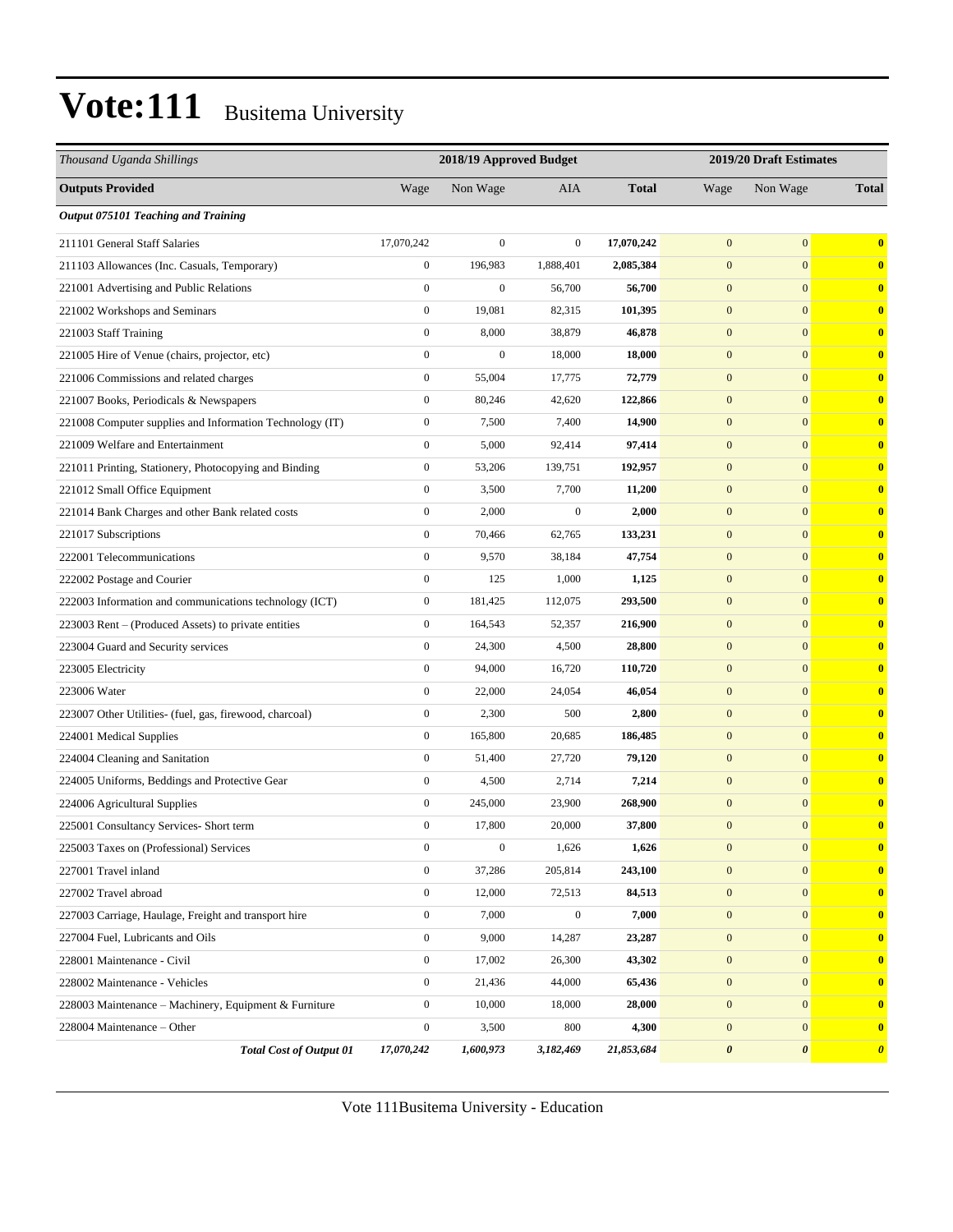| Thousand Uganda Shillings                                |                  |                  | 2018/19 Approved Budget<br>2019/20 Draft Estimates |              |                  |                  |                       |  |
|----------------------------------------------------------|------------------|------------------|----------------------------------------------------|--------------|------------------|------------------|-----------------------|--|
| <b>Outputs Provided</b>                                  | Wage             | Non Wage         | <b>AIA</b>                                         | <b>Total</b> | Wage             | Non Wage         | <b>Total</b>          |  |
| Output 075101 Teaching and Training                      |                  |                  |                                                    |              |                  |                  |                       |  |
| 211101 General Staff Salaries                            | 17,070,242       | $\mathbf{0}$     | $\mathbf{0}$                                       | 17,070,242   | $\mathbf{0}$     | $\mathbf{0}$     | $\bf{0}$              |  |
| 211103 Allowances (Inc. Casuals, Temporary)              | $\boldsymbol{0}$ | 196,983          | 1,888,401                                          | 2,085,384    | $\mathbf{0}$     | $\overline{0}$   | $\bf{0}$              |  |
| 221001 Advertising and Public Relations                  | $\boldsymbol{0}$ | $\mathbf{0}$     | 56,700                                             | 56,700       | $\mathbf{0}$     | $\overline{0}$   | $\bf{0}$              |  |
| 221002 Workshops and Seminars                            | $\boldsymbol{0}$ | 19,081           | 82,315                                             | 101,395      | $\mathbf{0}$     | $\mathbf{0}$     | $\bf{0}$              |  |
| 221003 Staff Training                                    | $\boldsymbol{0}$ | 8,000            | 38,879                                             | 46,878       | $\boldsymbol{0}$ | $\mathbf{0}$     | $\bf{0}$              |  |
| 221005 Hire of Venue (chairs, projector, etc)            | $\boldsymbol{0}$ | $\boldsymbol{0}$ | 18,000                                             | 18,000       | $\mathbf{0}$     | $\mathbf{0}$     | $\bf{0}$              |  |
| 221006 Commissions and related charges                   | $\boldsymbol{0}$ | 55,004           | 17,775                                             | 72,779       | $\boldsymbol{0}$ | $\overline{0}$   | $\bf{0}$              |  |
| 221007 Books, Periodicals & Newspapers                   | $\boldsymbol{0}$ | 80,246           | 42,620                                             | 122,866      | $\mathbf{0}$     | $\overline{0}$   | $\mathbf{0}$          |  |
| 221008 Computer supplies and Information Technology (IT) | $\boldsymbol{0}$ | 7,500            | 7,400                                              | 14,900       | $\mathbf{0}$     | $\mathbf{0}$     | $\bf{0}$              |  |
| 221009 Welfare and Entertainment                         | $\boldsymbol{0}$ | 5,000            | 92,414                                             | 97,414       | $\boldsymbol{0}$ | $\mathbf{0}$     | $\bf{0}$              |  |
| 221011 Printing, Stationery, Photocopying and Binding    | $\boldsymbol{0}$ | 53,206           | 139,751                                            | 192,957      | $\mathbf{0}$     | $\mathbf{0}$     | $\bf{0}$              |  |
| 221012 Small Office Equipment                            | $\boldsymbol{0}$ | 3,500            | 7,700                                              | 11,200       | $\boldsymbol{0}$ | $\overline{0}$   | $\bf{0}$              |  |
| 221014 Bank Charges and other Bank related costs         | $\boldsymbol{0}$ | 2,000            | $\boldsymbol{0}$                                   | 2,000        | $\mathbf{0}$     | $\overline{0}$   | $\mathbf{0}$          |  |
| 221017 Subscriptions                                     | $\boldsymbol{0}$ | 70,466           | 62,765                                             | 133,231      | $\mathbf{0}$     | $\mathbf{0}$     | $\bf{0}$              |  |
| 222001 Telecommunications                                | $\boldsymbol{0}$ | 9,570            | 38,184                                             | 47,754       | $\boldsymbol{0}$ | $\mathbf{0}$     | $\bf{0}$              |  |
| 222002 Postage and Courier                               | $\boldsymbol{0}$ | 125              | 1,000                                              | 1,125        | $\mathbf{0}$     | $\overline{0}$   | $\bf{0}$              |  |
| 222003 Information and communications technology (ICT)   | $\boldsymbol{0}$ | 181,425          | 112,075                                            | 293,500      | $\boldsymbol{0}$ | $\overline{0}$   | $\bf{0}$              |  |
| 223003 Rent - (Produced Assets) to private entities      | $\boldsymbol{0}$ | 164,543          | 52,357                                             | 216,900      | $\mathbf{0}$     | $\overline{0}$   | $\bf{0}$              |  |
| 223004 Guard and Security services                       | $\boldsymbol{0}$ | 24,300           | 4,500                                              | 28,800       | $\mathbf{0}$     | $\mathbf{0}$     | $\bf{0}$              |  |
| 223005 Electricity                                       | $\boldsymbol{0}$ | 94,000           | 16,720                                             | 110,720      | $\boldsymbol{0}$ | $\overline{0}$   | $\bf{0}$              |  |
| 223006 Water                                             | $\boldsymbol{0}$ | 22,000           | 24,054                                             | 46,054       | $\mathbf{0}$     | $\overline{0}$   | $\mathbf{0}$          |  |
| 223007 Other Utilities- (fuel, gas, firewood, charcoal)  | $\boldsymbol{0}$ | 2,300            | 500                                                | 2,800        | $\boldsymbol{0}$ | $\mathbf{0}$     | $\bf{0}$              |  |
| 224001 Medical Supplies                                  | $\boldsymbol{0}$ | 165,800          | 20,685                                             | 186,485      | $\mathbf{0}$     | $\overline{0}$   | $\bf{0}$              |  |
| 224004 Cleaning and Sanitation                           | $\boldsymbol{0}$ | 51,400           | 27,720                                             | 79,120       | $\mathbf{0}$     | $\mathbf{0}$     | $\bf{0}$              |  |
| 224005 Uniforms, Beddings and Protective Gear            | $\boldsymbol{0}$ | 4,500            | 2,714                                              | 7,214        | $\boldsymbol{0}$ | $\mathbf{0}$     | $\bf{0}$              |  |
| 224006 Agricultural Supplies                             | $\boldsymbol{0}$ | 245,000          | 23,900                                             | 268,900      | $\mathbf{0}$     | $\overline{0}$   | $\mathbf{0}$          |  |
| 225001 Consultancy Services- Short term                  | $\boldsymbol{0}$ | 17,800           | 20,000                                             | 37,800       | $\mathbf{0}$     | $\mathbf{0}$     | $\mathbf{0}$          |  |
| 225003 Taxes on (Professional) Services                  | $\boldsymbol{0}$ | $\boldsymbol{0}$ | 1,626                                              | 1,626        | $\boldsymbol{0}$ | $\boldsymbol{0}$ | $\bf{0}$              |  |
| 227001 Travel inland                                     | $\boldsymbol{0}$ | 37,286           | 205,814                                            | 243,100      | $\boldsymbol{0}$ | $\mathbf{0}$     | $\bf{0}$              |  |
| 227002 Travel abroad                                     | $\boldsymbol{0}$ | 12,000           | 72,513                                             | 84,513       | $\boldsymbol{0}$ | $\mathbf{0}$     | $\mathbf{0}$          |  |
| 227003 Carriage, Haulage, Freight and transport hire     | $\mathbf{0}$     | 7,000            | $\mathbf{0}$                                       | 7,000        | $\boldsymbol{0}$ | $\mathbf{0}$     | $\mathbf{0}$          |  |
| 227004 Fuel, Lubricants and Oils                         | $\mathbf{0}$     | 9,000            | 14,287                                             | 23,287       | $\boldsymbol{0}$ | $\mathbf{0}$     | $\bf{0}$              |  |
| 228001 Maintenance - Civil                               | $\boldsymbol{0}$ | 17,002           | 26,300                                             | 43,302       | $\mathbf{0}$     | $\overline{0}$   | $\mathbf{0}$          |  |
| 228002 Maintenance - Vehicles                            | $\boldsymbol{0}$ | 21,436           | 44,000                                             | 65,436       | $\boldsymbol{0}$ | $\mathbf{0}$     | $\bf{0}$              |  |
| 228003 Maintenance - Machinery, Equipment & Furniture    | $\boldsymbol{0}$ | 10,000           | 18,000                                             | 28,000       | $\boldsymbol{0}$ | $\mathbf{0}$     | $\mathbf{0}$          |  |
| 228004 Maintenance - Other                               | $\boldsymbol{0}$ | 3,500            | 800                                                | 4,300        | $\mathbf{0}$     | $\mathbf{0}$     | $\mathbf{0}$          |  |
| <b>Total Cost of Output 01</b>                           | 17,070,242       | 1,600,973        | 3,182,469                                          | 21,853,684   | 0                | $\pmb{\theta}$   | $\boldsymbol{\theta}$ |  |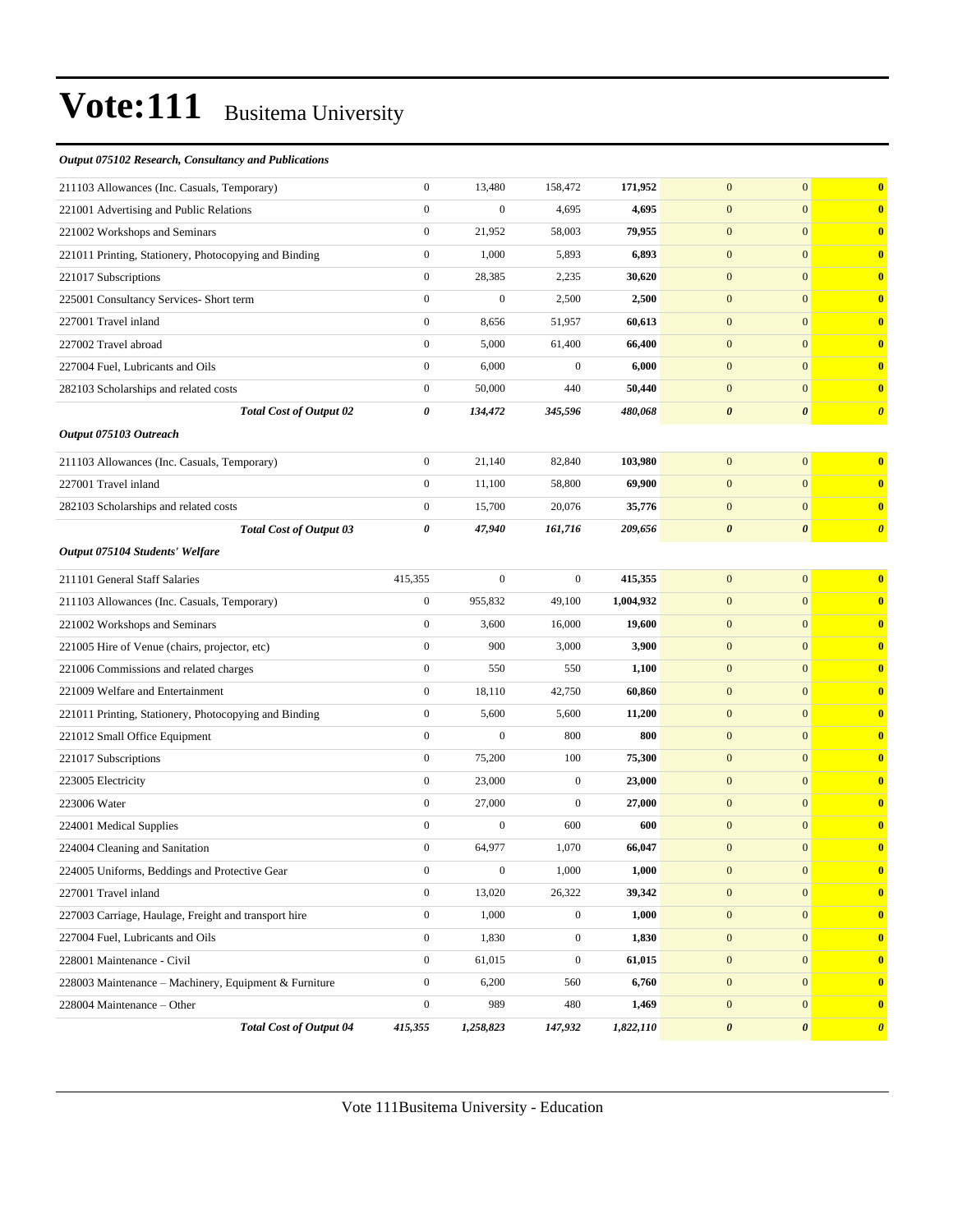#### *Output 075102 Research, Consultancy and Publications*

| 211103 Allowances (Inc. Casuals, Temporary)           | $\boldsymbol{0}$ | 13,480           | 158,472          | 171,952   | $\mathbf{0}$          | $\overline{0}$        | $\bf{0}$              |
|-------------------------------------------------------|------------------|------------------|------------------|-----------|-----------------------|-----------------------|-----------------------|
| 221001 Advertising and Public Relations               | $\boldsymbol{0}$ | $\boldsymbol{0}$ | 4,695            | 4,695     | $\mathbf{0}$          | $\overline{0}$        | $\bf{0}$              |
| 221002 Workshops and Seminars                         | $\boldsymbol{0}$ | 21,952           | 58,003           | 79,955    | $\mathbf{0}$          | $\overline{0}$        | $\bf{0}$              |
| 221011 Printing, Stationery, Photocopying and Binding | $\boldsymbol{0}$ | 1,000            | 5,893            | 6,893     | $\mathbf{0}$          | $\overline{0}$        | $\bf{0}$              |
| 221017 Subscriptions                                  | $\boldsymbol{0}$ | 28,385           | 2,235            | 30,620    | $\mathbf{0}$          | $\overline{0}$        | $\mathbf{0}$          |
| 225001 Consultancy Services- Short term               | $\overline{0}$   | $\overline{0}$   | 2,500            | 2,500     | $\mathbf{0}$          | $\overline{0}$        | $\bf{0}$              |
| 227001 Travel inland                                  | $\boldsymbol{0}$ | 8,656            | 51,957           | 60,613    | $\mathbf{0}$          | $\overline{0}$        | $\bf{0}$              |
| 227002 Travel abroad                                  | $\boldsymbol{0}$ | 5,000            | 61,400           | 66,400    | $\mathbf{0}$          | $\overline{0}$        | $\bf{0}$              |
| 227004 Fuel, Lubricants and Oils                      | $\boldsymbol{0}$ | 6,000            | $\mathbf{0}$     | 6,000     | $\mathbf{0}$          | $\overline{0}$        | $\mathbf{0}$          |
| 282103 Scholarships and related costs                 | $\boldsymbol{0}$ | 50,000           | 440              | 50,440    | $\mathbf{0}$          | $\overline{0}$        | $\mathbf{0}$          |
| <b>Total Cost of Output 02</b>                        | 0                | 134,472          | 345,596          | 480,068   | $\boldsymbol{\theta}$ | $\boldsymbol{\theta}$ | $\boldsymbol{\theta}$ |
| Output 075103 Outreach                                |                  |                  |                  |           |                       |                       |                       |
| 211103 Allowances (Inc. Casuals, Temporary)           | $\boldsymbol{0}$ | 21,140           | 82,840           | 103,980   | $\mathbf{0}$          | $\overline{0}$        | $\bf{0}$              |
| 227001 Travel inland                                  | $\boldsymbol{0}$ | 11,100           | 58,800           | 69,900    | $\mathbf{0}$          | $\overline{0}$        | $\bf{0}$              |
| 282103 Scholarships and related costs                 | $\boldsymbol{0}$ | 15,700           | 20,076           | 35,776    | $\boldsymbol{0}$      | $\mathbf{0}$          | $\bf{0}$              |
| <b>Total Cost of Output 03</b>                        | 0                | 47,940           | 161,716          | 209,656   | $\boldsymbol{\theta}$ | 0                     | $\boldsymbol{\theta}$ |
| Output 075104 Students' Welfare                       |                  |                  |                  |           |                       |                       |                       |
| 211101 General Staff Salaries                         | 415,355          | $\boldsymbol{0}$ | $\mathbf{0}$     | 415,355   | $\mathbf{0}$          | $\overline{0}$        | $\bf{0}$              |
| 211103 Allowances (Inc. Casuals, Temporary)           | $\boldsymbol{0}$ | 955,832          | 49,100           | 1,004,932 | $\mathbf{0}$          | $\overline{0}$        | $\bf{0}$              |
| 221002 Workshops and Seminars                         | $\boldsymbol{0}$ | 3,600            | 16,000           | 19,600    | $\mathbf{0}$          | $\overline{0}$        | $\mathbf{0}$          |
| 221005 Hire of Venue (chairs, projector, etc)         | $\boldsymbol{0}$ | 900              | 3,000            | 3,900     | $\mathbf{0}$          | $\overline{0}$        | $\mathbf{0}$          |
| 221006 Commissions and related charges                | $\boldsymbol{0}$ | 550              | 550              | 1,100     | $\mathbf{0}$          | $\overline{0}$        | $\mathbf{0}$          |
| 221009 Welfare and Entertainment                      | $\boldsymbol{0}$ | 18,110           | 42,750           | 60,860    | $\mathbf{0}$          | $\overline{0}$        | $\bf{0}$              |
| 221011 Printing, Stationery, Photocopying and Binding | $\boldsymbol{0}$ | 5,600            | 5,600            | 11,200    | $\mathbf{0}$          | $\overline{0}$        | $\bf{0}$              |
| 221012 Small Office Equipment                         | $\boldsymbol{0}$ | $\mathbf{0}$     | 800              | 800       | $\mathbf{0}$          | $\overline{0}$        | $\mathbf{0}$          |
| 221017 Subscriptions                                  | $\boldsymbol{0}$ | 75,200           | 100              | 75,300    | $\mathbf{0}$          | $\overline{0}$        | $\mathbf{0}$          |
| 223005 Electricity                                    | $\boldsymbol{0}$ | 23,000           | $\mathbf{0}$     | 23,000    | $\mathbf{0}$          | $\overline{0}$        | $\mathbf{0}$          |
| 223006 Water                                          | $\boldsymbol{0}$ | 27,000           | $\mathbf{0}$     | 27,000    | $\mathbf{0}$          | $\mathbf{0}$          | $\bf{0}$              |
| 224001 Medical Supplies                               | $\boldsymbol{0}$ | $\boldsymbol{0}$ | 600              | 600       | $\mathbf{0}$          | $\overline{0}$        | $\bf{0}$              |
| 224004 Cleaning and Sanitation                        | $\boldsymbol{0}$ | 64,977           | 1,070            | 66,047    | $\mathbf{0}$          | $\mathbf{0}$          | $\bf{0}$              |
| 224005 Uniforms, Beddings and Protective Gear         | 0                | $\theta$         | 1,000            | 1,000     | $\boldsymbol{0}$      | $\mathbf{0}$          | $\bf{0}$              |
| 227001 Travel inland                                  | $\overline{0}$   | 13,020           | 26,322           | 39,342    | $\boldsymbol{0}$      | $\mathbf{0}$          | $\bf{0}$              |
| 227003 Carriage, Haulage, Freight and transport hire  | $\boldsymbol{0}$ | 1,000            | $\boldsymbol{0}$ | 1,000     | $\boldsymbol{0}$      | $\overline{0}$        | $\boldsymbol{0}$      |
| 227004 Fuel, Lubricants and Oils                      | $\boldsymbol{0}$ | 1,830            | $\boldsymbol{0}$ | 1,830     | $\boldsymbol{0}$      | $\mathbf{0}$          | $\bf{0}$              |
| 228001 Maintenance - Civil                            | $\boldsymbol{0}$ | 61,015           | $\mathbf{0}$     | 61,015    | $\boldsymbol{0}$      | $\overline{0}$        | $\bf{0}$              |
| 228003 Maintenance - Machinery, Equipment & Furniture | $\mathbf{0}$     | 6,200            | 560              | 6,760     | $\boldsymbol{0}$      | $\vert 0 \vert$       | $\bf{0}$              |
| 228004 Maintenance - Other                            | $\boldsymbol{0}$ | 989              | 480              | 1,469     | $\mathbf{0}$          | $\mathbf{0}$          | $\bf{0}$              |
| <b>Total Cost of Output 04</b>                        | 415,355          | 1,258,823        | 147,932          | 1,822,110 | $\pmb{\theta}$        | $\boldsymbol{\theta}$ | $\boldsymbol{\theta}$ |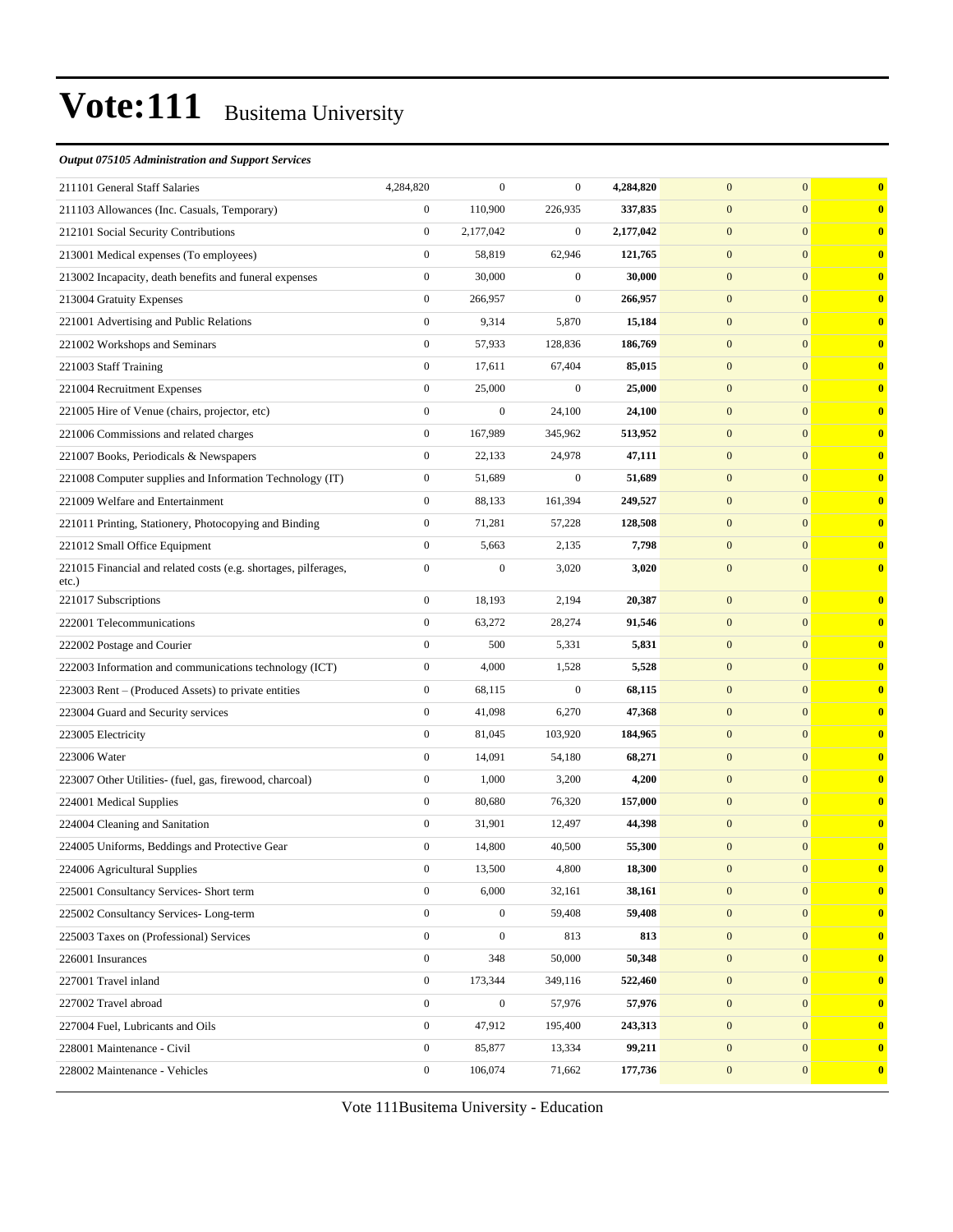#### *Output 075105 Administration and Support Services*

| 211101 General Staff Salaries                                               | 4,284,820        | $\boldsymbol{0}$ | $\mathbf{0}$     | 4,284,820 | $\overline{0}$   | $\mathbf{0}$     | $\bf{0}$ |
|-----------------------------------------------------------------------------|------------------|------------------|------------------|-----------|------------------|------------------|----------|
| 211103 Allowances (Inc. Casuals, Temporary)                                 | $\boldsymbol{0}$ | 110,900          | 226,935          | 337,835   | $\mathbf{0}$     | $\mathbf{0}$     | $\bf{0}$ |
| 212101 Social Security Contributions                                        | $\boldsymbol{0}$ | 2,177,042        | $\boldsymbol{0}$ | 2,177,042 | $\mathbf{0}$     | $\mathbf{0}$     | $\bf{0}$ |
| 213001 Medical expenses (To employees)                                      | $\boldsymbol{0}$ | 58,819           | 62,946           | 121,765   | $\mathbf{0}$     | $\mathbf{0}$     | $\bf{0}$ |
| 213002 Incapacity, death benefits and funeral expenses                      | $\boldsymbol{0}$ | 30,000           | $\mathbf{0}$     | 30,000    | $\mathbf{0}$     | $\mathbf{0}$     | $\bf{0}$ |
| 213004 Gratuity Expenses                                                    | $\boldsymbol{0}$ | 266,957          | $\mathbf{0}$     | 266,957   | $\mathbf{0}$     | $\mathbf{0}$     | $\bf{0}$ |
| 221001 Advertising and Public Relations                                     | $\boldsymbol{0}$ | 9,314            | 5,870            | 15,184    | $\mathbf{0}$     | $\mathbf{0}$     | $\bf{0}$ |
| 221002 Workshops and Seminars                                               | $\boldsymbol{0}$ | 57,933           | 128,836          | 186,769   | $\mathbf{0}$     | $\mathbf{0}$     | $\bf{0}$ |
| 221003 Staff Training                                                       | $\boldsymbol{0}$ | 17,611           | 67,404           | 85,015    | $\mathbf{0}$     | $\mathbf{0}$     | $\bf{0}$ |
| 221004 Recruitment Expenses                                                 | $\boldsymbol{0}$ | 25,000           | $\mathbf{0}$     | 25,000    | $\mathbf{0}$     | $\mathbf{0}$     | $\bf{0}$ |
| 221005 Hire of Venue (chairs, projector, etc)                               | $\boldsymbol{0}$ | $\boldsymbol{0}$ | 24,100           | 24,100    | $\mathbf{0}$     | $\mathbf{0}$     | $\bf{0}$ |
| 221006 Commissions and related charges                                      | $\boldsymbol{0}$ | 167,989          | 345,962          | 513,952   | $\mathbf{0}$     | $\mathbf{0}$     | $\bf{0}$ |
| 221007 Books, Periodicals & Newspapers                                      | $\boldsymbol{0}$ | 22,133           | 24,978           | 47,111    | $\mathbf{0}$     | $\mathbf{0}$     | $\bf{0}$ |
| 221008 Computer supplies and Information Technology (IT)                    | $\boldsymbol{0}$ | 51,689           | $\mathbf{0}$     | 51,689    | $\mathbf{0}$     | $\mathbf{0}$     | $\bf{0}$ |
| 221009 Welfare and Entertainment                                            | $\boldsymbol{0}$ | 88,133           | 161,394          | 249,527   | $\mathbf{0}$     | $\mathbf{0}$     | $\bf{0}$ |
| 221011 Printing, Stationery, Photocopying and Binding                       | $\boldsymbol{0}$ | 71,281           | 57,228           | 128,508   | $\mathbf{0}$     | $\mathbf{0}$     | $\bf{0}$ |
| 221012 Small Office Equipment                                               | $\boldsymbol{0}$ | 5,663            | 2,135            | 7,798     | $\mathbf{0}$     | $\mathbf{0}$     | $\bf{0}$ |
| 221015 Financial and related costs (e.g. shortages, pilferages,<br>$etc.$ ) | $\boldsymbol{0}$ | $\boldsymbol{0}$ | 3,020            | 3,020     | $\mathbf{0}$     | $\mathbf{0}$     | $\bf{0}$ |
| 221017 Subscriptions                                                        | $\boldsymbol{0}$ | 18,193           | 2,194            | 20,387    | $\mathbf{0}$     | $\mathbf{0}$     | $\bf{0}$ |
| 222001 Telecommunications                                                   | $\boldsymbol{0}$ | 63,272           | 28,274           | 91,546    | $\mathbf{0}$     | $\mathbf{0}$     | $\bf{0}$ |
| 222002 Postage and Courier                                                  | $\boldsymbol{0}$ | 500              | 5,331            | 5,831     | $\mathbf{0}$     | $\mathbf{0}$     | $\bf{0}$ |
| 222003 Information and communications technology (ICT)                      | $\boldsymbol{0}$ | 4,000            | 1,528            | 5,528     | $\mathbf{0}$     | $\mathbf{0}$     | $\bf{0}$ |
| 223003 Rent - (Produced Assets) to private entities                         | $\boldsymbol{0}$ | 68,115           | $\mathbf{0}$     | 68,115    | $\mathbf{0}$     | $\mathbf{0}$     | $\bf{0}$ |
| 223004 Guard and Security services                                          | $\boldsymbol{0}$ | 41,098           | 6,270            | 47,368    | $\mathbf{0}$     | $\boldsymbol{0}$ | $\bf{0}$ |
| 223005 Electricity                                                          | $\boldsymbol{0}$ | 81,045           | 103,920          | 184,965   | $\mathbf{0}$     | $\mathbf{0}$     | $\bf{0}$ |
| 223006 Water                                                                | $\boldsymbol{0}$ | 14,091           | 54,180           | 68,271    | $\mathbf{0}$     | $\mathbf{0}$     | $\bf{0}$ |
| 223007 Other Utilities- (fuel, gas, firewood, charcoal)                     | $\boldsymbol{0}$ | 1,000            | 3,200            | 4,200     | $\mathbf{0}$     | $\mathbf{0}$     | $\bf{0}$ |
| 224001 Medical Supplies                                                     | $\boldsymbol{0}$ | 80,680           | 76,320           | 157,000   | $\mathbf{0}$     | $\mathbf{0}$     | $\bf{0}$ |
| 224004 Cleaning and Sanitation                                              | $\boldsymbol{0}$ | 31,901           | 12,497           | 44,398    | $\mathbf{0}$     | $\mathbf{0}$     | $\bf{0}$ |
| 224005 Uniforms, Beddings and Protective Gear                               | $\boldsymbol{0}$ | 14,800           | 40,500           | 55,300    | $\mathbf{0}$     | $\overline{0}$   | $\bf{0}$ |
| 224006 Agricultural Supplies                                                | $\boldsymbol{0}$ | 13,500           | 4,800            | 18,300    | $\boldsymbol{0}$ | $\boldsymbol{0}$ |          |
| 225001 Consultancy Services- Short term                                     | $\boldsymbol{0}$ | 6,000            | 32,161           | 38,161    | $\mathbf{0}$     | $\boldsymbol{0}$ | $\bf{0}$ |
| 225002 Consultancy Services-Long-term                                       | $\boldsymbol{0}$ | $\boldsymbol{0}$ | 59,408           | 59,408    | $\mathbf{0}$     | $\mathbf{0}$     | $\bf{0}$ |
| 225003 Taxes on (Professional) Services                                     | $\mathbf{0}$     | $\boldsymbol{0}$ | 813              | 813       | $\mathbf{0}$     | $\bf{0}$         | $\bf{0}$ |
| 226001 Insurances                                                           | $\boldsymbol{0}$ | 348              | 50,000           | 50,348    | $\boldsymbol{0}$ | $\mathbf{0}$     | $\bf{0}$ |
| 227001 Travel inland                                                        | $\mathbf{0}$     | 173,344          | 349,116          | 522,460   | $\mathbf{0}$     | $\mathbf{0}$     | $\bf{0}$ |
| 227002 Travel abroad                                                        | $\boldsymbol{0}$ | $\boldsymbol{0}$ | 57,976           | 57,976    | $\mathbf{0}$     | $\bf{0}$         | $\bf{0}$ |
| 227004 Fuel, Lubricants and Oils                                            | $\boldsymbol{0}$ | 47,912           | 195,400          | 243,313   | $\mathbf{0}$     | $\mathbf{0}$     | $\bf{0}$ |
| 228001 Maintenance - Civil                                                  | $\boldsymbol{0}$ | 85,877           | 13,334           | 99,211    | $\mathbf{0}$     | $\mathbf{0}$     | $\bf{0}$ |
| 228002 Maintenance - Vehicles                                               | $\boldsymbol{0}$ | 106,074          | 71,662           | 177,736   | $\boldsymbol{0}$ | $\mathbf{0}$     | $\bf{0}$ |
|                                                                             |                  |                  |                  |           |                  |                  |          |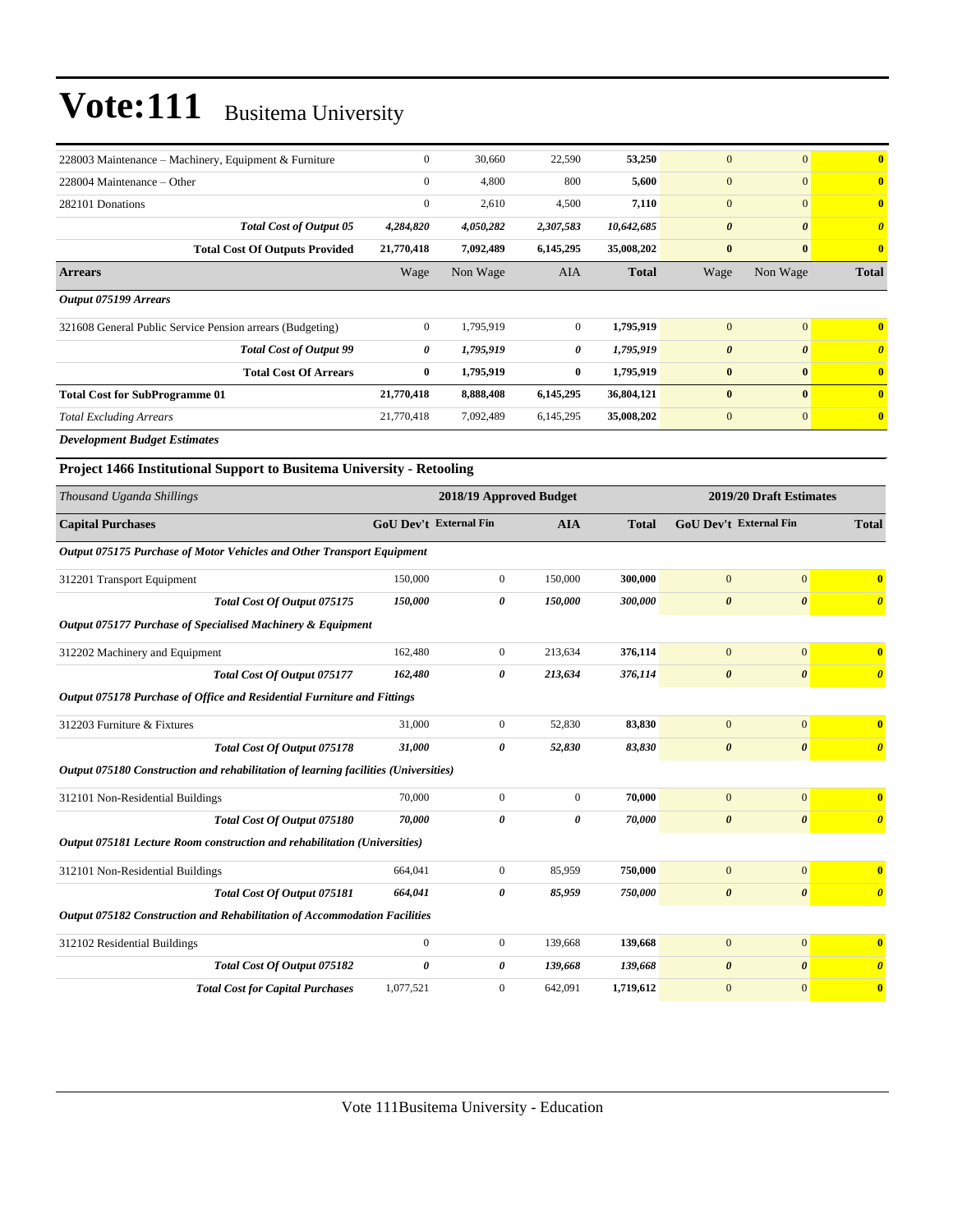| 228003 Maintenance – Machinery, Equipment & Furniture                               | $\boldsymbol{0}$              | 30,660                  | 22,590           | 53,250       | $\mathbf{0}$           | $\mathbf{0}$            | $\bf{0}$                |
|-------------------------------------------------------------------------------------|-------------------------------|-------------------------|------------------|--------------|------------------------|-------------------------|-------------------------|
| 228004 Maintenance - Other                                                          | $\mathbf{0}$                  | 4,800                   | 800              | 5,600        | $\mathbf{0}$           | $\mathbf{0}$            | $\bf{0}$                |
| 282101 Donations                                                                    | $\boldsymbol{0}$              | 2,610                   | 4,500            | 7,110        | $\mathbf{0}$           | $\overline{0}$          | $\bf{0}$                |
| <b>Total Cost of Output 05</b>                                                      | 4,284,820                     | 4,050,282               | 2,307,583        | 10,642,685   | $\boldsymbol{\theta}$  | $\boldsymbol{\theta}$   | $\boldsymbol{\theta}$   |
| <b>Total Cost Of Outputs Provided</b>                                               | 21,770,418                    | 7,092,489               | 6,145,295        | 35,008,202   | $\bf{0}$               | $\bf{0}$                | $\bf{0}$                |
| <b>Arrears</b>                                                                      | Wage                          | Non Wage                | AIA              | <b>Total</b> | Wage                   | Non Wage                | <b>Total</b>            |
| <b>Output 075199 Arrears</b>                                                        |                               |                         |                  |              |                        |                         |                         |
| 321608 General Public Service Pension arrears (Budgeting)                           | $\mathbf{0}$                  | 1,795,919               | $\mathbf{0}$     | 1,795,919    | $\mathbf{0}$           | $\overline{0}$          | $\bf{0}$                |
| <b>Total Cost of Output 99</b>                                                      | 0                             | 1,795,919               | 0                | 1,795,919    | $\boldsymbol{\theta}$  | $\boldsymbol{\theta}$   | $\boldsymbol{\theta}$   |
| <b>Total Cost Of Arrears</b>                                                        | $\bf{0}$                      | 1,795,919               | $\bf{0}$         | 1,795,919    | $\bf{0}$               | $\bf{0}$                | $\bf{0}$                |
| <b>Total Cost for SubProgramme 01</b>                                               | 21,770,418                    | 8,888,408               | 6,145,295        | 36,804,121   | $\bf{0}$               | $\bf{0}$                | $\overline{\mathbf{0}}$ |
| <b>Total Excluding Arrears</b>                                                      | 21,770,418                    | 7,092,489               | 6,145,295        | 35,008,202   | $\boldsymbol{0}$       | $\mathbf{0}$            | $\bf{0}$                |
| <b>Development Budget Estimates</b>                                                 |                               |                         |                  |              |                        |                         |                         |
| Project 1466 Institutional Support to Busitema University - Retooling               |                               |                         |                  |              |                        |                         |                         |
| Thousand Uganda Shillings                                                           |                               | 2018/19 Approved Budget |                  |              |                        | 2019/20 Draft Estimates |                         |
| <b>Capital Purchases</b>                                                            | <b>GoU Dev't External Fin</b> |                         | <b>AIA</b>       | <b>Total</b> | GoU Dev't External Fin |                         | <b>Total</b>            |
| Output 075175 Purchase of Motor Vehicles and Other Transport Equipment              |                               |                         |                  |              |                        |                         |                         |
| 312201 Transport Equipment                                                          | 150,000                       | $\boldsymbol{0}$        | 150,000          | 300,000      | $\mathbf{0}$           | $\mathbf{0}$            | $\bf{0}$                |
| Total Cost Of Output 075175                                                         | 150,000                       | 0                       | 150,000          | 300,000      | $\boldsymbol{\theta}$  | $\boldsymbol{\theta}$   | $\boldsymbol{\theta}$   |
| Output 075177 Purchase of Specialised Machinery & Equipment                         |                               |                         |                  |              |                        |                         |                         |
| 312202 Machinery and Equipment                                                      | 162,480                       | $\boldsymbol{0}$        | 213,634          | 376,114      | $\mathbf{0}$           | $\mathbf{0}$            | $\bf{0}$                |
| Total Cost Of Output 075177                                                         | 162,480                       | 0                       | 213,634          | 376,114      | $\boldsymbol{\theta}$  | $\boldsymbol{\theta}$   | $\boldsymbol{\theta}$   |
| Output 075178 Purchase of Office and Residential Furniture and Fittings             |                               |                         |                  |              |                        |                         |                         |
| 312203 Furniture & Fixtures                                                         | 31,000                        | $\mathbf{0}$            | 52,830           | 83,830       | $\mathbf{0}$           | $\mathbf{0}$            | $\bf{0}$                |
| Total Cost Of Output 075178                                                         | 31,000                        | 0                       | 52,830           | 83,830       | $\boldsymbol{\theta}$  | $\boldsymbol{\theta}$   | $\boldsymbol{\theta}$   |
| Output 075180 Construction and rehabilitation of learning facilities (Universities) |                               |                         |                  |              |                        |                         |                         |
| 312101 Non-Residential Buildings                                                    | 70,000                        | $\boldsymbol{0}$        | $\boldsymbol{0}$ | 70,000       | $\mathbf{0}$           | $\mathbf{0}$            | $\bf{0}$                |
| Total Cost Of Output 075180                                                         | 70,000                        | 0                       | 0                | 70,000       | $\boldsymbol{\theta}$  | $\boldsymbol{\theta}$   | $\boldsymbol{\theta}$   |
| Output 075181 Lecture Room construction and rehabilitation (Universities)           |                               |                         |                  |              |                        |                         |                         |
| 312101 Non-Residential Buildings                                                    | 664,041                       | $\boldsymbol{0}$        | 85,959           | 750,000      | $\mathbf{0}$           | $\mathbf{0}$            | $\bf{0}$                |
| Total Cost Of Output 075181                                                         | 664,041                       | 0                       | 85,959           | 750,000      | $\boldsymbol{\theta}$  | $\boldsymbol{\theta}$   | $\boldsymbol{\theta}$   |
| Output 075182 Construction and Rehabilitation of Accommodation Facilities           |                               |                         |                  |              |                        |                         |                         |
| 312102 Residential Buildings                                                        | $\mathbf{0}$                  | $\boldsymbol{0}$        | 139,668          | 139,668      | $\boldsymbol{0}$       | $\mathbf{0}$            | $\bf{0}$                |
| Total Cost Of Output 075182                                                         | $\boldsymbol{\theta}$         | 0                       | 139,668          | 139,668      | $\boldsymbol{\theta}$  | $\boldsymbol{\theta}$   | $\boldsymbol{\theta}$   |
| <b>Total Cost for Capital Purchases</b>                                             | 1,077,521                     | $\boldsymbol{0}$        | 642,091          | 1,719,612    | $\boldsymbol{0}$       | $\mathbf{0}$            | $\boldsymbol{0}$        |